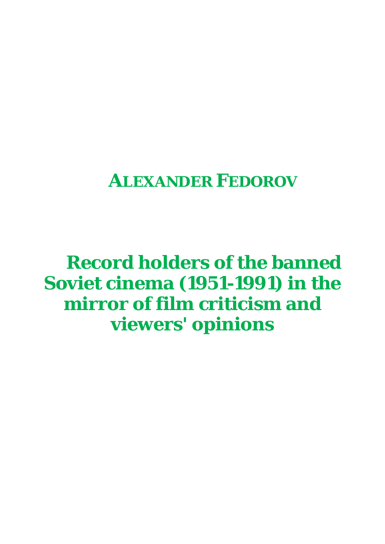# **ALEXANDER FEDOROV**

**Record holders of the banned Soviet cinema (1951-1991) in the mirror of film criticism and viewers' opinions**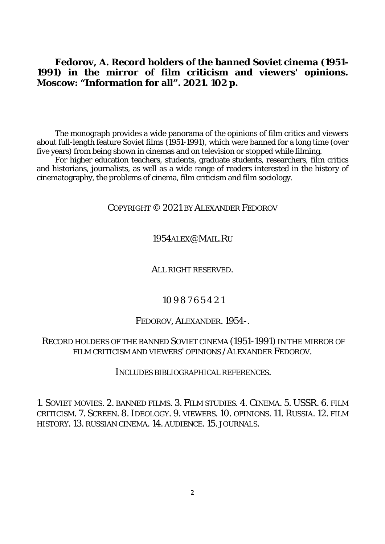**Fedorov, A. Record holders of the banned Soviet cinema (1951- 1991) in the mirror of film criticism and viewers' opinions. Moscow: "Information for all". 2021. 102 p.**

The monograph provides a wide panorama of the opinions of film critics and viewers about full-length feature Soviet films (1951-1991), which were banned for a long time (over five years) from being shown in cinemas and on television or stopped while filming.

For higher education teachers, students, graduate students, researchers, film critics and historians, journalists, as well as a wide range of readers interested in the history of cinematography, the problems of cinema, film criticism and film sociology.

# COPYRIGHT © 2021 BY ALEXANDER FEDOROV

## 1954ALEX@MAIL.RU

#### ALL RIGHT RESERVED.

#### 10 9 8 7 6 5 4 2 1

#### FEDOROV, ALEXANDER. 1954-.

## RECORD HOLDERS OF THE BANNED SOVIET CINEMA (1951-1991) IN THE MIRROR OF FILM CRITICISM AND VIEWERS' OPINIONS /ALEXANDER FEDOROV.

#### INCLUDES BIBLIOGRAPHICAL REFERENCES.

1. SOVIET MOVIES. 2. BANNED FILMS. 3. FILM STUDIES. 4. CINEMA. 5. USSR. 6. FILM CRITICISM. 7. SCREEN. 8. IDEOLOGY. 9. VIEWERS. 10. OPINIONS. 11. RUSSIA. 12. FILM HISTORY. 13. RUSSIAN CINEMA. 14. AUDIENCE. 15. JOURNALS.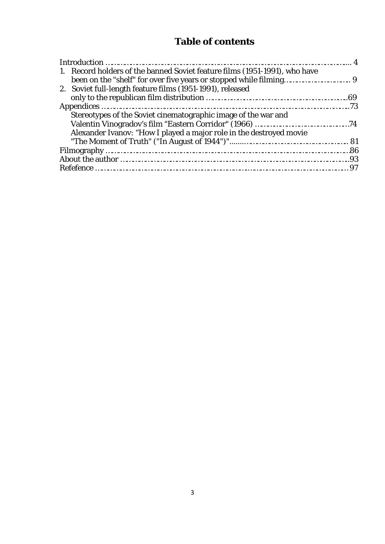# **Table of contents**

| 1. Record holders of the banned Soviet feature films (1951-1991), who have |  |
|----------------------------------------------------------------------------|--|
|                                                                            |  |
| 2. Soviet full-length feature films (1951-1991), released                  |  |
|                                                                            |  |
|                                                                            |  |
| Stereotypes of the Soviet cinematographic image of the war and             |  |
|                                                                            |  |
| Alexander Ivanov: "How I played a major role in the destroyed movie        |  |
|                                                                            |  |
|                                                                            |  |
|                                                                            |  |
|                                                                            |  |
|                                                                            |  |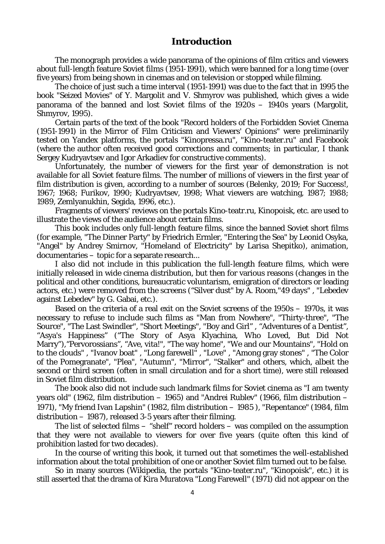### **Introduction**

The monograph provides a wide panorama of the opinions of film critics and viewers about full-length feature Soviet films (1951-1991), which were banned for a long time (over five years) from being shown in cinemas and on television or stopped while filming.

The choice of just such a time interval (1951-1991) was due to the fact that in 1995 the book "Seized Movies" of Y. Margolit and V. Shmyrov was published, which gives a wide panorama of the banned and lost Soviet films of the 1920s – 1940s years (Margolit, Shmyrov, 1995).

Certain parts of the text of the book "Record holders of the Forbidden Soviet Cinema (1951-1991) in the Mirror of Film Criticism and Viewers' Opinions" were preliminarily tested on Yandex platforms, the portals "Kinopressa.ru", "Kino-teater.ru" and Facebook (where the author often received good corrections and comments; in particular, I thank Sergey Kudryavtsev and Igor Arkadiev for constructive comments).

Unfortunately, the number of viewers for the first year of demonstration is not available for all Soviet feature films. The number of millions of viewers in the first year of film distribution is given, according to a number of sources (Belenky, 2019; For Success!, 1967; 1968; Furikov, 1990; Kudryavtsev, 1998; What viewers are watching, 1987; 1988; 1989, Zemlyanukhin, Segida, 1996, etc.).

Fragments of viewers' reviews on the portals Kino-teatr.ru, Kinopoisk, etc. are used to illustrate the views of the audience about certain films.

This book includes only full-length feature films, since the banned Soviet short films (for example, "The Dinner Party" by Friedrich Ermler, "Entering the Sea" by Leonid Osyka, "Angel" by Andrey Smirnov, "Homeland of Electricity" by Larisa Shepitko), animation, documentaries – topic for a separate research...

I also did not include in this publication the full-length feature films, which were initially released in wide cinema distribution, but then for various reasons (changes in the political and other conditions, bureaucratic voluntarism, emigration of directors or leading actors, etc.) were removed from the screens ("Silver dust" by A. Room,"49 days" , "Lebedev against Lebedev" by G. Gabai, etc.).

Based on the criteria of a real exit on the Soviet screens of the 1950s – 1970s, it was necessary to refuse to include such films as "Man from Nowhere", "Thirty-three", "The Source", "The Last Swindler", "Short Meetings", "Boy and Girl" , "Adventures of a Dentist", "Asya's Happiness" ("The Story of Asya Klyachina, Who Loved, But Did Not Marry"),"Pervorossians", "Ave, vita!", "The way home", "We and our Mountains", "Hold on to the clouds" , "Ivanov boat" , "Long farewell" , "Love" , "Among gray stones" , "The Color of the Pomegranate", "Plea", "Autumn", "Mirror", "Stalker" and others, which, albeit the second or third screen (often in small circulation and for a short time), were still released in Soviet film distribution.

The book also did not include such landmark films for Soviet cinema as "I am twenty years old" (1962, film distribution – 1965) and "Andrei Rublev" (1966, film distribution – 1971), "My friend Ivan Lapshin" (1982, film distribution – 1985 ), "Repentance" (1984, film distribution – 1987), released 3-5 years after their filming.

The list of selected films – "shelf" record holders – was compiled on the assumption that they were not available to viewers for over five years (quite often this kind of prohibition lasted for two decades).

In the course of writing this book, it turned out that sometimes the well-established information about the total prohibition of one or another Soviet film turned out to be false.

So in many sources (Wikipedia, the portals "Kino-teater.ru", "Kinopoisk", etc.) it is still asserted that the drama of Kira Muratova "Long Farewell" (1971) did not appear on the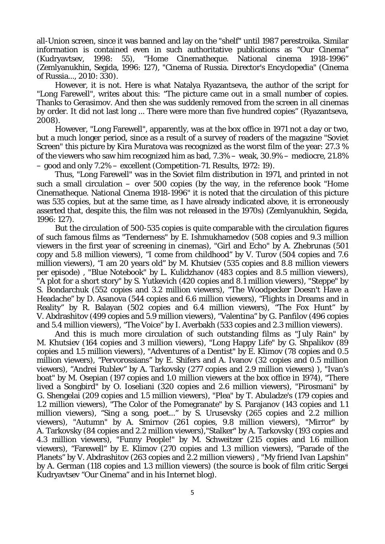all-Union screen, since it was banned and lay on the "shelf" until 1987 perestroika. Similar information is contained even in such authoritative publications as "Our Cinema" (Kudryavtsev, 1998: 55), "Home Cinematheque. National cinema 1918-1996" (Zemlyanukhin, Segida, 1996: 127), "Cinema of Russia. Director's Encyclopedia" (Cinema of Russia..., 2010: 330).

However, it is not. Here is what Natalya Ryazantseva, the author of the script for "Long Farewell", writes about this: "The picture came out in a small number of copies. Thanks to Gerasimov. And then she was suddenly removed from the screen in all cinemas by order. It did not last long ... There were more than five hundred copies" (Ryazantseva, 2008).

However, "Long Farewell", apparently, was at the box office in 1971 not a day or two, but a much longer period, since as a result of a survey of readers of the magazine "Soviet Screen" this picture by Kira Muratova was recognized as the worst film of the year: 27.3 % of the viewers who saw him recognized him as bad, 7.3% – weak, 30.9% – mediocre, 21.8% – good and only 7.2% – excellent (Competition-71. Results, 1972: 19).

Thus, "Long Farewell" was in the Soviet film distribution in 1971, and printed in not such a small circulation  $-$  over 500 copies (by the way, in the reference book "Home Cinematheque. National Cinema 1918-1996" it is noted that the circulation of this picture was 535 copies, but at the same time, as I have already indicated above, it is erroneously asserted that, despite this, the film was not released in the 1970s) (Zemlyanukhin, Segida, 1996: 127).

But the circulation of 500-535 copies is quite comparable with the circulation figures of such famous films as "Tenderness" by E. Ishmukhamedov (508 copies and 9.3 million viewers in the first year of screening in cinemas), "Girl and Echo" by A. Zhebrunas (501 copy and 5.8 million viewers), "I come from childhood" by V. Turov (504 copies and 7.6 million viewers), "I am 20 years old" by M. Khutsiev (535 copies and 8.8 million viewers per episode) , "Blue Notebook" by L. Kulidzhanov (483 copies and 8.5 million viewers), "A plot for a short story" by S. Yutkevich (420 copies and 8.1 million viewers), "Steppe" by S. Bondarchuk (552 copies and 3.2 million viewers), "The Woodpecker Doesn't Have a Headache" by D. Asanova (544 copies and 6.6 million viewers), "Flights in Dreams and in Reality" by R. Balayan (502 copies and 6.4 million viewers), "The Fox Hunt" by V. Abdrashitov (499 copies and 5.9 million viewers), "Valentina" by G. Panfilov (496 copies and 5.4 million viewers), "The Voice" by I. Averbakh (533 copies and 2.3 million viewers).

And this is much more circulation of such outstanding films as "July Rain" by M. Khutsiev (164 copies and 3 million viewers), "Long Happy Life" by G. Shpalikov (89 copies and 1.5 million viewers), "Adventures of a Dentist" by E. Klimov (78 copies and 0.5 million viewers), "Pervorossians" by E. Shifers and A. Ivanov (32 copies and 0.5 million viewers), "Andrei Rublev" by A. Tarkovsky (277 copies and 2.9 million viewers) ), "Ivan's boat" by M. Osepian (197 copies and 1.0 million viewers at the box office in 1974), "There lived a Songbird" by O. Ioseliani (320 copies and 2.6 million viewers), "Pirosmani" by G. Shengelai (209 copies and 1.5 million viewers), "Plea" by T. Abuladze's (179 copies and 1.2 million viewers), "The Color of the Pomegranate" by S. Parajanov (143 copies and 1.1 million viewers), "Sing a song, poet..." by S. Urusevsky (265 copies and 2.2 million viewers), "Autumn" by A. Smirnov (261 copies, 9.8 million viewers), "Mirror" by A. Tarkovsky (84 copies and 2.2 million viewers),"Stalker" by A. Tarkovsky (193 copies and 4.3 million viewers), "Funny People!" by M. Schweitzer (215 copies and 1.6 million viewers), "Farewell" by E. Klimov (270 copies and 1.3 million viewers), "Parade of the Planets" by V. Abdrashitov (263 copies and 2.2 million viewers) , "My friend Ivan Lapshin" by A. German (118 copies and 1.3 million viewers) (the source is book of film critic Sergei Kudryavtsev "Our Cinema" and in his Internet blog).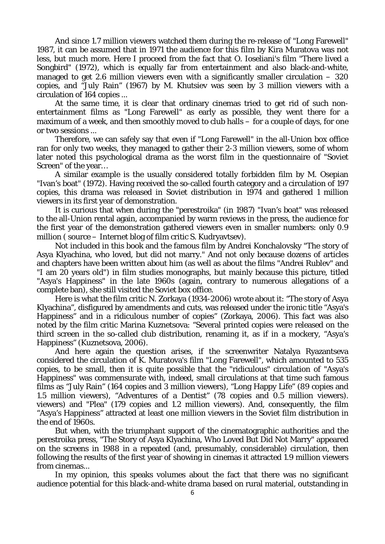And since 1.7 million viewers watched them during the re-release of "Long Farewell" 1987, it can be assumed that in 1971 the audience for this film by Kira Muratova was not less, but much more. Here I proceed from the fact that O. Ioseliani's film "There lived a Songbird" (1972), which is equally far from entertainment and also black-and-white, managed to get 2.6 million viewers even with a significantly smaller circulation  $-320$ copies, and "July Rain" (1967) by M. Khutsiev was seen by 3 million viewers with a circulation of 164 copies ...

At the same time, it is clear that ordinary cinemas tried to get rid of such nonentertainment films as "Long Farewell" as early as possible, they went there for a maximum of a week, and then smoothly moved to club halls – for a couple of days, for one or two sessions ...

Therefore, we can safely say that even if "Long Farewell" in the all-Union box office ran for only two weeks, they managed to gather their 2-3 million viewers, some of whom later noted this psychological drama as the worst film in the questionnaire of "Soviet Screen" of the year…

A similar example is the usually considered totally forbidden film by M. Osepian "Ivan's boat" (1972). Having received the so-called fourth category and a circulation of 197 copies, this drama was released in Soviet distribution in 1974 and gathered 1 million viewers in its first year of demonstration.

It is curious that when during the "perestroika" (in 1987) "Ivan's boat" was released to the all-Union rental again, accompanied by warm reviews in the press, the audience for the first year of the demonstration gathered viewers even in smaller numbers: only 0.9 million ( source – Internet blog of film critic S. Kudryavtsev).

Not included in this book and the famous film by Andrei Konchalovsky "The story of Asya Klyachina, who loved, but did not marry." And not only because dozens of articles and chapters have been written about him (as well as about the films "Andrei Rublev" and "I am 20 years old") in film studies monographs, but mainly because this picture, titled "Asya's Happiness" in the late 1960s (again, contrary to numerous allegations of a complete ban), she still visited the Soviet box office.

Here is what the film critic N. Zorkaya (1934-2006) wrote about it: "The story of Asya Klyachina", disfigured by amendments and cuts, was released under the ironic title "Asya's Happiness" and in a ridiculous number of copies" (Zorkaya, 2006). This fact was also noted by the film critic Marina Kuznetsova: "Several printed copies were released on the third screen in the so-called club distribution, renaming it, as if in a mockery, "Asya's Happiness" (Kuznetsova, 2006).

And here again the question arises, if the screenwriter Natalya Ryazantseva considered the circulation of K. Muratova's film "Long Farewell", which amounted to 535 copies, to be small, then it is quite possible that the "ridiculous" circulation of "Asya's Happiness" was commensurate with, indeed, small circulations at that time such famous films as "July Rain" (164 copies and 3 million viewers), "Long Happy Life" (89 copies and 1.5 million viewers), "Adventures of a Dentist" (78 copies and 0.5 million viewers). viewers) and "Plea" (179 copies and 1.2 million viewers). And, consequently, the film "Asya's Happiness" attracted at least one million viewers in the Soviet film distribution in the end of 1960s.

But when, with the triumphant support of the cinematographic authorities and the perestroika press, "The Story of Asya Klyachina, Who Loved But Did Not Marry" appeared on the screens in 1988 in a repeated (and, presumably, considerable) circulation, then following the results of the first year of showing in cinemas it attracted 1.9 million viewers from cinemas...

In my opinion, this speaks volumes about the fact that there was no significant audience potential for this black-and-white drama based on rural material, outstanding in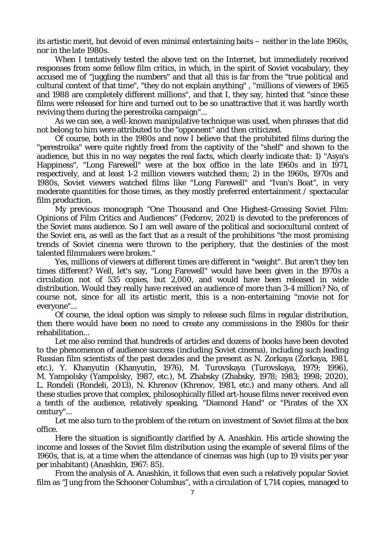its artistic merit, but devoid of even minimal entertaining baits – neither in the late 1960s, nor in the late 1980s.

When I tentatively tested the above text on the Internet, but immediately received responses from some fellow film critics, in which, in the spirit of Soviet vocabulary, they accused me of "juggling the numbers" and that all this is far from the "true political and cultural context of that time", "they do not explain anything" , "millions of viewers of 1965 and 1988 are completely different millions", and that I, they say, hinted that "since these films were released for hire and turned out to be so unattractive that it was hardly worth reviving them during the perestroika campaign"...

As we can see, a well-known manipulative technique was used, when phrases that did not belong to him were attributed to the "opponent" and then criticized.

Of course, both in the 1980s and now I believe that the prohibited films during the "perestroika" were quite rightly freed from the captivity of the "shelf" and shown to the audience, but this in no way negates the real facts, which clearly indicate that: 1) "Asya's Happiness", "Long Farewell" were at the box office in the late 1960s and in 1971, respectively, and at least 1-2 million viewers watched them; 2) in the 1960s, 1970s and 1980s, Soviet viewers watched films like "Long Farewell" and "Ivan's Boat", in very moderate quantities for those times, as they mostly preferred entertainment / spectacular film production.

My previous monograph "One Thousand and One Highest-Grossing Soviet Film: Opinions of Film Critics and Audiences" (Fedorov, 2021) is devoted to the preferences of the Soviet mass audience. So I am well aware of the political and sociocultural context of the Soviet era, as well as the fact that as a result of the prohibitions "the most promising trends of Soviet cinema were thrown to the periphery, that the destinies of the most talented filmmakers were broken."

Yes, millions of viewers at different times are different in "weight". But aren't they ten times different? Well, let's say, "Long Farewell" would have been given in the 1970s a circulation not of 535 copies, but 2,000, and would have been released in wide distribution. Would they really have received an audience of more than 3-4 million? No, of course not, since for all its artistic merit, this is a non-entertaining "movie not for everyone"...

Of course, the ideal option was simply to release such films in regular distribution, then there would have been no need to create any commissions in the 1980s for their rehabilitation...

Let me also remind that hundreds of articles and dozens of books have been devoted to the phenomenon of audience success (including Soviet cinema), including such leading Russian film scientists of the past decades and the present as N. Zorkaya (Zorkaya, 1981, etc.), Y. Khanyutin (Khanyutin, 1976), M. Turovskaya (Turovskaya, 1979; 1996), M. Yampolsky (Yampolsky, 1987, etc.), M. Zhabsky (Zhabsky, 1978; 1983; 1998; 2020), L. Rondeli (Rondeli, 2013), N. Khrenov (Khrenov, 1981, etc.) and many others. And all these studies prove that complex, philosophically filled art-house films never received even a tenth of the audience, relatively speaking, "Diamond Hand" or "Pirates of the XX century"...

Let me also turn to the problem of the return on investment of Soviet films at the box office.

Here the situation is significantly clarified by A. Anashkin. His article showing the income and losses of the Soviet film distribution using the example of several films of the 1960s, that is, at a time when the attendance of cinemas was high (up to 19 visits per year per inhabitant) (Anashkin, 1967: 85).

From the analysis of A. Anashkin, it follows that even such a relatively popular Soviet film as "Jung from the Schooner Columbus", with a circulation of 1,714 copies, managed to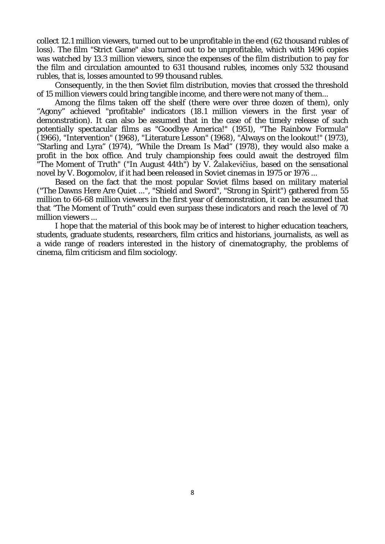collect 12.1 million viewers, turned out to be unprofitable in the end (62 thousand rubles of loss). The film "Strict Game" also turned out to be unprofitable, which with 1496 copies was watched by 13.3 million viewers, since the expenses of the film distribution to pay for the film and circulation amounted to 631 thousand rubles, incomes only 532 thousand rubles, that is, losses amounted to 99 thousand rubles.

Consequently, in the then Soviet film distribution, movies that crossed the threshold of 15 million viewers could bring tangible income, and there were not many of them...

Among the films taken off the shelf (there were over three dozen of them), only "Agony" achieved "profitable" indicators (18.1 million viewers in the first year of demonstration). It can also be assumed that in the case of the timely release of such potentially spectacular films as "Goodbye America!" (1951), "The Rainbow Formula" (1966), "Intervention" (1968), "Literature Lesson" (1968), "Always on the lookout!" (1973), "Starling and Lyra" (1974), "While the Dream Is Mad" (1978), they would also make a profit in the box office. And truly championship fees could await the destroyed film "The Moment of Truth" ("In August 44th") by V. Žalakevičius, based on the sensational novel by V. Bogomolov, if it had been released in Soviet cinemas in 1975 or 1976 ...

Based on the fact that the most popular Soviet films based on military material ("The Dawns Here Are Quiet ...", "Shield and Sword", "Strong in Spirit") gathered from 55 million to 66-68 million viewers in the first year of demonstration, it can be assumed that that "The Moment of Truth" could even surpass these indicators and reach the level of 70 million viewers ...

I hope that the material of this book may be of interest to higher education teachers, students, graduate students, researchers, film critics and historians, journalists, as well as a wide range of readers interested in the history of cinematography, the problems of cinema, film criticism and film sociology.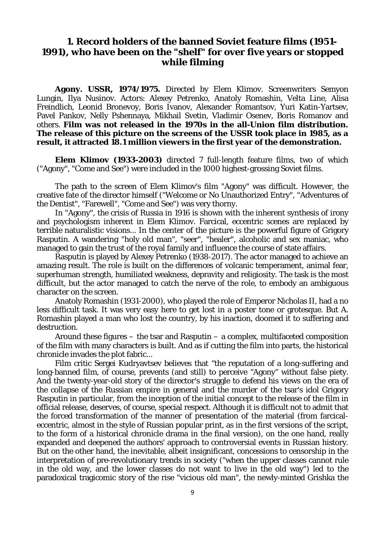# **1. Record holders of the banned Soviet feature films (1951- 1991), who have been on the "shelf" for over five years or stopped while filming**

**Agony. USSR, 1974/1975.** Directed by Elem Klimov. Screenwriters Semyon Lungin, Ilya Nusinov. Actors: Alexey Petrenko, Anatoly Romashin, Velta Line, Alisa Freindlich, Leonid Bronevoy, Boris Ivanov, Alexander Romantsov, Yuri Katin-Yartsev, Pavel Pankov, Nelly Pshennaya, Mikhail Svetin, Vladimir Osenev, Boris Romanov and others. **Film was not released in the 1970s in the all-Union film distribution. The release of this picture on the screens of the USSR took place in 1985, as a result, it attracted 18.1 million viewers in the first year of the demonstration.**

**Elem Klimov (1933-2003)** directed 7 full-length feature films, two of which ("Agony", "Come and See") were included in the 1000 highest-grossing Soviet films.

The path to the screen of Elem Klimov's film "Agony" was difficult. However, the creative fate of the director himself ("Welcome or No Unauthorized Entry", "Adventures of the Dentist", "Farewell", "Come and See") was very thorny.

In "Agony", the crisis of Russia in 1916 is shown with the inherent synthesis of irony and psychologism inherent in Elem Klimov. Farcical, eccentric scenes are replaced by terrible naturalistic visions... In the center of the picture is the powerful figure of Grigory Rasputin. A wandering "holy old man", "seer", "healer", alcoholic and sex maniac, who managed to gain the trust of the royal family and influence the course of state affairs.

Rasputin is played by Alexey Petrenko (1938-2017). The actor managed to achieve an amazing result. The role is built on the differences of volcanic temperament, animal fear, superhuman strength, humiliated weakness, depravity and religiosity. The task is the most difficult, but the actor managed to catch the nerve of the role, to embody an ambiguous character on the screen.

Anatoly Romashin (1931-2000), who played the role of Emperor Nicholas II, had a no less difficult task. It was very easy here to get lost in a poster tone or grotesque. But A. Romashin played a man who lost the country, by his inaction, doomed it to suffering and destruction.

Around these figures – the tsar and Rasputin – a complex, multifaceted composition of the film with many characters is built. And as if cutting the film into parts, the historical chronicle invades the plot fabric...

Film critic Sergei Kudryavtsev believes that "the reputation of a long-suffering and long-banned film, of course, prevents (and still) to perceive "Agony" without false piety. And the twenty-year-old story of the director's struggle to defend his views on the era of the collapse of the Russian empire in general and the murder of the tsar's idol Grigory Rasputin in particular, from the inception of the initial concept to the release of the film in official release, deserves, of course, special respect. Although it is difficult not to admit that the forced transformation of the manner of presentation of the material (from farcicaleccentric, almost in the style of Russian popular print, as in the first versions of the script, to the form of a historical chronicle drama in the final version), on the one hand, really expanded and deepened the authors' approach to controversial events in Russian history. But on the other hand, the inevitable, albeit insignificant, concessions to censorship in the interpretation of pre-revolutionary trends in society ("when the upper classes cannot rule in the old way, and the lower classes do not want to live in the old way") led to the paradoxical tragicomic story of the rise "vicious old man", the newly-minted Grishka the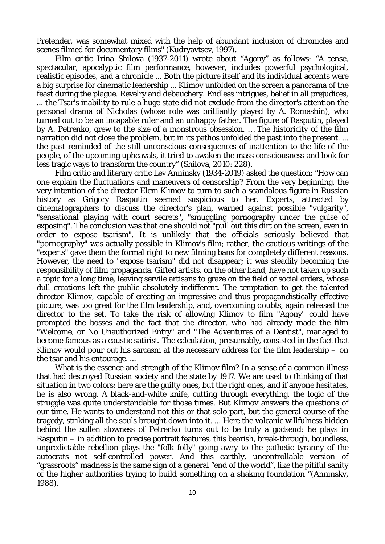Pretender, was somewhat mixed with the help of abundant inclusion of chronicles and scenes filmed for documentary films" (Kudryavtsev, 1997).

Film critic Irina Shilova (1937-2011) wrote about "Agony" as follows: "A tense, spectacular, apocalyptic film performance, however, includes powerful psychological, realistic episodes, and a chronicle ... Both the picture itself and its individual accents were a big surprise for cinematic leadership ... Klimov unfolded on the screen a panorama of the feast during the plague. Revelry and debauchery. Endless intrigues, belief in all prejudices, ... the Tsar's inability to rule a huge state did not exclude from the director's attention the personal drama of Nicholas (whose role was brilliantly played by A. Romashin), who turned out to be an incapable ruler and an unhappy father. The figure of Rasputin, played by A. Petrenko, grew to the size of a monstrous obsession. … The historicity of the film narration did not close the problem, but in its pathos unfolded the past into the present. ... the past reminded of the still unconscious consequences of inattention to the life of the people, of the upcoming upheavals, it tried to awaken the mass consciousness and look for less tragic ways to transform the country" (Shilova, 2010: 228).

Film critic and literary critic Lev Anninsky (1934-2019) asked the question: "How can one explain the fluctuations and maneuvers of censorship? From the very beginning, the very intention of the director Elem Klimov to turn to such a scandalous figure in Russian history as Grigory Rasputin seemed suspicious to her. Experts, attracted by cinematographers to discuss the director's plan, warned against possible "vulgarity", "sensational playing with court secrets", "smuggling pornography under the guise of exposing". The conclusion was that one should not "pull out this dirt on the screen, even in order to expose tsarism". It is unlikely that the officials seriously believed that "pornography" was actually possible in Klimov's film; rather, the cautious writings of the "experts" gave them the formal right to new filming bans for completely different reasons. However, the need to "expose tsarism" did not disappear; it was steadily becoming the responsibility of film propaganda. Gifted artists, on the other hand, have not taken up such a topic for a long time, leaving servile artisans to graze on the field of social orders, whose dull creations left the public absolutely indifferent. The temptation to get the talented director Klimov, capable of creating an impressive and thus propagandistically effective picture, was too great for the film leadership, and, overcoming doubts, again released the director to the set. To take the risk of allowing Klimov to film "Agony" could have prompted the bosses and the fact that the director, who had already made the film "Welcome, or No Unauthorized Entry" and "The Adventures of a Dentist", managed to become famous as a caustic satirist. The calculation, presumably, consisted in the fact that Klimov would pour out his sarcasm at the necessary address for the film leadership  $-$  on the tsar and his entourage. ...

What is the essence and strength of the Klimov film? In a sense of a common illness that had destroyed Russian society and the state by 1917. We are used to thinking of that situation in two colors: here are the guilty ones, but the right ones, and if anyone hesitates, he is also wrong. A black-and-white knife, cutting through everything, the logic of the struggle was quite understandable for those times. But Klimov answers the questions of our time. He wants to understand not this or that solo part, but the general course of the tragedy, striking all the souls brought down into it. ... Here the volcanic willfulness hidden behind the sullen slowness of Petrenko turns out to be truly a godsend: he plays in Rasputin – in addition to precise portrait features, this bearish, break-through, boundless, unpredictable rebellion plays the "folk folly" going awry to the pathetic tyranny of the autocrats not self-controlled power. And this earthly, uncontrollable version of "grassroots" madness is the same sign of a general "end of the world", like the pitiful sanity of the higher authorities trying to build something on a shaking foundation "(Anninsky, 1988).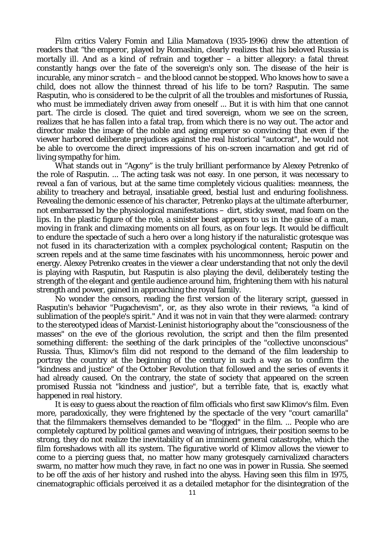Film critics Valery Fomin and Lilia Mamatova (1935-1996) drew the attention of readers that "the emperor, played by Romashin, clearly realizes that his beloved Russia is mortally ill. And as a kind of refrain and together  $-$  a bitter allegory: a fatal threat constantly hangs over the fate of the sovereign's only son. The disease of the heir is incurable, any minor scratch – and the blood cannot be stopped. Who knows how to save a child, does not allow the thinnest thread of his life to be torn? Rasputin. The same Rasputin, who is considered to be the culprit of all the troubles and misfortunes of Russia, who must be immediately driven away from oneself ... But it is with him that one cannot part. The circle is closed. The quiet and tired sovereign, whom we see on the screen, realizes that he has fallen into a fatal trap, from which there is no way out. The actor and director make the image of the noble and aging emperor so convincing that even if the viewer harbored deliberate prejudices against the real historical "autocrat", he would not be able to overcome the direct impressions of his on-screen incarnation and get rid of living sympathy for him.

What stands out in "Agony" is the truly brilliant performance by Alexey Petrenko of the role of Rasputin. ... The acting task was not easy. In one person, it was necessary to reveal a fan of various, but at the same time completely vicious qualities: meanness, the ability to treachery and betrayal, insatiable greed, bestial lust and enduring foolishness. Revealing the demonic essence of his character, Petrenko plays at the ultimate afterburner, not embarrassed by the physiological manifestations – dirt, sticky sweat, mad foam on the lips. In the plastic figure of the role, a sinister beast appears to us in the guise of a man, moving in frank and climaxing moments on all fours, as on four legs. It would be difficult to endure the spectacle of such a hero over a long history if the naturalistic grotesque was not fused in its characterization with a complex psychological content; Rasputin on the screen repels and at the same time fascinates with his uncommonness, heroic power and energy. Alexey Petrenko creates in the viewer a clear understanding that not only the devil is playing with Rasputin, but Rasputin is also playing the devil, deliberately testing the strength of the elegant and gentile audience around him, frightening them with his natural strength and power, gained in approaching the royal family.

No wonder the censors, reading the first version of the literary script, guessed in Rasputin's behavior "Pugachevism", or, as they also wrote in their reviews, "a kind of sublimation of the people's spirit." And it was not in vain that they were alarmed: contrary to the stereotyped ideas of Marxist-Leninist historiography about the "consciousness of the masses" on the eve of the glorious revolution, the script and then the film presented something different: the seething of the dark principles of the "collective unconscious" Russia. Thus, Klimov's film did not respond to the demand of the film leadership to portray the country at the beginning of the century in such a way as to confirm the "kindness and justice" of the October Revolution that followed and the series of events it had already caused. On the contrary, the state of society that appeared on the screen promised Russia not "kindness and justice", but a terrible fate, that is, exactly what happened in real history.

It is easy to guess about the reaction of film officials who first saw Klimov's film. Even more, paradoxically, they were frightened by the spectacle of the very "court camarilla" that the filmmakers themselves demanded to be "flogged" in the film. ... People who are completely captured by political games and weaving of intrigues, their position seems to be strong, they do not realize the inevitability of an imminent general catastrophe, which the film foreshadows with all its system. The figurative world of Klimov allows the viewer to come to a piercing guess that, no matter how many grotesquely carnivalized characters swarm, no matter how much they rave, in fact no one was in power in Russia. She seemed to be off the axis of her history and rushed into the abyss. Having seen this film in 1975, cinematographic officials perceived it as a detailed metaphor for the disintegration of the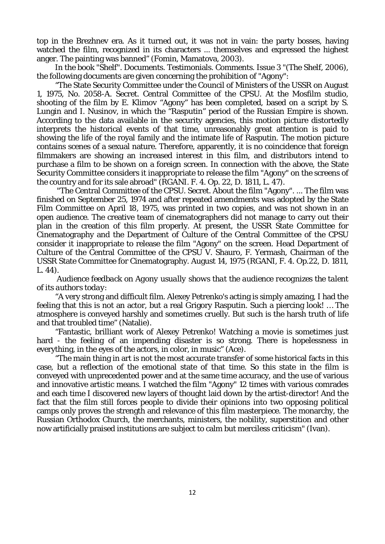top in the Brezhnev era. As it turned out, it was not in vain: the party bosses, having watched the film, recognized in its characters ... themselves and expressed the highest anger. The painting was banned" (Fomin, Mamatova, 2003).

In the book "Shelf". Documents. Testimonials. Comments. Issue 3 "(The Shelf, 2006), the following documents are given concerning the prohibition of "Agony":

"The State Security Committee under the Council of Ministers of the USSR on August 1, 1975, No. 2058-A. Secret. Central Committee of the CPSU. At the Mosfilm studio, shooting of the film by E. Klimov "Agony" has been completed, based on a script by S. Lungin and I. Nusinov, in which the "Rasputin" period of the Russian Empire is shown. According to the data available in the security agencies, this motion picture distortedly interprets the historical events of that time, unreasonably great attention is paid to showing the life of the royal family and the intimate life of Rasputin. The motion picture contains scenes of a sexual nature. Therefore, apparently, it is no coincidence that foreign filmmakers are showing an increased interest in this film, and distributors intend to purchase a film to be shown on a foreign screen. In connection with the above, the State Security Committee considers it inappropriate to release the film "Agony" on the screens of the country and for its sale abroad" (RGANI. F. 4. Op. 22, D. 1811, L. 47).

"The Central Committee of the CPSU. Secret. About the film "Agony". ... The film was finished on September 25, 1974 and after repeated amendments was adopted by the State Film Committee on April 18, 1975, was printed in two copies, and was not shown in an open audience. The creative team of cinematographers did not manage to carry out their plan in the creation of this film properly. At present, the USSR State Committee for Cinematography and the Department of Culture of the Central Committee of the CPSU consider it inappropriate to release the film "Agony" on the screen. Head Department of Culture of the Central Committee of the CPSU V. Shauro, F. Yermash, Chairman of the USSR State Committee for Cinematography. August 14, 1975 (RGANI, F. 4. Op.22, D. 1811, L. 44).

*Audience feedback on Agony usually shows that the audience recognizes the talent of its authors today:*

"A very strong and difficult film. Alexey Petrenko's acting is simply amazing, I had the feeling that this is not an actor, but a real Grigory Rasputin. Such a piercing look! … The atmosphere is conveyed harshly and sometimes cruelly. But such is the harsh truth of life and that troubled time" (Natalie).

"Fantastic, brilliant work of Alexey Petrenko! Watching a movie is sometimes just hard - the feeling of an impending disaster is so strong. There is hopelessness in everything, in the eyes of the actors, in color, in music" (Ace).

"The main thing in art is not the most accurate transfer of some historical facts in this case, but a reflection of the emotional state of that time. So this state in the film is conveyed with unprecedented power and at the same time accuracy, and the use of various and innovative artistic means. I watched the film "Agony" 12 times with various comrades and each time I discovered new layers of thought laid down by the artist-director! And the fact that the film still forces people to divide their opinions into two opposing political camps only proves the strength and relevance of this film masterpiece. The monarchy, the Russian Orthodox Church, the merchants, ministers, the nobility, superstition and other now artificially praised institutions are subject to calm but merciless criticism" (Ivan).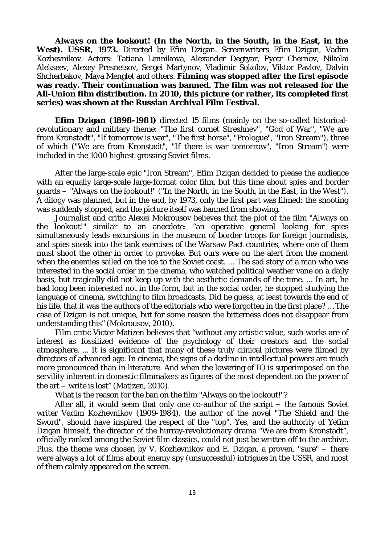**Always on the lookout! (In the North, in the South, in the East, in the**  West). USSR, 1973. Directed by Efim Dzigan. Screenwriters Efim Dzigan, Vadim Kozhevnikov. Actors: Tatiana Lennikova, Alexander Degtyar, Pyotr Chernov, Nikolai Alekseev, Alexey Presnetsov, Sergei Martynov, Vladimir Sokolov, Viktor Pavlov, Dalvin Shcherbakov, Maya Menglet and others. **Filming was stopped after the first episode was ready. Their continuation was banned. The film was not released for the All-Union film distribution. In 2010, this picture (or rather, its completed first series) was shown at the Russian Archival Film Festival.**

**Efim Dzigan (1898-1981)** directed 15 films (mainly on the so-called historicalrevolutionary and military theme: "The first cornet Streshnev", "God of War", "We are from Kronstadt", "If tomorrow is war", "The first horse", "Prologue", "Iron Stream"), three of which ("We are from Kronstadt", "If there is war tomorrow", "Iron Stream") were included in the 1000 highest-grossing Soviet films.

After the large-scale epic "Iron Stream", Efim Dzigan decided to please the audience with an equally large-scale large-format color film, but this time about spies and border guards – "Always on the lookout!" ("In the North, in the South, in the East, in the West"). A dilogy was planned, but in the end, by 1973, only the first part was filmed: the shooting was suddenly stopped, and the picture itself was banned from showing.

Journalist and critic Alexei Mokrousov believes that the plot of the film "Always on the lookout!" similar to an anecdote: "an operative general looking for spies simultaneously leads excursions in the museum of border troops for foreign journalists, and spies sneak into the tank exercises of the Warsaw Pact countries, where one of them must shoot the other in order to provoke. But ours were on the alert from the moment when the enemies sailed on the ice to the Soviet coast. ... The sad story of a man who was interested in the social order in the cinema, who watched political weather vane on a daily basis, but tragically did not keep up with the aesthetic demands of the time. ... In art, he had long been interested not in the form, but in the social order, he stopped studying the language of cinema, switching to film broadcasts. Did he guess, at least towards the end of his life, that it was the authors of the editorials who were forgotten in the first place? … The case of Dzigan is not unique, but for some reason the bitterness does not disappear from understanding this" (Mokrousov, 2010).

Film critic Victor Matizen believes that "without any artistic value, such works are of interest as fossilized evidence of the psychology of their creators and the social atmosphere. ... It is significant that many of these truly clinical pictures were filmed by directors of advanced age. In cinema, the signs of a decline in intellectual powers are much more pronounced than in literature. And when the lowering of IQ is superimposed on the servility inherent in domestic filmmakers as figures of the most dependent on the power of the art – write is lost" (Matizen, 2010).

What is the reason for the ban on the film "Always on the lookout!"?

After all, it would seem that only one co-author of the script – the famous Soviet writer Vadim Kozhevnikov (1909-1984), the author of the novel "The Shield and the Sword", should have inspired the respect of the "top". Yes, and the authority of Yefim Dzigan himself, the director of the hurray-revolutionary drama "We are from Kronstadt", officially ranked among the Soviet film classics, could not just be written off to the archive. Plus, the theme was chosen by V. Kozhevnikov and E. Dzigan, a proven, "sure" – there were always a lot of films about enemy spy (unsuccessful) intrigues in the USSR, and most of them calmly appeared on the screen.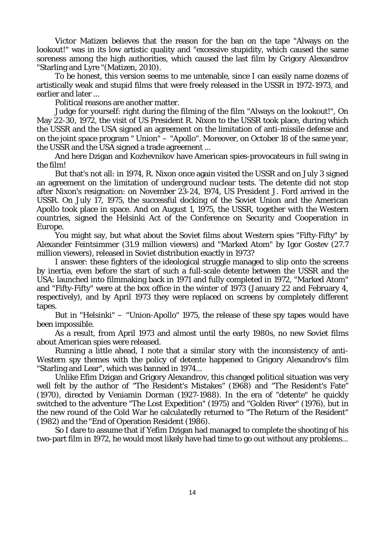Victor Matizen believes that the reason for the ban on the tape "Always on the lookout!" was in its low artistic quality and "excessive stupidity, which caused the same soreness among the high authorities, which caused the last film by Grigory Alexandrov "Starling and Lyre "(Matizen, 2010).

To be honest, this version seems to me untenable, since I can easily name dozens of artistically weak and stupid films that were freely released in the USSR in 1972-1973, and earlier and later ...

Political reasons are another matter.

Judge for yourself: right during the filming of the film "Always on the lookout!", On May 22-30, 1972, the visit of US President R. Nixon to the USSR took place, during which the USSR and the USA signed an agreement on the limitation of anti-missile defense and on the joint space program " Union" – "Apollo". Moreover, on October 18 of the same year, the USSR and the USA signed a trade agreement ...

And here Dzigan and Kozhevnikov have American spies-provocateurs in full swing in the film!

But that's not all: in 1974, R. Nixon once again visited the USSR and on July 3 signed an agreement on the limitation of underground nuclear tests. The detente did not stop after Nixon's resignation: on November 23-24, 1974, US President J. Ford arrived in the USSR. On July 17, 1975, the successful docking of the Soviet Union and the American Apollo took place in space. And on August 1, 1975, the USSR, together with the Western countries, signed the Helsinki Act of the Conference on Security and Cooperation in Europe.

You might say, but what about the Soviet films about Western spies "Fifty-Fifty" by Alexander Feintsimmer (31.9 million viewers) and "Marked Atom" by Igor Gostev (27.7 million viewers), released in Soviet distribution exactly in 1973?

I answer: these fighters of the ideological struggle managed to slip onto the screens by inertia, even before the start of such a full-scale detente between the USSR and the USA: launched into filmmaking back in 1971 and fully completed in 1972, "Marked Atom" and "Fifty-Fifty" were at the box office in the winter of 1973 (January 22 and February 4, respectively), and by April 1973 they were replaced on screens by completely different tapes.

But in "Helsinki" – "Union-Apollo" 1975, the release of these spy tapes would have been impossible.

As a result, from April 1973 and almost until the early 1980s, no new Soviet films about American spies were released.

Running a little ahead, I note that a similar story with the inconsistency of anti-Western spy themes with the policy of detente happened to Grigory Alexandrov's film "Starling and Lear", which was banned in 1974...

Unlike Efim Dzigan and Grigory Alexandrov, this changed political situation was very well felt by the author of "The Resident's Mistakes" (1968) and "The Resident's Fate" (1970), directed by Veniamin Dorman (1927-1988). In the era of "detente" he quickly switched to the adventure "The Lost Expedition" (1975) and "Golden River" (1976), but in the new round of the Cold War he calculatedly returned to "The Return of the Resident" (1982) and the "End of Operation Resident (1986).

So I dare to assume that if Yefim Dzigan had managed to complete the shooting of his two-part film in 1972, he would most likely have had time to go out without any problems...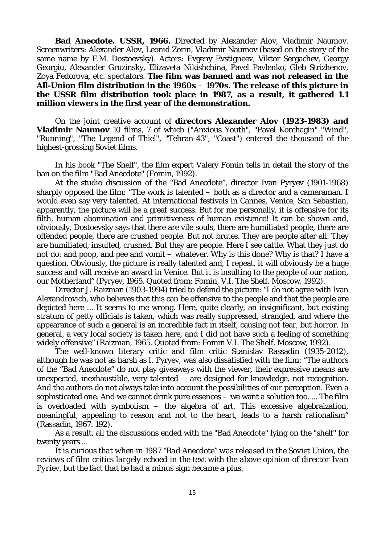**Bad Anecdote. USSR, 1966.** Directed by Alexander Alov, Vladimir Naumov. Screenwriters: Alexander Alov, Leonid Zorin, Vladimir Naumov (based on the story of the same name by F.M. Dostoevsky). Actors: Evgeny Evstigneev, Viktor Sergachev, Georgy Georgiu, Alexander Gruzinsky, Elizaveta Nikishchina, Pavel Pavlenko, Gleb Strizhenov, Zoya Fedorova, etc. spectators. **The film was banned and was not released in the All-Union film distribution in the 1960s** – **1970s. The release of this picture in the USSR film distribution took place in 1987, as a result, it gathered 1.1 million viewers in the first year of the demonstration.**

On the joint creative account of **directors Alexander Alov (1923-1983) and Vladimir Naumov** 10 films, 7 of which ("Anxious Youth", "Pavel Korchagin" "Wind", "Running", "The Legend of Thiel", "Tehran-43", "Coast") entered the thousand of the highest-grossing Soviet films.

In his book "The Shelf", the film expert Valery Fomin tells in detail the story of the ban on the film "Bad Anecdote" (Fomin, 1992).

At the studio discussion of the "Bad Anecdote", director Ivan Pyryev (1901-1968) sharply opposed the film: "The work is talented – both as a director and a cameraman. I would even say very talented. At international festivals in Cannes, Venice, San Sebastian, apparently, the picture will be a great success. But for me personally, it is offensive for its filth, human abomination and primitiveness of human existence! It can be shown and, obviously, Dostoevsky says that there are vile souls, there are humiliated people, there are offended people, there are crushed people. But not brutes. They are people after all. They are humiliated, insulted, crushed. But they are people. Here I see cattle. What they just do not do: and poop, and pee and vomit – whatever. Why is this done? Why is that? I have a question. Obviously, the picture is really talented and, I repeat, it will obviously be a huge success and will receive an award in Venice. But it is insulting to the people of our nation, our Motherland" (Pyryev, 1965. Quoted from: Fomin, V.I. The Shelf. Moscow, 1992).

Director J. Raizman (1903-1994) tried to defend the picture: "I do not agree with Ivan Alexandrovich, who believes that this can be offensive to the people and that the people are depicted here ... It seems to me wrong. Here, quite clearly, an insignificant, but existing stratum of petty officials is taken, which was really suppressed, strangled, and where the appearance of such a general is an incredible fact in itself, causing not fear, but horror. In general, a very local society is taken here, and I did not have such a feeling of something widely offensive" (Raizman, 1965. Quoted from: Fomin V.I. The Shelf. Moscow, 1992).

The well-known literary critic and film critic Stanislav Rassadin (1935-2012), although he was not as harsh as I. Pyryev, was also dissatisfied with the film: "The authors of the "Bad Anecdote" do not play giveaways with the viewer, their expressive means are unexpected, inexhaustible, very talented – are designed for knowledge, not recognition. And the authors do not always take into account the possibilities of our perception. Even a sophisticated one. And we cannot drink pure essences – we want a solution too. ... The film is overloaded with symbolism – the algebra of art. This excessive algebraization, meaningful, appealing to reason and not to the heart, leads to a harsh rationalism" (Rassadin, 1967: 192).

As a result, all the discussions ended with the "Bad Anecdote" lying on the "shelf" for twenty years ...

*It is curious that when in 1987 "Bad Anecdote" was released in the Soviet Union, the reviews of film critics largely echoed in the text with the above opinion of director Ivan Pyriev, but the fact that he had a minus sign became a plus.*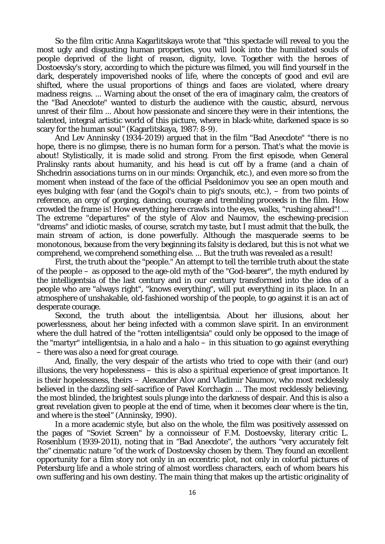So the film critic Anna Kagarlitskaya wrote that "this spectacle will reveal to you the most ugly and disgusting human properties, you will look into the humiliated souls of people deprived of the light of reason, dignity, love. Together with the heroes of Dostoevsky's story, according to which the picture was filmed, you will find yourself in the dark, desperately impoverished nooks of life, where the concepts of good and evil are shifted, where the usual proportions of things and faces are violated, where dreary madness reigns. ... Warning about the onset of the era of imaginary calm, the creators of the "Bad Anecdote" wanted to disturb the audience with the caustic, absurd, nervous unrest of their film ... About how passionate and sincere they were in their intentions, the talented, integral artistic world of this picture, where in black-white, darkened space is so scary for the human soul" (Kagarlitskaya, 1987: 8-9).

And Lev Anninsky (1934-2019) argued that in the film "Bad Anecdote" "there is no hope, there is no glimpse, there is no human form for a person. That's what the movie is about! Stylistically, it is made solid and strong. From the first episode, when General Pralinsky rants about humanity, and his head is cut off by a frame (and a chain of Shchedrin associations turns on in our minds: Organchik, etc.), and even more so from the moment when instead of the face of the official Pseldonimov you see an open mouth and eyes bulging with fear (and the Gogol's chain to pig's snouts, etc.), – from two points of reference, an orgy of gorging, dancing, courage and trembling proceeds in the film. How crowded the frame is! How everything here crawls into the eyes, walks, "rushing ahead"! ... The extreme "departures" of the style of Alov and Naumov, the eschewing-precision "dreams" and idiotic masks, of course, scratch my taste, but I must admit that the bulk, the main stream of action, is done powerfully. Although the masquerade seems to be monotonous, because from the very beginning its falsity is declared, but this is not what we comprehend, we comprehend something else. ... But the truth was revealed as a result!

First, the truth about the "people." An attempt to tell the terrible truth about the state of the people – as opposed to the age-old myth of the "God-bearer", the myth endured by the intelligentsia of the last century and in our century transformed into the idea of a people who are "always right", "knows everything", will put everything in its place. In an atmosphere of unshakable, old-fashioned worship of the people, to go against it is an act of desperate courage.

Second, the truth about the intelligentsia. About her illusions, about her powerlessness, about her being infected with a common slave spirit. In an environment where the dull hatred of the "rotten intelligentsia" could only be opposed to the image of the "martyr" intelligentsia, in a halo and a halo  $-$  in this situation to go against everything – there was also a need for great courage.

And, finally, the very despair of the artists who tried to cope with their (and our) illusions, the very hopelessness – this is also a spiritual experience of great importance. It is their hopelessness, theirs – Alexander Alov and Vladimir Naumov, who most recklessly believed in the dazzling self-sacrifice of Pavel Korchagin ... The most recklessly believing, the most blinded, the brightest souls plunge into the darkness of despair. And this is also a great revelation given to people at the end of time, when it becomes clear where is the tin, and where is the steel" (Anninsky, 1990).

In a more academic style, but also on the whole, the film was positively assessed on the pages of "Soviet Screen" by a connoisseur of F.M. Dostoevsky, literary critic L. Rosenblum (1939-2011), noting that in "Bad Anecdote", the authors "very accurately felt the" cinematic nature "of the work of Dostoevsky chosen by them. They found an excellent opportunity for a film story not only in an eccentric plot, not only in colorful pictures of Petersburg life and a whole string of almost wordless characters, each of whom bears his own suffering and his own destiny. The main thing that makes up the artistic originality of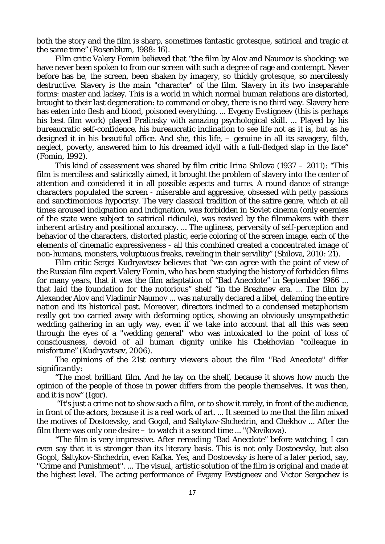both the story and the film is sharp, sometimes fantastic grotesque, satirical and tragic at the same time" (Rosenblum, 1988: 16).

Film critic Valery Fomin believed that "the film by Alov and Naumov is shocking: we have never been spoken to from our screen with such a degree of rage and contempt. Never before has he, the screen, been shaken by imagery, so thickly grotesque, so mercilessly destructive. Slavery is the main "character" of the film. Slavery in its two inseparable forms: master and lackey. This is a world in which normal human relations are distorted, brought to their last degeneration: to command or obey, there is no third way. Slavery here has eaten into flesh and blood, poisoned everything. ... Evgeny Evstigneev (this is perhaps his best film work) played Pralinsky with amazing psychological skill. ... Played by his bureaucratic self-confidence, his bureaucratic inclination to see life not as it is, but as he designed it in his beautiful office. And she, this life, – genuine in all its savagery, filth, neglect, poverty, answered him to his dreamed idyll with a full-fledged slap in the face" (Fomin, 1992).

This kind of assessment was shared by film critic Irina Shilova (1937 – 2011): "This film is merciless and satirically aimed, it brought the problem of slavery into the center of attention and considered it in all possible aspects and turns. A round dance of strange characters populated the screen - miserable and aggressive, obsessed with petty passions and sanctimonious hypocrisy. The very classical tradition of the satire genre, which at all times aroused indignation and indignation, was forbidden in Soviet cinema (only enemies of the state were subject to satirical ridicule), was revived by the filmmakers with their inherent artistry and positional accuracy. ... The ugliness, perversity of self-perception and behavior of the characters, distorted plastic, eerie coloring of the screen image, each of the elements of cinematic expressiveness - all this combined created a concentrated image of non-humans, monsters, voluptuous freaks, reveling in their servility" (Shilova, 2010: 21).

Film critic Sergei Kudryavtsev believes that "we can agree with the point of view of the Russian film expert Valery Fomin, who has been studying the history of forbidden films for many years, that it was the film adaptation of "Bad Anecdote" in September 1966 ... that laid the foundation for the notorious" shelf "in the Brezhnev era. ... The film by Alexander Alov and Vladimir Naumov ... was naturally declared a libel, defaming the entire nation and its historical past. Moreover, directors inclined to a condensed metaphorism really got too carried away with deforming optics, showing an obviously unsympathetic wedding gathering in an ugly way, even if we take into account that all this was seen through the eyes of a "wedding general" who was intoxicated to the point of loss of consciousness, devoid of all human dignity unlike his Chekhovian "colleague in misfortune" (Kudryavtsev, 2006).

*The opinions of the 21st century viewers about the film "Bad Anecdote" differ significantly:*

"The most brilliant film. And he lay on the shelf, because it shows how much the opinion of the people of those in power differs from the people themselves. It was then, and it is now" (Igor).

"It's just a crime not to show such a film, or to show it rarely, in front of the audience, in front of the actors, because it is a real work of art. ... It seemed to me that the film mixed the motives of Dostoevsky, and Gogol, and Saltykov-Shchedrin, and Chekhov ... After the film there was only one desire – to watch it a second time ... "(Novikova).

"The film is very impressive. After rereading "Bad Anecdote" before watching, I can even say that it is stronger than its literary basis. This is not only Dostoevsky, but also Gogol, Saltykov-Shchedrin, even Kafka. Yes, and Dostoevsky is here of a later period, say, "Crime and Punishment". ... The visual, artistic solution of the film is original and made at the highest level. The acting performance of Evgeny Evstigneev and Victor Sergachev is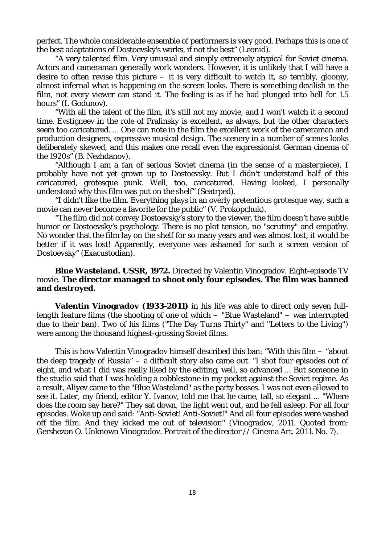perfect. The whole considerable ensemble of performers is very good. Perhaps this is one of the best adaptations of Dostoevsky's works, if not the best" (Leonid).

"A very talented film. Very unusual and simply extremely atypical for Soviet cinema. Actors and cameraman generally work wonders. However, it is unlikely that I will have a desire to often revise this picture  $-$  it is very difficult to watch it, so terribly, gloomy, almost infernal what is happening on the screen looks. There is something devilish in the film, not every viewer can stand it. The feeling is as if he had plunged into hell for 1.5 hours" (I. Godunov).

"With all the talent of the film, it's still not my movie, and I won't watch it a second time. Evstigneev in the role of Pralinsky is excellent, as always, but the other characters seem too caricatured. ... One can note in the film the excellent work of the cameraman and production designers, expressive musical design. The scenery in a number of scenes looks deliberately skewed, and this makes one recall even the expressionist German cinema of the 1920s" (B. Nezhdanov).

"Although I am a fan of serious Soviet cinema (in the sense of a masterpiece), I probably have not yet grown up to Dostoevsky. But I didn't understand half of this caricatured, grotesque punk. Well, too, caricatured. Having looked, I personally understood why this film was put on the shelf" (Seatrped).

"I didn't like the film. Everything plays in an overly pretentious grotesque way, such a movie can never become a favorite for the public" (V. Prokopchuk).

"The film did not convey Dostoevsky's story to the viewer, the film doesn't have subtle humor or Dostoevsky's psychology. There is no plot tension, no "scrutiny" and empathy. No wonder that the film lay on the shelf for so many years and was almost lost, it would be better if it was lost! Apparently, everyone was ashamed for such a screen version of Dostoevsky" (Exacustodian).

#### **Blue Wasteland. USSR, 1972.** Directed by Valentin Vinogradov. Eight-episode TV movie. **The director managed to shoot only four episodes. The film was banned and destroyed.**

**Valentin Vinogradov (1933-2011)** in his life was able to direct only seven fulllength feature films (the shooting of one of which  $-$  "Blue Wasteland"  $-$  was interrupted due to their ban). Two of his films ("The Day Turns Thirty" and "Letters to the Living") were among the thousand highest-grossing Soviet films.

This is how Valentin Vinogradov himself described this ban: "With this film – "about the deep tragedy of Russia" – a difficult story also came out. "I shot four episodes out of eight, and what I did was really liked by the editing, well, so advanced ... But someone in the studio said that I was holding a cobblestone in my pocket against the Soviet regime. As a result, Aliyev came to the "Blue Wasteland" as the party bosses. I was not even allowed to see it. Later, my friend, editor Y. Ivanov, told me that he came, tall, so elegant ... "Where does the room say here?" They sat down, the light went out, and he fell asleep. For all four episodes. Woke up and said: "Anti-Soviet! Anti-Soviet!" And all four episodes were washed off the film. And they kicked me out of television" (Vinogradov, 2011. Quoted from: Gershezon O. Unknown Vinogradov. Portrait of the director // Cinema Art. 2011. No. 7).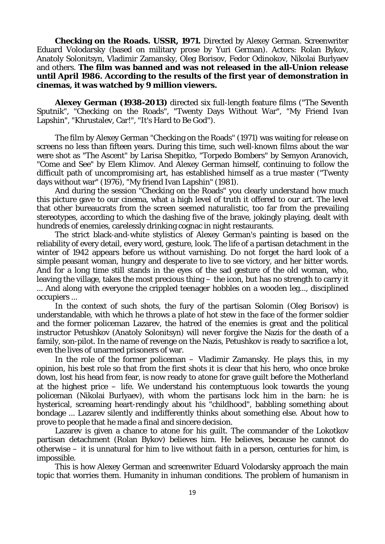**Checking on the Roads. USSR, 1971.** Directed by Alexey German. Screenwriter Eduard Volodarsky (based on military prose by Yuri German). Actors: Rolan Bykov, Anatoly Solonitsyn, Vladimir Zamansky, Oleg Borisov, Fedor Odinokov, Nikolai Burlyaev and others. **The film was banned and was not released in the all-Union release until April 1986. According to the results of the first year of demonstration in cinemas, it was watched by 9 million viewers.**

**Alexey German (1938-2013)** directed six full-length feature films ("The Seventh Sputnik", "Checking on the Roads", "Twenty Days Without War", "My Friend Ivan Lapshin", "Khrustalev, Car!", "It's Hard to Be God").

The film by Alexey German "Checking on the Roads" (1971) was waiting for release on screens no less than fifteen years. During this time, such well-known films about the war were shot as "The Ascent" by Larisa Shepitko, "Torpedo Bombers" by Semyon Aranovich, "Come and See" by Elem Klimov. And Alexey German himself, continuing to follow the difficult path of uncompromising art, has established himself as a true master ("Twenty days without war" (1976), "My friend Ivan Lapshin" (1981).

And during the session "Checking on the Roads" you clearly understand how much this picture gave to our cinema, what a high level of truth it offered to our art. The level that other bureaucrats from the screen seemed naturalistic, too far from the prevailing stereotypes, according to which the dashing five of the brave, jokingly playing, dealt with hundreds of enemies, carelessly drinking cognac in night restaurants.

The strict black-and-white stylistics of Alexey German's painting is based on the reliability of every detail, every word, gesture, look. The life of a partisan detachment in the winter of 1942 appears before us without varnishing. Do not forget the hard look of a simple peasant woman, hungry and desperate to live to see victory, and her bitter words. And for a long time still stands in the eyes of the sad gesture of the old woman, who, leaving the village, takes the most precious thing – the icon, but has no strength to carry it ... And along with everyone the crippled teenager hobbles on a wooden leg..., disciplined occupiers ...

In the context of such shots, the fury of the partisan Solomin (Oleg Borisov) is understandable, with which he throws a plate of hot stew in the face of the former soldier and the former policeman Lazarev, the hatred of the enemies is great and the political instructor Petushkov (Anatoly Solonitsyn) will never forgive the Nazis for the death of a family, son-pilot. In the name of revenge on the Nazis, Petushkov is ready to sacrifice a lot, even the lives of unarmed prisoners of war.

In the role of the former policeman – Vladimir Zamansky. He plays this, in my opinion, his best role so that from the first shots it is clear that his hero, who once broke down, lost his head from fear, is now ready to atone for grave guilt before the Motherland at the highest price – life. We understand his contemptuous look towards the young policeman (Nikolai Burlyaev), with whom the partisans lock him in the barn: he is hysterical, screaming heart-rendingly about his "childhood", babbling something about bondage ... Lazarev silently and indifferently thinks about something else. About how to prove to people that he made a final and sincere decision.

Lazarev is given a chance to atone for his guilt. The commander of the Lokotkov partisan detachment (Rolan Bykov) believes him. He believes, because he cannot do otherwise – it is unnatural for him to live without faith in a person, centuries for him, is impossible.

This is how Alexey German and screenwriter Eduard Volodarsky approach the main topic that worries them. Humanity in inhuman conditions. The problem of humanism in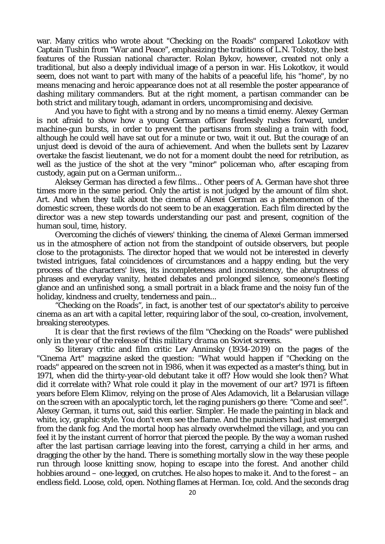war. Many critics who wrote about "Checking on the Roads" compared Lokotkov with Captain Tushin from "War and Peace", emphasizing the traditions of L.N. Tolstoy, the best features of the Russian national character. Rolan Bykov, however, created not only a traditional, but also a deeply individual image of a person in war. His Lokotkov, it would seem, does not want to part with many of the habits of a peaceful life, his "home", by no means menacing and heroic appearance does not at all resemble the poster appearance of dashing military commanders. But at the right moment, a partisan commander can be both strict and military tough, adamant in orders, uncompromising and decisive.

And you have to fight with a strong and by no means a timid enemy. Alexey German is not afraid to show how a young German officer fearlessly rushes forward, under machine-gun bursts, in order to prevent the partisans from stealing a train with food, although he could well have sat out for a minute or two, wait it out. But the courage of an unjust deed is devoid of the aura of achievement. And when the bullets sent by Lazarev overtake the fascist lieutenant, we do not for a moment doubt the need for retribution, as well as the justice of the shot at the very "minor" policeman who, after escaping from custody, again put on a German uniform...

Aleksey German has directed a few films... Other peers of A. German have shot three times more in the same period. Only the artist is not judged by the amount of film shot. Art. And when they talk about the cinema of Alexei German as a phenomenon of the domestic screen, these words do not seem to be an exaggeration. Each film directed by the director was a new step towards understanding our past and present, cognition of the human soul, time, history.

Overcoming the clichés of viewers' thinking, the cinema of Alexei German immersed us in the atmosphere of action not from the standpoint of outside observers, but people close to the protagonists. The director hoped that we would not be interested in cleverly twisted intrigues, fatal coincidences of circumstances and a happy ending, but the very process of the characters' lives, its incompleteness and inconsistency, the abruptness of phrases and everyday vanity, heated debates and prolonged silence, someone's fleeting glance and an unfinished song, a small portrait in a black frame and the noisy fun of the holiday, kindness and cruelty, tenderness and pain...

"Checking on the Roads", in fact, is another test of our spectator's ability to perceive cinema as an art with a capital letter, requiring labor of the soul, co-creation, involvement, breaking stereotypes.

*It is clear that the first reviews of the film "Checking on the Roads" were published only in the year of the release of this military drama on Soviet screens.*

So literary critic and film critic Lev Anninsky (1934-2019) on the pages of the "Cinema Art" magazine asked the question: "What would happen if "Checking on the roads" appeared on the screen not in 1986, when it was expected as a master's thing, but in 1971, when did the thirty-year-old debutant take it off? How would she look then? What did it correlate with? What role could it play in the movement of our art? 1971 is fifteen years before Elem Klimov, relying on the prose of Ales Adamovich, lit a Belarusian village on the screen with an apocalyptic torch, let the raging punishers go there: "Come and see!". Alexey German, it turns out, said this earlier. Simpler. He made the painting in black and white, icy, graphic style. You don't even see the flame. And the punishers had just emerged from the dank fog. And the mortal hoop has already overwhelmed the village, and you can feel it by the instant current of horror that pierced the people. By the way a woman rushed after the last partisan carriage leaving into the forest, carrying a child in her arms, and dragging the other by the hand. There is something mortally slow in the way these people run through loose knitting snow, hoping to escape into the forest. And another child hobbies around – one-legged, on crutches. He also hopes to make it. And to the forest – an endless field. Loose, cold, open. Nothing flames at Herman. Ice, cold. And the seconds drag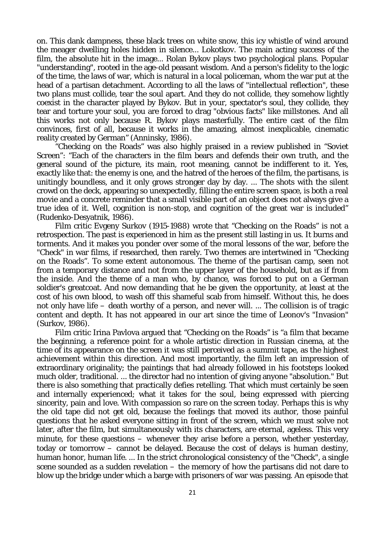on. This dank dampness, these black trees on white snow, this icy whistle of wind around the meager dwelling holes hidden in silence... Lokotkov. The main acting success of the film, the absolute hit in the image... Rolan Bykov plays two psychological plans. Popular "understanding", rooted in the age-old peasant wisdom. And a person's fidelity to the logic of the time, the laws of war, which is natural in a local policeman, whom the war put at the head of a partisan detachment. According to all the laws of "intellectual reflection", these two plans must collide, tear the soul apart. And they do not collide, they somehow lightly coexist in the character played by Bykov. But in your, spectator's soul, they collide, they tear and torture your soul, you are forced to drag "obvious facts" like millstones. And all this works not only because R. Bykov plays masterfully. The entire cast of the film convinces, first of all, because it works in the amazing, almost inexplicable, cinematic reality created by German" (Anninsky, 1986).

"Checking on the Roads" was also highly praised in a review published in "Soviet Screen": "Each of the characters in the film bears and defends their own truth, and the general sound of the picture, its main, root meaning, cannot be indifferent to it. Yes, exactly like that: the enemy is one, and the hatred of the heroes of the film, the partisans, is unitingly boundless, and it only grows stronger day by day. ... The shots with the silent crowd on the deck, appearing so unexpectedly, filling the entire screen space, is both a real movie and a concrete reminder that a small visible part of an object does not always give a true idea of it. Well, cognition is non-stop, and cognition of the great war is included" (Rudenko-Desyatnik, 1986).

Film critic Evgeny Surkov (1915-1988) wrote that "Checking on the Roads" is not a retrospection. The past is experienced in him as the present still lasting in us. It burns and torments. And it makes you ponder over some of the moral lessons of the war, before the "Check" in war films, if researched, then rarely. Two themes are intertwined in "Checking on the Roads". To some extent autonomous. The theme of the partisan camp, seen not from a temporary distance and not from the upper layer of the household, but as if from the inside. And the theme of a man who, by chance, was forced to put on a German soldier's greatcoat. And now demanding that he be given the opportunity, at least at the cost of his own blood, to wash off this shameful scab from himself. Without this, he does not only have life – death worthy of a person, and never will. ... The collision is of tragic content and depth. It has not appeared in our art since the time of Leonov's "Invasion" (Surkov, 1986).

Film critic Irina Pavlova argued that "Checking on the Roads" is "a film that became the beginning, a reference point for a whole artistic direction in Russian cinema, at the time of its appearance on the screen it was still perceived as a summit tape, as the highest achievement within this direction. And most importantly, the film left an impression of extraordinary originality; the paintings that had already followed in his footsteps looked much older, traditional. ... the director had no intention of giving anyone "absolution." But there is also something that practically defies retelling. That which must certainly be seen and internally experienced; what it takes for the soul, being expressed with piercing sincerity, pain and love. With compassion so rare on the screen today. Perhaps this is why the old tape did not get old, because the feelings that moved its author, those painful questions that he asked everyone sitting in front of the screen, which we must solve not later, after the film, but simultaneously with its characters, are eternal, ageless. This very minute, for these questions – whenever they arise before a person, whether yesterday, today or tomorrow – cannot be delayed. Because the cost of delays is human destiny, human honor, human life. ... In the strict chronological consistency of the "Check", a single scene sounded as a sudden revelation – the memory of how the partisans did not dare to blow up the bridge under which a barge with prisoners of war was passing. An episode that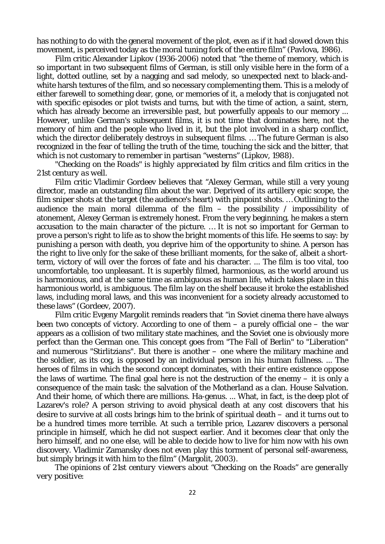has nothing to do with the general movement of the plot, even as if it had slowed down this movement, is perceived today as the moral tuning fork of the entire film" (Pavlova, 1986).

Film critic Alexander Lipkov (1936-2006) noted that "the theme of memory, which is so important in two subsequent films of German, is still only visible here in the form of a light, dotted outline, set by a nagging and sad melody, so unexpected next to black-andwhite harsh textures of the film, and so necessary complementing them. This is a melody of either farewell to something dear, gone, or memories of it, a melody that is conjugated not with specific episodes or plot twists and turns, but with the time of action, a saint, stern, which has already become an irreversible past, but powerfully appeals to our memory ... However, unlike German's subsequent films, it is not time that dominates here, not the memory of him and the people who lived in it, but the plot involved in a sharp conflict, which the director deliberately destroys in subsequent films. ... The future German is also recognized in the fear of telling the truth of the time, touching the sick and the bitter, that which is not customary to remember in partisan "westerns" (Lipkov, 1988).

*"Checking on the Roads" is highly appreciated by film critics and film critics in the 21st century as well.*

Film critic Vladimir Gordeev believes that "Alexey German, while still a very young director, made an outstanding film about the war. Deprived of its artillery epic scope, the film sniper shots at the target (the audience's heart) with pinpoint shots. … Outlining to the audience the main moral dilemma of the film  $-$  the possibility  $/$  impossibility of atonement, Alexey German is extremely honest. From the very beginning, he makes a stern accusation to the main character of the picture. … It is not so important for German to prove a person's right to life as to show the bright moments of this life. He seems to say: by punishing a person with death, you deprive him of the opportunity to shine. A person has the right to live only for the sake of these brilliant moments, for the sake of, albeit a shortterm, victory of will over the forces of fate and his character. ... The film is too vital, too uncomfortable, too unpleasant. It is superbly filmed, harmonious, as the world around us is harmonious, and at the same time as ambiguous as human life, which takes place in this harmonious world, is ambiguous. The film lay on the shelf because it broke the established laws, including moral laws, and this was inconvenient for a society already accustomed to these laws" (Gordeev, 2007).

Film critic Evgeny Margolit reminds readers that "in Soviet cinema there have always been two concepts of victory. According to one of them  $-$  a purely official one  $-$  the war appears as a collision of two military state machines, and the Soviet one is obviously more perfect than the German one. This concept goes from "The Fall of Berlin" to "Liberation" and numerous "Stirlitzians". But there is another – one where the military machine and the soldier, as its cog, is opposed by an individual person in his human fullness. ... The heroes of films in which the second concept dominates, with their entire existence oppose the laws of wartime. The final goal here is not the destruction of the enemy  $-$  it is only a consequence of the main task: the salvation of the Motherland as a clan. House Salvation. And their home, of which there are millions. Ha-genus. ... What, in fact, is the deep plot of Lazarev's role? A person striving to avoid physical death at any cost discovers that his desire to survive at all costs brings him to the brink of spiritual death – and it turns out to be a hundred times more terrible. At such a terrible price, Lazarev discovers a personal principle in himself, which he did not suspect earlier. And it becomes clear that only the hero himself, and no one else, will be able to decide how to live for him now with his own discovery. Vladimir Zamansky does not even play this torment of personal self-awareness, but simply brings it with him to the film" (Margolit, 2003).

*The opinions of 21st century viewers about "Checking on the Roads" are generally very positive:*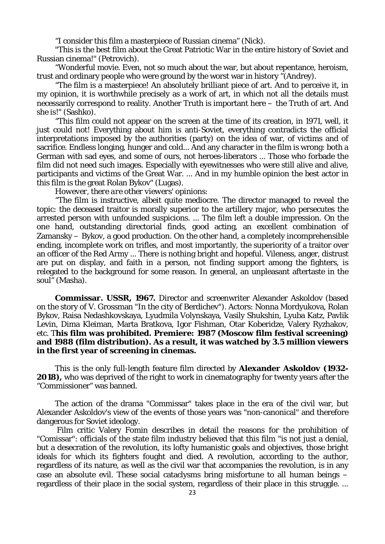"I consider this film a masterpiece of Russian cinema" (Nick).

"This is the best film about the Great Patriotic War in the entire history of Soviet and Russian cinema!" (Petrovich).

"Wonderful movie. Even, not so much about the war, but about repentance, heroism, trust and ordinary people who were ground by the worst war in history "(Andrey).

"The film is a masterpiece! An absolutely brilliant piece of art. And to perceive it, in my opinion, it is worthwhile precisely as a work of art, in which not all the details must necessarily correspond to reality. Another Truth is important here – the Truth of art. And she is!" (Sashko).

"This film could not appear on the screen at the time of its creation, in 1971, well, it just could not! Everything about him is anti-Soviet, everything contradicts the official interpretations imposed by the authorities (party) on the idea of war, of victims and of sacrifice. Endless longing, hunger and cold... And any character in the film is wrong: both a German with sad eyes, and some of ours, not heroes-liberators ... Those who forbade the film did not need such images. Especially with eyewitnesses who were still alive and alive, participants and victims of the Great War. ... And in my humble opinion the best actor in this film is the great Rolan Bykov" (Lugas).

*However, there are other viewers' opinions:*

"The film is instructive, albeit quite mediocre. The director managed to reveal the topic: the deceased traitor is morally superior to the artillery major, who persecutes the arrested person with unfounded suspicions. ... The film left a double impression. On the one hand, outstanding directorial finds, good acting, an excellent combination of Zamansky – Bykov, a good production. On the other hand, a completely incomprehensible ending, incomplete work on trifles, and most importantly, the superiority of a traitor over an officer of the Red Army ... There is nothing bright and hopeful. Vileness, anger, distrust are put on display, and faith in a person, not finding support among the fighters, is relegated to the background for some reason. In general, an unpleasant aftertaste in the soul" (Masha).

**Commissar. USSR, 1967.** Director and screenwriter Alexander Askoldov (based on the story of V. Grossman "In the city of Berdichev"). Actors: Nonna Mordyukova, Rolan Bykov, Raisa Nedashkovskaya, Lyudmila Volynskaya, Vasily Shukshin, Lyuba Katz, Pavlik Levin, Dima Kleiman, Marta Bratkova, Igor Fishman, Otar Koberidze, Valery Ryzhakov, etc. T**his film was prohibited. Premiere: 1987 (Moscow film festival screening) and 1988 (film distribution). As a result, it was watched by 3.5 million viewers in the first year of screening in cinemas.**

This is the only full-length feature film directed by **Alexander Askoldov (1932- 2018),** who was deprived of the right to work in cinematography for twenty years after the "Commissioner" was banned.

The action of the drama "Commissar" takes place in the era of the civil war, but Alexander Askoldov's view of the events of those years was "non-canonical" and therefore dangerous for Soviet ideology.

Film critic Valery Fomin describes in detail the reasons for the prohibition of "Comissar": officials of the state film industry believed that this film "is not just a denial, but a desecration of the revolution, its lofty humanistic goals and objectives, those bright ideals for which its fighters fought and died. A revolution, according to the author, regardless of its nature, as well as the civil war that accompanies the revolution, is in any case an absolute evil. These social cataclysms bring misfortune to all human beings – regardless of their place in the social system, regardless of their place in this struggle. ...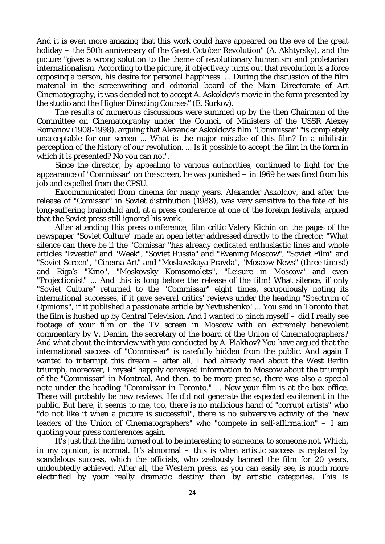And it is even more amazing that this work could have appeared on the eve of the great holiday – the 50th anniversary of the Great October Revolution" (A. Akhtyrsky), and the picture "gives a wrong solution to the theme of revolutionary humanism and proletarian internationalism. According to the picture, it objectively turns out that revolution is a force opposing a person, his desire for personal happiness. ... During the discussion of the film material in the screenwriting and editorial board of the Main Directorate of Art Cinematography, it was decided not to accept A. Askoldov's movie in the form presented by the studio and the Higher Directing Courses" (E. Surkov).

The results of numerous discussions were summed up by the then Chairman of the Committee on Cinematography under the Council of Ministers of the USSR Alexey Romanov (1908-1998), arguing that Alexander Askoldov's film "Commissar" "is completely unacceptable for our screen ... What is the major mistake of this film? In a nihilistic perception of the history of our revolution. ... Is it possible to accept the film in the form in which it is presented? No you can not".

Since the director, by appealing to various authorities, continued to fight for the appearance of "Commissar" on the screen, he was punished – in 1969 he was fired from his job and expelled from the CPSU.

Excommunicated from cinema for many years, Alexander Askoldov, and after the release of "Comissar" in Soviet distribution (1988), was very sensitive to the fate of his long-suffering brainchild and, at a press conference at one of the foreign festivals, argued that the Soviet press still ignored his work.

After attending this press conference, film critic Valery Kichin on the pages of the newspaper "Soviet Culture" made an open letter addressed directly to the director: "What silence can there be if the "Comissar "has already dedicated enthusiastic lines and whole articles "Izvestia" and "Week", "Soviet Russia" and "Evening Moscow", "Soviet Film" and "Soviet Screen", "Cinema Art" and "Moskovskaya Pravda", "Moscow News" (three times!) and Riga's "Kino", "Moskovsky Komsomolets", "Leisure in Moscow" and even "Projectionist" ... And this is long before the release of the film! What silence, if only "Soviet Culture" returned to the "Commissar" eight times, scrupulously noting its international successes, if it gave several critics' reviews under the heading "Spectrum of Opinions", if it published a passionate article by Yevtushenko! ... You said in Toronto that the film is hushed up by Central Television. And I wanted to pinch myself – did I really see footage of your film on the TV screen in Moscow with an extremely benevolent commentary by V. Demin, the secretary of the board of the Union of Cinematographers? And what about the interview with you conducted by A. Plakhov? You have argued that the international success of "Commissar" is carefully hidden from the public. And again I wanted to interrupt this dream – after all, I had already read about the West Berlin triumph, moreover, I myself happily conveyed information to Moscow about the triumph of the "Commissar" in Montreal. And then, to be more precise, there was also a special note under the heading "Commissar in Toronto." ... Now your film is at the box office. There will probably be new reviews. He did not generate the expected excitement in the public. But here, it seems to me, too, there is no malicious hand of "corrupt artists" who "do not like it when a picture is successful", there is no subversive activity of the "new leaders of the Union of Cinematographers" who "compete in self-affirmation" – I am quoting your press conferences again.

It's just that the film turned out to be interesting to someone, to someone not. Which, in my opinion, is normal. It's abnormal – this is when artistic success is replaced by scandalous success, which the officials, who zealously banned the film for 20 years, undoubtedly achieved. After all, the Western press, as you can easily see, is much more electrified by your really dramatic destiny than by artistic categories. This is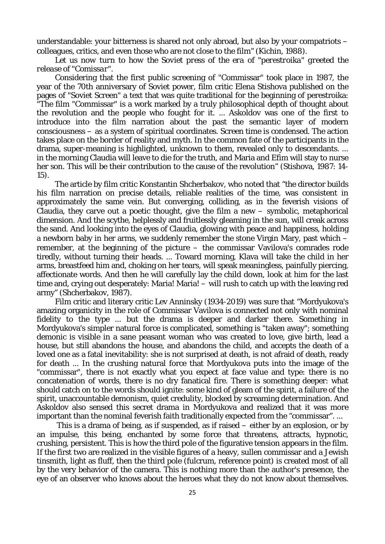understandable: your bitterness is shared not only abroad, but also by your compatriots – colleagues, critics, and even those who are not close to the film" (Kichin, 1988).

Let us now turn to how the Soviet press of the era of "perestroika" greeted the *release of "Comissar".*

Considering that the first public screening of "Commissar" took place in 1987, the year of the 70th anniversary of Soviet power, film critic Elena Stishova published on the pages of "Soviet Screen" a text that was quite traditional for the beginning of perestroika: "The film "Commissar" is a work marked by a truly philosophical depth of thought about the revolution and the people who fought for it. ... Askoldov was one of the first to introduce into the film narration about the past the semantic layer of modern consciousness – as a system of spiritual coordinates. Screen time is condensed. The action takes place on the border of reality and myth. In the common fate of the participants in the drama, super-meaning is highlighted, unknown to them, revealed only to descendants. ... in the morning Claudia will leave to die for the truth, and Maria and Efim will stay to nurse her son. This will be their contribution to the cause of the revolution" (Stishova, 1987: 14- 15).

The article by film critic Konstantin Shcherbakov, who noted that "the director builds his film narration on precise details, reliable realities of the time, was consistent in approximately the same vein. But converging, colliding, as in the feverish visions of Claudia, they carve out a poetic thought, give the film a new  $-$  symbolic, metaphorical dimension. And the scythe, helplessly and fruitlessly gleaming in the sun, will creak across the sand. And looking into the eyes of Claudia, glowing with peace and happiness, holding a newborn baby in her arms, we suddenly remember the stone Virgin Mary, past which – remember, at the beginning of the picture – the commissar Vavilova's comrades rode tiredly, without turning their heads. ... Toward morning, Klava will take the child in her arms, breastfeed him and, choking on her tears, will speak meaningless, painfully piercing, affectionate words. And then he will carefully lay the child down, look at him for the last time and, crying out desperately: Maria! Maria! – will rush to catch up with the leaving red army" (Shcherbakov, 1987).

Film critic and literary critic Lev Anninsky (1934-2019) was sure that "Mordyukova's amazing organicity in the role of Commissar Vavilova is connected not only with nominal fidelity to the type ... but the drama is deeper and darker there. Something in Mordyukova's simpler natural force is complicated, something is "taken away"; something demonic is visible in a sane peasant woman who was created to love, give birth, lead a house, but still abandons the house, and abandons the child, and accepts the death of a loved one as a fatal inevitability: she is not surprised at death, is not afraid of death, ready for death ... In the crushing natural force that Mordyukova puts into the image of the "commissar", there is not exactly what you expect at face value and type: there is no concatenation of words, there is no dry fanatical fire. There is something deeper: what should catch on to the words should ignite: some kind of gleam of the spirit, a failure of the spirit, unaccountable demonism, quiet credulity, blocked by screaming determination. And Askoldov also sensed this secret drama in Mordyukova and realized that it was more important than the nominal feverish faith traditionally expected from the "commissar". ...

This is a drama of being, as if suspended, as if raised – either by an explosion, or by an impulse, this being, enchanted by some force that threatens, attracts, hypnotic, crushing, persistent. This is how the third pole of the figurative tension appears in the film. If the first two are realized in the visible figures of a heavy, sullen commissar and a Jewish tinsmith, light as fluff, then the third pole (fulcrum, reference point) is created most of all by the very behavior of the camera. This is nothing more than the author's presence, the eye of an observer who knows about the heroes what they do not know about themselves.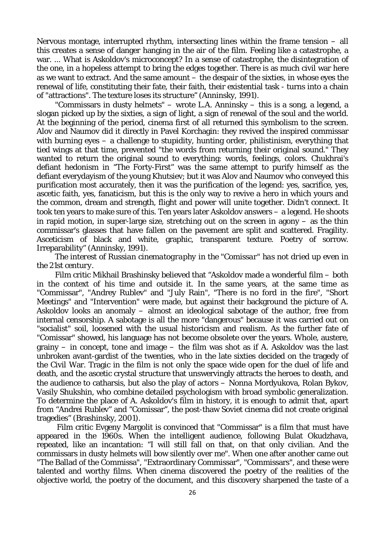Nervous montage, interrupted rhythm, intersecting lines within the frame tension – all this creates a sense of danger hanging in the air of the film. Feeling like a catastrophe, a war. ... What is Askoldov's microconcept? In a sense of catastrophe, the disintegration of the one, in a hopeless attempt to bring the edges together. There is as much civil war here as we want to extract. And the same amount – the despair of the sixties, in whose eyes the renewal of life, constituting their fate, their faith, their existential task - turns into a chain of "attractions". The texture loses its structure" (Anninsky, 1991).

"Commissars in dusty helmets" – wrote L.A. Anninsky – this is a song, a legend, a slogan picked up by the sixties, a sign of light, a sign of renewal of the soul and the world. At the beginning of the period, cinema first of all returned this symbolism to the screen. Alov and Naumov did it directly in Pavel Korchagin: they revived the inspired commissar with burning eyes – a challenge to stupidity, hunting order, philistinism, everything that tied wings at that time, prevented "the words from returning their original sound." They wanted to return the original sound to everything: words, feelings, colors. Chukhrai's defiant hedonism in "The Forty-First" was the same attempt to purify himself as the defiant everydayism of the young Khutsiev; but it was Alov and Naumov who conveyed this purification most accurately, then it was the purification of the legend: yes, sacrifice, yes, ascetic faith, yes, fanaticism, but this is the only way to revive a hero in which yours and the common, dream and strength, flight and power will unite together. Didn't connect. It took ten years to make sure of this. Ten years later Askoldov answers – a legend. He shoots in rapid motion, in super-large size, stretching out on the screen in agony  $-$  as the thin commissar's glasses that have fallen on the pavement are split and scattered. Fragility. Asceticism of black and white, graphic, transparent texture. Poetry of sorrow. Irreparability" (Anninsky, 1991).

*The interest of Russian cinematography in the "Comissar" has not dried up even in the 21st century.*

Film critic Mikhail Brashinsky believed that "Askoldov made a wonderful film – both in the context of his time and outside it. In the same years, at the same time as "Commissar", "Andrey Rublev" and "July Rain", "There is no ford in the fire", "Short Meetings" and "Intervention" were made, but against their background the picture of A. Askoldov looks an anomaly – almost an ideological sabotage of the author, free from internal censorship. A sabotage is all the more "dangerous" because it was carried out on "socialist" soil, loosened with the usual historicism and realism. As the further fate of "Comissar" showed, his language has not become obsolete over the years. Whole, austere, grainy – in concept, tone and image – the film was shot as if A. Askoldov was the last unbroken avant-gardist of the twenties, who in the late sixties decided on the tragedy of the Civil War. Tragic in the film is not only the space wide open for the duel of life and death, and the ascetic crystal structure that unswervingly attracts the heroes to death, and the audience to catharsis, but also the play of actors – Nonna Mordyukova, Rolan Bykov, Vasily Shukshin, who combine detailed psychologism with broad symbolic generalization. To determine the place of A. Askoldov's film in history, it is enough to admit that, apart from "Andrei Rublev" and "Comissar", the post-thaw Soviet cinema did not create original tragedies" (Brashinsky, 2001).

Film critic Evgeny Margolit is convinced that "Commissar" is a film that must have appeared in the 1960s. When the intelligent audience, following Bulat Okudzhava, repeated, like an incantation: "I will still fall on that, on that only civilian. And the commissars in dusty helmets will bow silently over me". When one after another came out "The Ballad of the Commissa", "Extraordinary Commissar", "Commissars", and these were talented and worthy films. When cinema discovered the poetry of the realities of the objective world, the poetry of the document, and this discovery sharpened the taste of a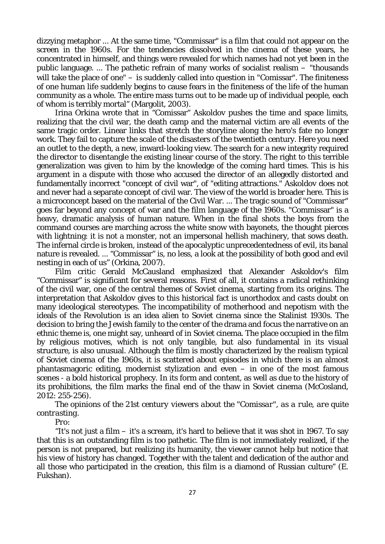dizzying metaphor ... At the same time, "Commissar" is a film that could not appear on the screen in the 1960s. For the tendencies dissolved in the cinema of these years, he concentrated in himself, and things were revealed for which names had not yet been in the public language. ... The pathetic refrain of many works of socialist realism – "thousands will take the place of one" – is suddenly called into question in "Comissar". The finiteness of one human life suddenly begins to cause fears in the finiteness of the life of the human community as a whole. The entire mass turns out to be made up of individual people, each of whom is terribly mortal" (Margolit, 2003).

Irina Orkina wrote that in "Comissar" Askoldov pushes the time and space limits, realizing that the civil war, the death camp and the maternal victim are all events of the same tragic order. Linear links that stretch the storyline along the hero's fate no longer work. They fail to capture the scale of the disasters of the twentieth century. Here you need an outlet to the depth, a new, inward-looking view. The search for a new integrity required the director to disentangle the existing linear course of the story. The right to this terrible generalization was given to him by the knowledge of the coming hard times. This is his argument in a dispute with those who accused the director of an allegedly distorted and fundamentally incorrect "concept of civil war", of "editing attractions." Askoldov does not and never had a separate concept of civil war. The view of the world is broader here. This is a microconcept based on the material of the Civil War. ... The tragic sound of "Commissar" goes far beyond any concept of war and the film language of the 1960s. "Commissar" is a heavy, dramatic analysis of human nature. When in the final shots the boys from the command courses are marching across the white snow with bayonets, the thought pierces with lightning: it is not a monster, not an impersonal hellish machinery, that sows death. The infernal circle is broken, instead of the apocalyptic unprecedentedness of evil, its banal nature is revealed. ... "Commissar" is, no less, a look at the possibility of both good and evil nesting in each of us" (Orkina, 2007).

Film critic Gerald McCausland emphasized that Alexander Askoldov's film "Commissar" is significant for several reasons. First of all, it contains a radical rethinking of the civil war, one of the central themes of Soviet cinema, starting from its origins. The interpretation that Askoldov gives to this historical fact is unorthodox and casts doubt on many ideological stereotypes. The incompatibility of motherhood and nepotism with the ideals of the Revolution is an idea alien to Soviet cinema since the Stalinist 1930s. The decision to bring the Jewish family to the center of the drama and focus the narrative on an ethnic theme is, one might say, unheard of in Soviet cinema. The place occupied in the film by religious motives, which is not only tangible, but also fundamental in its visual structure, is also unusual. Although the film is mostly characterized by the realism typical of Soviet cinema of the 1960s, it is scattered about episodes in which there is an almost phantasmagoric editing, modernist stylization and even  $-$  in one of the most famous scenes - a bold historical prophecy. In its form and content, as well as due to the history of its prohibitions, the film marks the final end of the thaw in Soviet cinema (McCosland, 2012: 255-256).

*The opinions of the 21st century viewers about the "Comissar", as a rule, are quite contrasting.*

*Pro:*

"It's not just a film – it's a scream, it's hard to believe that it was shot in 1967. To say that this is an outstanding film is too pathetic. The film is not immediately realized, if the person is not prepared, but realizing its humanity, the viewer cannot help but notice that his view of history has changed. Together with the talent and dedication of the author and all those who participated in the creation, this film is a diamond of Russian culture" (E. Fukshan).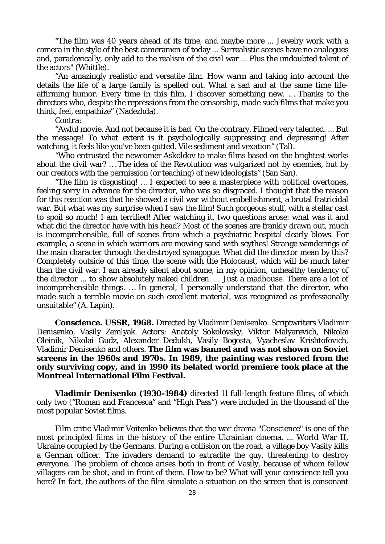"The film was 40 years ahead of its time, and maybe more ... Jewelry work with a camera in the style of the best cameramen of today ... Surrealistic scenes have no analogues and, paradoxically, only add to the realism of the civil war ... Plus the undoubted talent of the actors" (Whittle).

"An amazingly realistic and versatile film. How warm and taking into account the details the life of a large family is spelled out. What a sad and at the same time lifeaffirming humor. Every time in this film, I discover something new. … Thanks to the directors who, despite the repressions from the censorship, made such films that make you think, feel, empathize" (Nadezhda).

*Contra:*

"Awful movie. And not because it is bad. On the contrary. Filmed very talented. ... But the message! To what extent is it psychologically suppressing and depressing! After watching, it feels like you've been gutted. Vile sediment and vexation" (Tal).

"Who entrusted the newcomer Askoldov to make films based on the brightest works about the civil war? … The idea of the Revolution was vulgarized not by enemies, but by our creators with the permission (or teaching) of new ideologists" (San San).

"The film is disgusting! … I expected to see a masterpiece with political overtones, feeling sorry in advance for the director, who was so disgraced. I thought that the reason for this reaction was that he showed a civil war without embellishment, a brutal fratricidal war. But what was my surprise when I saw the film! Such gorgeous stuff, with a stellar cast to spoil so much! I am terrified! After watching it, two questions arose: what was it and what did the director have with his head? Most of the scenes are frankly drawn out, much is incomprehensible, full of scenes from which a psychiatric hospital clearly blows. For example, a scene in which warriors are mowing sand with scythes! Strange wanderings of the main character through the destroyed synagogue. What did the director mean by this? Completely outside of this time, the scene with the Holocaust, which will be much later than the civil war. I am already silent about some, in my opinion, unhealthy tendency of the director ... to show absolutely naked children. ... Just a madhouse. There are a lot of incomprehensible things. … In general, I personally understand that the director, who made such a terrible movie on such excellent material, was recognized as professionally unsuitable" (A. Lapin).

**Conscience. USSR, 1968.** Directed by Vladimir Denisenko. Scriptwriters Vladimir Denisenko, Vasily Zemlyak. Actors: Anatoly Sokolovsky, Viktor Malyarevich, Nikolai Oleinik, Nikolai Gudz, Alexander Dedukh, Vasily Bogosta, Vyacheslav Krishtofovich, Vladimir Denisenko and others. **The film was banned and was not shown on Soviet screens in the 1960s and 1970s. In 1989, the painting was restored from the only surviving copy, and in 1990 its belated world premiere took place at the Montreal International Film Festival.**

**Vladimir Denisenko (1930-1984)** directed 11 full-length feature films, of which only two ("Roman and Francesca" and "High Pass") were included in the thousand of the most popular Soviet films.

Film critic Vladimir Voitenko believes that the war drama "Conscience" is one of the most principled films in the history of the entire Ukrainian cinema. ... World War II, Ukraine occupied by the Germans. During a collision on the road, a village boy Vasily kills a German officer. The invaders demand to extradite the guy, threatening to destroy everyone. The problem of choice arises both in front of Vasily, because of whom fellow villagers can be shot, and in front of them. How to be? What will your conscience tell you here? In fact, the authors of the film simulate a situation on the screen that is consonant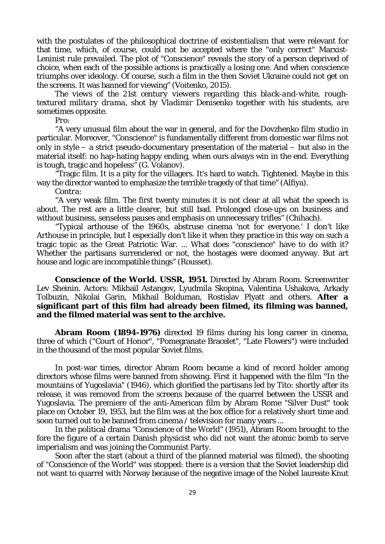with the postulates of the philosophical doctrine of existentialism that were relevant for that time, which, of course, could not be accepted where the "only correct" Marxist-Leninist rule prevailed. The plot of "Conscience" reveals the story of a person deprived of choice, when each of the possible actions is practically a losing one. And when conscience triumphs over ideology. Of course, such a film in the then Soviet Ukraine could not get on the screens. It was banned for viewing" (Voitenko, 2015).

*The views of the 21st century viewers regarding this black-and-white, roughtextured military drama, shot by Vladimir Denisenko together with his students, are sometimes opposite.*

*Pro:*

"A very unusual film about the war in general, and for the Dovzhenko film studio in particular. Moreover, "Conscience" is fundamentally different from domestic war films not only in style – a strict pseudo-documentary presentation of the material – but also in the material itself: no hap-hating happy ending, when ours always win in the end. Everything is tough, tragic and hopeless" (G. Volanov).

"Tragic film. It is a pity for the villagers. It's hard to watch. Tightened. Maybe in this way the director wanted to emphasize the terrible tragedy of that time" (Alfiya).

*Contra:*

"A very weak film. The first twenty minutes it is not clear at all what the speech is about. The rest are a little clearer, but still bad. Prolonged close-ups on business and without business, senseless pauses and emphasis on unnecessary trifles" (Chihach).

"Typical arthouse of the 1960s, abstruse cinema 'not for everyone.' I don't like Arthouse in principle, but I especially don't like it when they practice in this way on such a tragic topic as the Great Patriotic War. ... What does "conscience" have to do with it? Whether the partisans surrendered or not, the hostages were doomed anyway. But art house and logic are incompatible things" (Rousset).

**Conscience of the World. USSR, 1951.** Directed by Abram Room. Screenwriter Lev Sheinin. Actors: Mikhail Astangov, Lyudmila Skopina, Valentina Ushakova, Arkady Tolbuzin, Nikolai Garin, Mikhail Bolduman, Rostislav Plyatt and others. **After a significant part of this film had already been filmed, its filming was banned, and the filmed material was sent to the archive.**

**Abram Room (1894-1976)** directed 19 films during his long career in cinema, three of which ("Court of Honor", "Pomegranate Bracelet", "Late Flowers") were included in the thousand of the most popular Soviet films.

In post-war times, director Abram Room became a kind of record holder among directors whose films were banned from showing. First it happened with the film "In the mountains of Yugoslavia" (1946), which glorified the partisans led by Tito: shortly after its release, it was removed from the screens because of the quarrel between the USSR and Yugoslavia. The premiere of the anti-American film by Abram Rome "Silver Dust" took place on October 19, 1953, but the film was at the box office for a relatively short time and soon turned out to be banned from cinema / television for many years ...

In the political drama "Conscience of the World" (1951), Abram Room brought to the fore the figure of a certain Danish physicist who did not want the atomic bomb to serve imperialism and was joining the Communist Party.

Soon after the start (about a third of the planned material was filmed), the shooting of "Conscience of the World" was stopped: there is a version that the Soviet leadership did not want to quarrel with Norway because of the negative image of the Nobel laureate Knut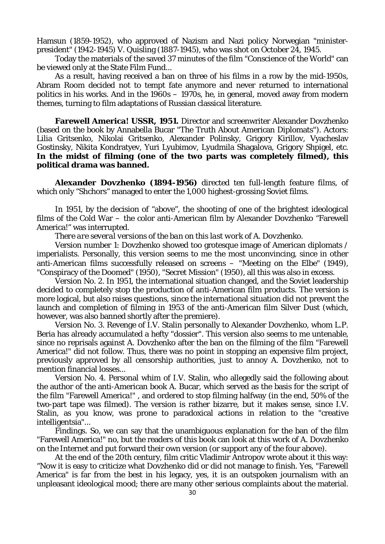Hamsun (1859-1952), who approved of Nazism and Nazi policy Norwegian "ministerpresident" (1942-1945) V. Quisling (1887-1945), who was shot on October 24, 1945.

Today the materials of the saved 37 minutes of the film "Conscience of the World" can be viewed only at the State Film Fund...

As a result, having received a ban on three of his films in a row by the mid-1950s, Abram Room decided not to tempt fate anymore and never returned to international politics in his works. And in the 1960s – 1970s, he, in general, moved away from modern themes, turning to film adaptations of Russian classical literature.

**Farewell America! USSR, 1951.** Director and screenwriter Alexander Dovzhenko (based on the book by Annabella Bucar "The Truth About American Diplomats"). Actors: Lilia Gritsenko, Nikolai Gritsenko, Alexander Polinsky, Grigory Kirillov, Vyacheslav Gostinsky, Nikita Kondratyev, Yuri Lyubimov, Lyudmila Shagalova, Grigory Shpigel, etc. **In the midst of filming (one of the two parts was completely filmed), this political drama was banned.**

**Alexander Dovzhenko (1894-1956)** directed ten full-length feature films, of which only "Shchors" managed to enter the 1,000 highest-grossing Soviet films.

In 1951, by the decision of "above", the shooting of one of the brightest ideological films of the Cold War – the color anti-American film by Alexander Dovzhenko "Farewell America!" was interrupted.

*There are several versions of the ban on this last work of A. Dovzhenko.*

Version number 1: Dovzhenko showed too grotesque image of American diplomats / imperialists. Personally, this version seems to me the most unconvincing, since in other anti-American films successfully released on screens – "Meeting on the Elbe" (1949), "Conspiracy of the Doomed" (1950), "Secret Mission" (1950), all this was also in excess.

Version No. 2. In 1951, the international situation changed, and the Soviet leadership decided to completely stop the production of anti-American film products. The version is more logical, but also raises questions, since the international situation did not prevent the launch and completion of filming in 1953 of the anti-American film Silver Dust (which, however, was also banned shortly after the premiere).

Version No. 3. Revenge of I.V. Stalin personally to Alexander Dovzhenko, whom L.P. Beria has already accumulated a hefty "dossier". This version also seems to me untenable, since no reprisals against A. Dovzhenko after the ban on the filming of the film "Farewell America!" did not follow. Thus, there was no point in stopping an expensive film project, previously approved by all censorship authorities, just to annoy A. Dovzhenko, not to mention financial losses...

Version No. 4. Personal whim of I.V. Stalin, who allegedly said the following about the author of the anti-American book A. Bucar, which served as the basis for the script of the film "Farewell America!" , and ordered to stop filming halfway (in the end, 50% of the two-part tape was filmed). The version is rather bizarre, but it makes sense, since I.V. Stalin, as you know, was prone to paradoxical actions in relation to the "creative intelligentsia"...

Findings. So, we can say that the unambiguous explanation for the ban of the film "Farewell America!" no, but the readers of this book can look at this work of A. Dovzhenko on the Internet and put forward their own version (or support any of the four above).

At the end of the 20th century, film critic Vladimir Antropov wrote about it this way: "Now it is easy to criticize what Dovzhenko did or did not manage to finish. Yes, "Farewell America" is far from the best in his legacy, yes, it is an outspoken journalism with an unpleasant ideological mood; there are many other serious complaints about the material.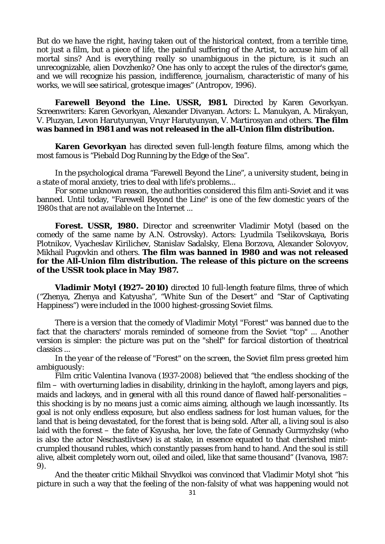But do we have the right, having taken out of the historical context, from a terrible time, not just a film, but a piece of life, the painful suffering of the Artist, to accuse him of all mortal sins? And is everything really so unambiguous in the picture, is it such an unrecognizable, alien Dovzhenko? One has only to accept the rules of the director's game, and we will recognize his passion, indifference, journalism, characteristic of many of his works, we will see satirical, grotesque images" (Antropov, 1996).

**Farewell Beyond the Line. USSR, 1981.** Directed by Karen Gevorkyan. Screenwriters: Karen Gevorkyan, Alexander Divanyan. Actors: L. Manukyan, A. Mirakyan, V. Pluzyan, Levon Harutyunyan, Vruyr Harutyunyan, V. Martirosyan and others. **The film was banned in 1981 and was not released in the all-Union film distribution.**

**Karen Gevorkyan** has directed seven full-length feature films, among which the most famous is "Piebald Dog Running by the Edge of the Sea".

In the psychological drama "Farewell Beyond the Line", a university student, being in a state of moral anxiety, tries to deal with life's problems...

For some unknown reason, the authorities considered this film anti-Soviet and it was banned. Until today, "Farewell Beyond the Line" is one of the few domestic years of the 1980s that are not available on the Internet ...

**Forest. USSR, 1980.** Director and screenwriter Vladimir Motyl (based on the comedy of the same name by A.N. Ostrovsky). Actors: Lyudmila Tselikovskaya, Boris Plotnikov, Vyacheslav Kirilichev, Stanislav Sadalsky, Elena Borzova, Alexander Solovyov, Mikhail Pugovkin and others. **The film was banned in 1980 and was not released for the All-Union film distribution. The release of this picture on the screens of the USSR took place in May 1987.**

**Vladimir Motyl (1927–2010)** directed 10 full-length feature films, three of which ("Zhenya, Zhenya and Katyusha", "White Sun of the Desert" and "Star of Captivating Happiness") were included in the 1000 highest-grossing Soviet films.

There is a version that the comedy of Vladimir Motyl "Forest" was banned due to the fact that the characters' morals reminded of someone from the Soviet "top" ... Another version is simpler: the picture was put on the "shelf" for farcical distortion of theatrical classics ...

*In the year of the release of "Forest" on the screen, the Soviet film press greeted him ambiguously:*

Film critic Valentina Ivanova (1937-2008) believed that "the endless shocking of the film – with overturning ladies in disability, drinking in the hayloft, among layers and pigs, maids and lackeys, and in general with all this round dance of flawed half-personalities – this shocking is by no means just a comic aims aiming, although we laugh incessantly. Its goal is not only endless exposure, but also endless sadness for lost human values, for the land that is being devastated, for the forest that is being sold. After all, a living soul is also laid with the forest – the fate of Ksyusha, her love, the fate of Gennady Gurmyzhsky (who is also the actor Neschastlivtsev) is at stake, in essence equated to that cherished mintcrumpled thousand rubles, which constantly passes from hand to hand. And the soul is still alive, albeit completely worn out, oiled and oiled, like that same thousand" (Ivanova, 1987: 9).

And the theater critic Mikhail Shvydkoi was convinced that Vladimir Motyl shot "his picture in such a way that the feeling of the non-falsity of what was happening would not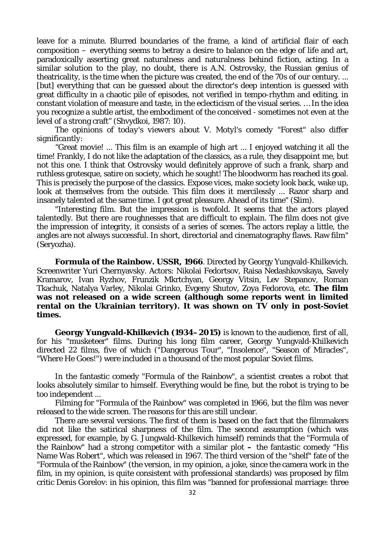leave for a minute. Blurred boundaries of the frame, a kind of artificial flair of each composition – everything seems to betray a desire to balance on the edge of life and art, paradoxically asserting great naturalness and naturalness behind fiction, acting. In a similar solution to the play, no doubt, there is A.N. Ostrovsky, the Russian genius of theatricality, is the time when the picture was created, the end of the 70s of our century. ... [but] everything that can be guessed about the director's deep intention is guessed with great difficulty in a chaotic pile of episodes, not verified in tempo-rhythm and editing, in constant violation of measure and taste, in the eclecticism of the visual series. … In the idea you recognize a subtle artist, the embodiment of the conceived - sometimes not even at the level of a strong craft" (Shvydkoi, 1987: 10).

*The opinions of today's viewers about V. Motyl's comedy "Forest" also differ significantly:*

"Great movie! ... This film is an example of high art ... I enjoyed watching it all the time! Frankly, I do not like the adaptation of the classics, as a rule, they disappoint me, but not this one. I think that Ostrovsky would definitely approve of such a frank, sharp and ruthless grotesque, satire on society, which he sought! The bloodworm has reached its goal. This is precisely the purpose of the classics. Expose vices, make society look back, wake up, look at themselves from the outside. This film does it mercilessly ... Razor sharp and insanely talented at the same time. I got great pleasure. Ahead of its time" (Slim).

"Interesting film. But the impression is twofold. It seems that the actors played talentedly. But there are roughnesses that are difficult to explain. The film does not give the impression of integrity, it consists of a series of scenes. The actors replay a little, the angles are not always successful. In short, directorial and cinematography flaws. Raw film" (Seryozha).

**Formula of the Rainbow. USSR, 1966**. Directed by Georgy Yungvald-Khilkevich. Screenwriter Yuri Chernyavsky. Actors: Nikolai Fedortsov, Raisa Nedashkovskaya, Savely Kramarov, Ivan Ryzhov, Frunzik Mkrtchyan, Georgy Vitsin, Lev Stepanov, Roman Tkachuk, Natalya Varley, Nikolai Grinko, Evgeny Shutov, Zoya Fedorova, etc. **The film was not released on a wide screen (although some reports went in limited rental on the Ukrainian territory). It was shown on TV only in post-Soviet times.**

**Georgy Yungvald-Khilkevich (1934–2015)** is known to the audience, first of all, for his "musketeer" films. During his long film career, Georgy Yungvald-Khilkevich directed 22 films, five of which ("Dangerous Tour", "Insolence", "Season of Miracles", "Where He Goes!") were included in a thousand of the most popular Soviet films.

In the fantastic comedy "Formula of the Rainbow", a scientist creates a robot that looks absolutely similar to himself. Everything would be fine, but the robot is trying to be too independent ...

Filming for "Formula of the Rainbow" was completed in 1966, but the film was never released to the wide screen. The reasons for this are still unclear.

There are several versions. The first of them is based on the fact that the filmmakers did not like the satirical sharpness of the film. The second assumption (which was expressed, for example, by G. Jungwald-Khilkevich himself) reminds that the "Formula of the Rainbow" had a strong competitor with a similar plot **–** the fantastic comedy "His Name Was Robert", which was released in 1967. The third version of the "shelf" fate of the "Formula of the Rainbow" (the version, in my opinion, a joke, since the camera work in the film, in my opinion, is quite consistent with professional standards) was proposed by film critic Denis Gorelov: in his opinion, this film was "banned for professional marriage: three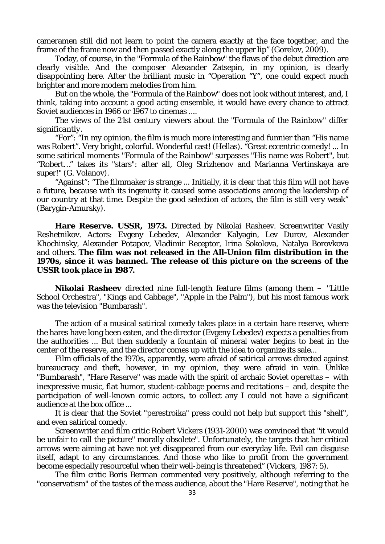cameramen still did not learn to point the camera exactly at the face together, and the frame of the frame now and then passed exactly along the upper lip" (Gorelov, 2009).

Today, of course, in the "Formula of the Rainbow" the flaws of the debut direction are clearly visible. And the composer Alexander Zatsepin, in my opinion, is clearly disappointing here. After the brilliant music in "Operation "Y", one could expect much brighter and more modern melodies from him.

But on the whole, the "Formula of the Rainbow" does not look without interest, and, I think, taking into account a good acting ensemble, it would have every chance to attract Soviet audiences in 1966 or 1967 to cinemas ....

*The views of the 21st century viewers about the "Formula of the Rainbow" differ significantly.*

"For": "In my opinion, the film is much more interesting and funnier than "His name was Robert". Very bright, colorful. Wonderful cast! (Hellas). "Great eccentric comedy! ... In some satirical moments "Formula of the Rainbow" surpasses "His name was Robert", but "Robert…" takes its "stars": after all, Oleg Strizhenov and Marianna Vertinskaya are super!" (G. Volanov).

"Against": "The filmmaker is strange ... Initially, it is clear that this film will not have a future, because with its ingenuity it caused some associations among the leadership of our country at that time. Despite the good selection of actors, the film is still very weak" (Barygin-Amursky).

**Hare Reserve. USSR, 1973.** Directed by Nikolai Rasheev. Screenwriter Vasily Reshetnikov. Actors: Evgeny Lebedev, Alexander Kalyagin, Lev Durov, Alexander Khochinsky, Alexander Potapov, Vladimir Receptor, Irina Sokolova, Natalya Borovkova and others. **The film was not released in the All-Union film distribution in the 1970s, since it was banned. The release of this picture on the screens of the USSR took place in 1987.**

**Nikolai Rasheev** directed nine full-length feature films (among them – "Little School Orchestra", "Kings and Cabbage", "Apple in the Palm"), but his most famous work was the television "Bumbarash".

The action of a musical satirical comedy takes place in a certain hare reserve, where the hares have long been eaten, and the director (Evgeny Lebedev) expects a penalties from the authorities ... But then suddenly a fountain of mineral water begins to beat in the center of the reserve, and the director comes up with the idea to organize its sale...

Film officials of the 1970s, apparently, were afraid of satirical arrows directed against bureaucracy and theft, however, in my opinion, they were afraid in vain. Unlike "Bumbarash", "Hare Reserve" was made with the spirit of archaic Soviet operettas – with inexpressive music, flat humor, student-cabbage poems and recitations – and, despite the participation of well-known comic actors, to collect any I could not have a significant audience at the box office ...

It is clear that the Soviet "perestroika" press could not help but support this "shelf", and even satirical comedy.

Screenwriter and film critic Robert Vickers (1931-2000) was convinced that "it would be unfair to call the picture" morally obsolete". Unfortunately, the targets that her critical arrows were aiming at have not yet disappeared from our everyday life. Evil can disguise itself, adapt to any circumstances. And those who like to profit from the government become especially resourceful when their well-being is threatened" (Vickers, 1987: 5).

The film critic Boris Berman commented very positively, although referring to the "conservatism" of the tastes of the mass audience, about the "Hare Reserve", noting that he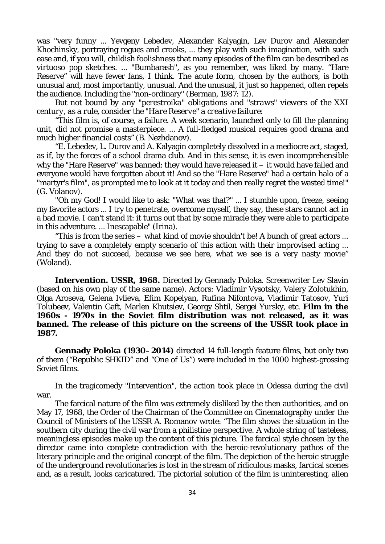was "very funny ... Yevgeny Lebedev, Alexander Kalyagin, Lev Durov and Alexander Khochinsky, portraying rogues and crooks, ... they play with such imagination, with such ease and, if you will, childish foolishness that many episodes of the film can be described as virtuoso pop sketches. ... "Bumbarash", as you remember, was liked by many. "Hare Reserve" will have fewer fans, I think. The acute form, chosen by the authors, is both unusual and, most importantly, unusual. And the unusual, it just so happened, often repels the audience. Including the "non-ordinary" (Berman, 1987: 12).

*But not bound by any "perestroika" obligations and "straws" viewers of the XXI century, as a rule, consider the "Hare Reserve" a creative failure:*

"This film is, of course, a failure. A weak scenario, launched only to fill the planning unit, did not promise a masterpiece. ... A full-fledged musical requires good drama and much higher financial costs" (B. Nezhdanov).

"E. Lebedev, L. Durov and A. Kalyagin completely dissolved in a mediocre act, staged, as if, by the forces of a school drama club. And in this sense, it is even incomprehensible why the "Hare Reserve" was banned: they would have released it – it would have failed and everyone would have forgotten about it! And so the "Hare Reserve" had a certain halo of a "martyr's film", as prompted me to look at it today and then really regret the wasted time!" (G. Volanov).

"Oh my God! I would like to ask: "What was that?" ... I stumble upon, freeze, seeing my favorite actors ... I try to penetrate, overcome myself, they say, these stars cannot act in a bad movie. I can't stand it: it turns out that by some miracle they were able to participate in this adventure. ... Inescapable" (Irina).

"This is from the series – what kind of movie shouldn't be! A bunch of great actors ... trying to save a completely empty scenario of this action with their improvised acting ... And they do not succeed, because we see here, what we see is a very nasty movie" (Woland).

**Intervention. USSR, 1968.** Directed by Gennady Poloka. Screenwriter Lev Slavin (based on his own play of the same name). Actors: Vladimir Vysotsky, Valery Zolotukhin, Olga Aroseva, Gelena Ivlieva, Efim Kopelyan, Rufina Nifontova, Vladimir Tatosov, Yuri Tolubeev, Valentin Gaft, Marlen Khutsiev, Georgy Shtil, Sergei Yursky, etc. **Film in the 1960s - 1970s in the Soviet film distribution was not released, as it was banned. The release of this picture on the screens of the USSR took place in 1987.**

**Gennady Poloka (1930–2014)** directed 14 full-length feature films, but only two of them ("Republic SHKID" and "One of Us") were included in the 1000 highest-grossing Soviet films.

In the tragicomedy "Intervention", the action took place in Odessa during the civil war.

The farcical nature of the film was extremely disliked by the then authorities, and on May 17, 1968, the Order of the Chairman of the Committee on Cinematography under the Council of Ministers of the USSR A. Romanov wrote: "The film shows the situation in the southern city during the civil war from a philistine perspective. A whole string of tasteless, meaningless episodes make up the content of this picture. The farcical style chosen by the director came into complete contradiction with the heroic-revolutionary pathos of the literary principle and the original concept of the film. The depiction of the heroic struggle of the underground revolutionaries is lost in the stream of ridiculous masks, farcical scenes and, as a result, looks caricatured. The pictorial solution of the film is uninteresting, alien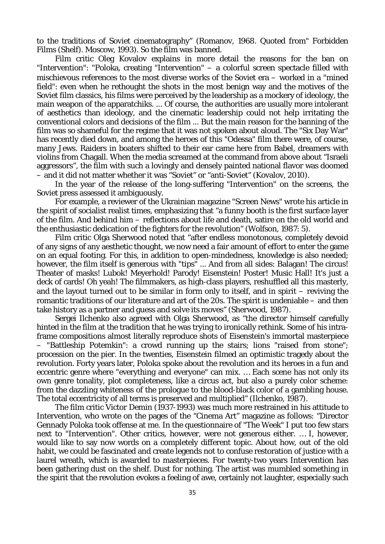to the traditions of Soviet cinematography" (Romanov, 1968. Quoted from" Forbidden Films (Shelf). Moscow, 1993). So the film was banned.

Film critic Oleg Kovalov explains in more detail the reasons for the ban on "Intervention": "Poloka, creating "Intervention" – a colorful screen spectacle filled with mischievous references to the most diverse works of the Soviet era – worked in a "mined field": even when he rethought the shots in the most benign way and the motives of the Soviet film classics, his films were perceived by the leadership as a mockery of ideology, the main weapon of the apparatchiks. ... Of course, the authorities are usually more intolerant of aesthetics than ideology, and the cinematic leadership could not help irritating the conventional colors and decisions of the film ... But the main reason for the banning of the film was so shameful for the regime that it was not spoken about aloud. The "Six Day War" has recently died down, and among the heroes of this "Odessa" film there were, of course, many Jews. Raiders in boaters shifted to their ear came here from Babel, dreamers with violins from Chagall. When the media screamed at the command from above about "Israeli aggressors", the film with such a lovingly and densely painted national flavor was doomed – and it did not matter whether it was "Soviet" or "anti-Soviet" (Kovalov, 2010).

In the year of the release of the long-suffering "Intervention" on the screens, the Soviet press assessed it ambiguously.

For example, a reviewer of the Ukrainian magazine "Screen News" wrote his article in the spirit of socialist realist times, emphasizing that "a funny booth is the first surface layer of the film. And behind him – reflections about life and death, satire on the old world and the enthusiastic dedication of the fighters for the revolution" (Wolfson, 1987: 5).

Film critic Olga Sherwood noted that "after endless monotonous, completely devoid of any signs of any aesthetic thought, we now need a fair amount of effort to enter the game on an equal footing. For this, in addition to open-mindedness, knowledge is also needed; however, the film itself is generous with "tips" ... And from all sides: Balagan! The circus! Theater of masks! Lubok! Meyerhold! Parody! Eisenstein! Poster! Music Hall! It's just a deck of cards! Oh yeah! The filmmakers, as high-class players, reshuffled all this masterly, and the layout turned out to be similar in form only to itself, and in spirit – reviving the romantic traditions of our literature and art of the 20s. The spirit is undeniable  $-$  and then take history as a partner and guess and solve its moves" (Sherwood, 1987).

Sergei Ilchenko also agreed with Olga Sherwood, as "the director himself carefully hinted in the film at the tradition that he was trying to ironically rethink. Some of his intraframe compositions almost literally reproduce shots of Eisenstein's immortal masterpiece – "Battleship Potemkin": a crowd running up the stairs; lions "raised from stone"; procession on the pier. In the twenties, Eisenstein filmed an optimistic tragedy about the revolution. Forty years later, Poloka spoke about the revolution and its heroes in a fun and eccentric genre where "everything and everyone" can mix. … Each scene has not only its own genre tonality, plot completeness, like a circus act, but also a purely color scheme: from the dazzling whiteness of the prologue to the blood-black color of a gambling house. The total eccentricity of all terms is preserved and multiplied" (Ilchenko, 1987).

The film critic Victor Demin (1937-1993) was much more restrained in his attitude to Intervention, who wrote on the pages of the "Cinema Art" magazine as follows: "Director Gennady Poloka took offense at me. In the questionnaire of "The Week" I put too few stars next to "Intervention". Other critics, however, were not generous either. … I, however, would like to say now words on a completely different topic. About how, out of the old habit, we could be fascinated and create legends not to confuse restoration of justice with a laurel wreath, which is awarded to masterpieces. For twenty-two years Intervention has been gathering dust on the shelf. Dust for nothing. The artist was mumbled something in the spirit that the revolution evokes a feeling of awe, certainly not laughter, especially such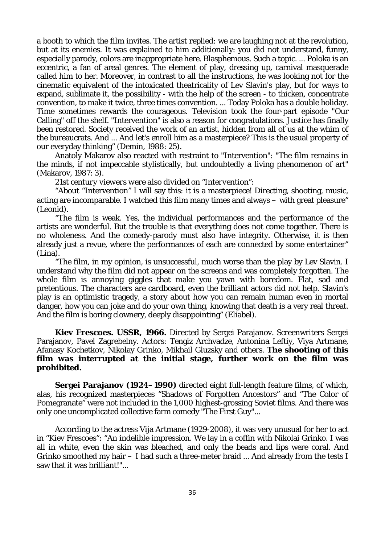a booth to which the film invites. The artist replied: we are laughing not at the revolution, but at its enemies. It was explained to him additionally: you did not understand, funny, especially parody, colors are inappropriate here. Blasphemous. Such a topic. ... Poloka is an eccentric, a fan of areal genres. The element of play, dressing up, carnival masquerade called him to her. Moreover, in contrast to all the instructions, he was looking not for the cinematic equivalent of the intoxicated theatricality of Lev Slavin's play, but for ways to expand, sublimate it, the possibility - with the help of the screen - to thicken, concentrate convention, to make it twice, three times convention. ... Today Poloka has a double holiday. Time sometimes rewards the courageous. Television took the four-part episode "Our Calling" off the shelf. "Intervention" is also a reason for congratulations. Justice has finally been restored. Society received the work of an artist, hidden from all of us at the whim of the bureaucrats. And ... And let's enroll him as a masterpiece? This is the usual property of our everyday thinking" (Demin, 1988: 25).

Anatoly Makarov also reacted with restraint to "Intervention": "The film remains in the minds, if not impeccable stylistically, but undoubtedly a living phenomenon of art" (Makarov, 1987: 3).

*21st century viewers were also divided on "Intervention":*

"About "Intervention" I will say this: it is a masterpiece! Directing, shooting, music, acting are incomparable. I watched this film many times and always – with great pleasure" (Leonid).

"The film is weak. Yes, the individual performances and the performance of the artists are wonderful. But the trouble is that everything does not come together. There is no wholeness. And the comedy-parody must also have integrity. Otherwise, it is then already just a revue, where the performances of each are connected by some entertainer" (Lina).

"The film, in my opinion, is unsuccessful, much worse than the play by Lev Slavin. I understand why the film did not appear on the screens and was completely forgotten. The whole film is annoying giggles that make you yawn with boredom. Flat, sad and pretentious. The characters are cardboard, even the brilliant actors did not help. Slavin's play is an optimistic tragedy, a story about how you can remain human even in mortal danger, how you can joke and do your own thing, knowing that death is a very real threat. And the film is boring clownery, deeply disappointing" (Eliabel).

**Kiev Frescoes. USSR, 1966.** Directed by Sergei Parajanov. Screenwriters Sergei Parajanov, Pavel Zagrebelny. Actors: Tengiz Archvadze, Antonina Leftiy, Viya Artmane, Afanasy Kochetkov, Nikolay Grinko, Mikhail Gluzsky and others. **The shooting of this film was interrupted at the initial stage, further work on the film was prohibited.**

**Sergei Parajanov (1924–1990)** directed eight full-length feature films, of which, alas, his recognized masterpieces "Shadows of Forgotten Ancestors" and "The Color of Pomegranate" were not included in the 1,000 highest-grossing Soviet films. And there was only one uncomplicated collective farm comedy "The First Guy"...

According to the actress Vija Artmane (1929-2008), it was very unusual for her to act in "Kiev Frescoes": "An indelible impression. We lay in a coffin with Nikolai Grinko. I was all in white, even the skin was bleached, and only the beads and lips were coral. And Grinko smoothed my hair – I had such a three-meter braid ... And already from the tests I saw that it was brilliant!"...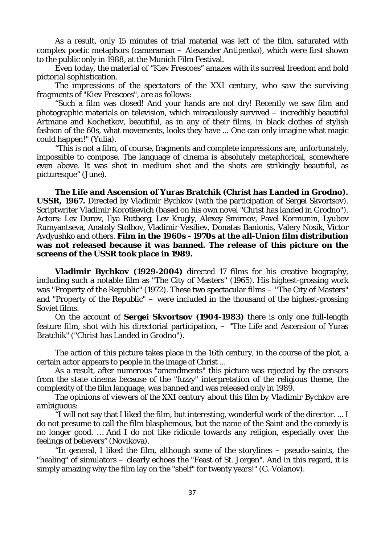As a result, only 15 minutes of trial material was left of the film, saturated with complex poetic metaphors (cameraman – Alexander Antipenko), which were first shown to the public only in 1988, at the Munich Film Festival.

Even today, the material of "Kiev Frescoes" amazes with its surreal freedom and bold pictorial sophistication.

*The impressions of the spectators of the XXI century, who saw the surviving fragments of "Kiev Frescoes", are as follows:*

"Such a film was closed! And your hands are not dry! Recently we saw film and photographic materials on television, which miraculously survived – incredibly beautiful Artmane and Kochetkov, beautiful, as in any of their films, in black clothes of stylish fashion of the 60s, what movements, looks they have ... One can only imagine what magic could happen!" (Yulia).

"This is not a film, of course, fragments and complete impressions are, unfortunately, impossible to compose. The language of cinema is absolutely metaphorical, somewhere even above. It was shot in medium shot and the shots are strikingly beautiful, as picturesque" (June).

**The Life and Ascension of Yuras Bratchik (Christ has Landed in Grodno). USSR, 1967.** Directed by Vladimir Bychkov (with the participation of Sergei Skvortsov). Scriptwriter Vladimir Korotkevich (based on his own novel "Christ has landed in Grodno"). Actors: Lev Durov, Ilya Rutberg, Lev Krugly, Alexey Smirnov, Pavel Kormunin, Lyubov Rumyantseva, Anatoly Stolbov, Vladimir Vasiliev, Donatas Banionis, Valery Nosik, Victor Avdyushko and others. **Film in the 1960s - 1970s at the all-Union film distribution was not released because it was banned. The release of this picture on the screens of the USSR took place in 1989.**

**Vladimir Bychkov (1929-2004)** directed 17 films for his creative biography, including such a notable film as "The City of Masters" (1965). His highest-grossing work was "Property of the Republic" (1972). These two spectacular films – "The City of Masters" and "Property of the Republic" – were included in the thousand of the highest-grossing Soviet films.

On the account of **Sergei Skvortsov (1904-1983)** there is only one full-length feature film, shot with his directorial participation, – "The Life and Ascension of Yuras Bratchik" ("Christ has Landed in Grodno").

The action of this picture takes place in the 16th century, in the course of the plot, a certain actor appears to people in the image of Christ ...

As a result, after numerous "amendments" this picture was rejected by the censors from the state cinema because of the "fuzzy" interpretation of the religious theme, the complexity of the film language, was banned and was released only in 1989.

*The opinions of viewers of the XXI century about this film by Vladimir Bychkov are ambiguous:*

"I will not say that I liked the film, but interesting, wonderful work of the director. ... I do not presume to call the film blasphemous, but the name of the Saint and the comedy is no longer good. … And I do not like ridicule towards any religion, especially over the feelings of believers" (Novikova).

"In general, I liked the film, although some of the storylines – pseudo-saints, the "healing" of simulators – clearly echoes the "Feast of St. Jorgen". And in this regard, it is simply amazing why the film lay on the "shelf" for twenty years!" (G. Volanov).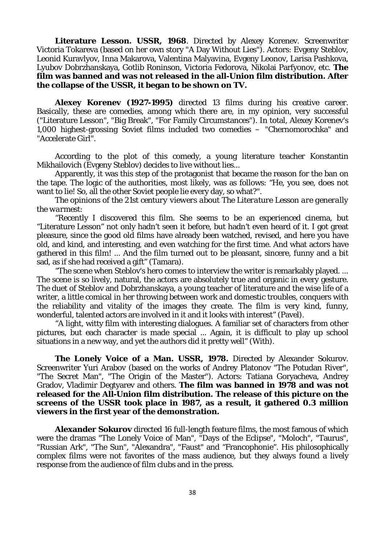**Literature Lesson. USSR, 1968**. Directed by Alexey Korenev. Screenwriter Victoria Tokareva (based on her own story "A Day Without Lies"). Actors: Evgeny Steblov, Leonid Kuravlyov, Inna Makarova, Valentina Malyavina, Evgeny Leonov, Larisa Pashkova, Lyubov Dobrzhanskaya, Gotlib Roninson, Victoria Fedorova, Nikolai Parfyonov, etc. **The film was banned and was not released in the all-Union film distribution. After the collapse of the USSR, it began to be shown on TV.**

**Alexey Korenev (1927-1995)** directed 13 films during his creative career. Basically, these are comedies, among which there are, in my opinion, very successful ("Literature Lesson", "Big Break", "For Family Circumstances"). In total, Alexey Korenev's 1,000 highest-grossing Soviet films included two comedies – "Chernomorochka" and "Accelerate Girl".

According to the plot of this comedy, a young literature teacher Konstantin Mikhailovich (Evgeny Steblov) decides to live without lies...

Apparently, it was this step of the protagonist that became the reason for the ban on the tape. The logic of the authorities, most likely, was as follows: "He, you see, does not want to lie! So, all the other Soviet people lie every day, so what?".

*The opinions of the 21st century viewers about The Literature Lesson are generally the warmest:*

"Recently I discovered this film. She seems to be an experienced cinema, but "Literature Lesson" not only hadn't seen it before, but hadn't even heard of it. I got great pleasure, since the good old films have already been watched, revised, and here you have old, and kind, and interesting, and even watching for the first time. And what actors have gathered in this film! ... And the film turned out to be pleasant, sincere, funny and a bit sad, as if she had received a gift" (Tamara).

"The scene when Steblov's hero comes to interview the writer is remarkably played. ... The scene is so lively, natural, the actors are absolutely true and organic in every gesture. The duet of Steblov and Dobrzhanskaya, a young teacher of literature and the wise life of a writer, a little comical in her throwing between work and domestic troubles, conquers with the reliability and vitality of the images they create. The film is very kind, funny, wonderful, talented actors are involved in it and it looks with interest" (Pavel).

"A light, witty film with interesting dialogues. A familiar set of characters from other pictures, but each character is made special ... Again, it is difficult to play up school situations in a new way, and yet the authors did it pretty well" (With).

**The Lonely Voice of a Man. USSR, 1978.** Directed by Alexander Sokurov. Screenwriter Yuri Arabov (based on the works of Andrey Platonov "The Potudan River", "The Secret Man", "The Origin of the Master"). Actors: Tatiana Goryacheva, Andrey Gradov, Vladimir Degtyarev and others. **The film was banned in 1978 and was not released for the All-Union film distribution. The release of this picture on the screens of the USSR took place in 1987, as a result, it gathered 0.3 million viewers in the first year of the demonstration.**

**Alexander Sokurov** directed 16 full-length feature films, the most famous of which were the dramas "The Lonely Voice of Man", "Days of the Eclipse", "Moloch", "Taurus", "Russian Ark", "The Sun", "Alexandra", "Faust" and "Francophonie". His philosophically complex films were not favorites of the mass audience, but they always found a lively response from the audience of film clubs and in the press.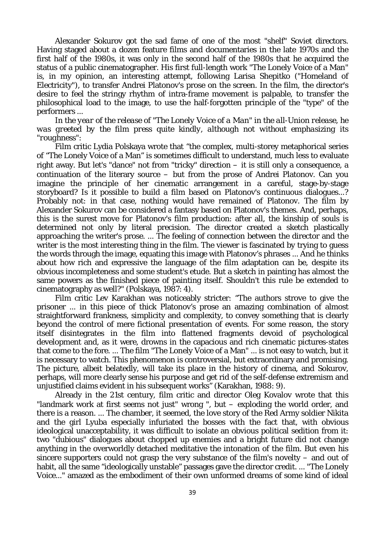Alexander Sokurov got the sad fame of one of the most "shelf" Soviet directors. Having staged about a dozen feature films and documentaries in the late 1970s and the first half of the 1980s, it was only in the second half of the 1980s that he acquired the status of a public cinematographer. His first full-length work "The Lonely Voice of a Man" is, in my opinion, an interesting attempt, following Larisa Shepitko ("Homeland of Electricity"), to transfer Andrei Platonov's prose on the screen. In the film, the director's desire to feel the stringy rhythm of intra-frame movement is palpable, to transfer the philosophical load to the image, to use the half-forgotten principle of the "type" of the performers ...

*In the year of the release of "The Lonely Voice of a Man" in the all-Union release, he was greeted by the film press quite kindly, although not without emphasizing its "roughness":*

Film critic Lydia Polskaya wrote that "the complex, multi-storey metaphorical series of "The Lonely Voice of a Man" is sometimes difficult to understand, much less to evaluate right away. But let's "dance" not from "tricky" direction – it is still only a consequence, a continuation of the literary source – but from the prose of Andrei Platonov. Can you imagine the principle of her cinematic arrangement in a careful, stage-by-stage storyboard? Is it possible to build a film based on Platonov's continuous dialogues...? Probably not: in that case, nothing would have remained of Platonov. The film by Alexander Sokurov can be considered a fantasy based on Platonov's themes. And, perhaps, this is the surest move for Platonov's film production: after all, the kinship of souls is determined not only by literal precision. The director created a sketch plastically approaching the writer's prose. ... The feeling of connection between the director and the writer is the most interesting thing in the film. The viewer is fascinated by trying to guess the words through the image, equating this image with Platonov's phrases ... And he thinks about how rich and expressive the language of the film adaptation can be, despite its obvious incompleteness and some student's etude. But a sketch in painting has almost the same powers as the finished piece of painting itself. Shouldn't this rule be extended to cinematography as well?" (Polskaya, 1987: 4).

Film critic Lev Karakhan was noticeably stricter: "The authors strove to give the prisoner ... in this piece of thick Platonov's prose an amazing combination of almost straightforward frankness, simplicity and complexity, to convey something that is clearly beyond the control of mere fictional presentation of events. For some reason, the story itself disintegrates in the film into flattened fragments devoid of psychological development and, as it were, drowns in the capacious and rich cinematic pictures-states that come to the fore. ... The film "The Lonely Voice of a Man" ... is not easy to watch, but it is necessary to watch. This phenomenon is controversial, but extraordinary and promising. The picture, albeit belatedly, will take its place in the history of cinema, and Sokurov, perhaps, will more clearly sense his purpose and get rid of the self-defense extremism and unjustified claims evident in his subsequent works" (Karakhan, 1988: 9).

Already in the 21st century, film critic and director Oleg Kovalov wrote that this "landmark work at first seems not just" wrong ", but – exploding the world order, and there is a reason. ... The chamber, it seemed, the love story of the Red Army soldier Nikita and the girl Lyuba especially infuriated the bosses with the fact that, with obvious ideological unacceptability, it was difficult to isolate an obvious political sedition from it: two "dubious" dialogues about chopped up enemies and a bright future did not change anything in the overworldly detached meditative the intonation of the film. But even his sincere supporters could not grasp the very substance of the film's novelty – and out of habit, all the same "ideologically unstable" passages gave the director credit. ... "The Lonely Voice..." amazed as the embodiment of their own unformed dreams of some kind of ideal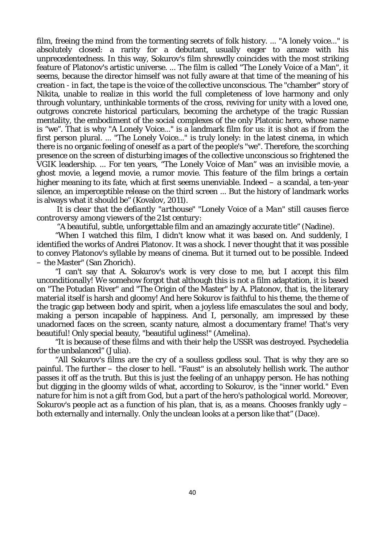film, freeing the mind from the tormenting secrets of folk history. ... "A lonely voice..." is absolutely closed: a rarity for a debutant, usually eager to amaze with his unprecedentedness. In this way, Sokurov's film shrewdly coincides with the most striking feature of Platonov's artistic universe. ... The film is called "The Lonely Voice of a Man", it seems, because the director himself was not fully aware at that time of the meaning of his creation - in fact, the tape is the voice of the collective unconscious. The "chamber" story of Nikita, unable to realize in this world the full completeness of love harmony and only through voluntary, unthinkable torments of the cross, reviving for unity with a loved one, outgrows concrete historical particulars, becoming the archetype of the tragic Russian mentality, the embodiment of the social complexes of the only Platonic hero, whose name is "we". That is why "A Lonely Voice..." is a landmark film for us: it is shot as if from the first person plural. ... "The Lonely Voice..." is truly lonely: in the latest cinema, in which there is no organic feeling of oneself as a part of the people's "we". Therefore, the scorching presence on the screen of disturbing images of the collective unconscious so frightened the VGIK leadership. ... For ten years, "The Lonely Voice of Man" was an invisible movie, a ghost movie, a legend movie, a rumor movie. This feature of the film brings a certain higher meaning to its fate, which at first seems unenviable. Indeed – a scandal, a ten-year silence, an imperceptible release on the third screen ... But the history of landmark works is always what it should be" (Kovalov, 2011).

*It is clear that the defiantly "arthouse" "Lonely Voice of a Man" still causes fierce controversy among viewers of the 21st century:*

"A beautiful, subtle, unforgettable film and an amazingly accurate title" (Nadine).

"When I watched this film, I didn't know what it was based on. And suddenly, I identified the works of Andrei Platonov. It was a shock. I never thought that it was possible to convey Platonov's syllable by means of cinema. But it turned out to be possible. Indeed – the Master" (San Zhorich).

"I can't say that A. Sokurov's work is very close to me, but I accept this film unconditionally! We somehow forgot that although this is not a film adaptation, it is based on "The Potudan River" and "The Origin of the Master" by A. Platonov, that is, the literary material itself is harsh and gloomy! And here Sokurov is faithful to his theme, the theme of the tragic gap between body and spirit, when a joyless life emasculates the soul and body, making a person incapable of happiness. And I, personally, am impressed by these unadorned faces on the screen, scanty nature, almost a documentary frame! That's very beautiful! Only special beauty, "beautiful ugliness!" (Amelina).

"It is because of these films and with their help the USSR was destroyed. Psychedelia for the unbalanced" (Julia).

"All Sokurov's films are the cry of a soulless godless soul. That is why they are so painful. The further – the closer to hell. "Faust" is an absolutely hellish work. The author passes it off as the truth. But this is just the feeling of an unhappy person. He has nothing but digging in the gloomy wilds of what, according to Sokurov, is the "inner world." Even nature for him is not a gift from God, but a part of the hero's pathological world. Moreover, Sokurov's people act as a function of his plan, that is, as a means. Chooses frankly ugly  $$ both externally and internally. Only the unclean looks at a person like that" (Dace).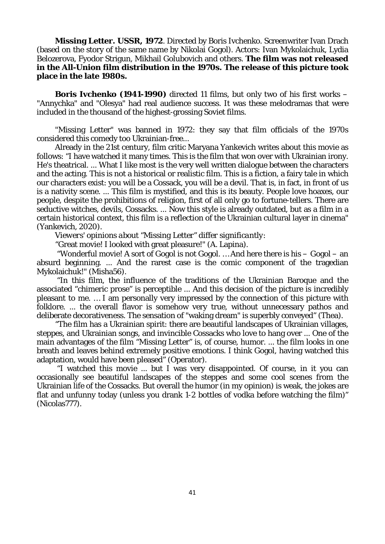**Missing Letter. USSR, 1972**. Directed by Boris Ivchenko. Screenwriter Ivan Drach (based on the story of the same name by Nikolai Gogol). Actors: Ivan Mykolaichuk, Lydia Belozerova, Fyodor Strigun, Mikhail Golubovich and others. **The film was not released in the All-Union film distribution in the 1970s. The release of this picture took place in the late 1980s.**

**Boris Ivchenko (1941-1990)** directed 11 films, but only two of his first works – "Annychka" and "Olesya" had real audience success. It was these melodramas that were included in the thousand of the highest-grossing Soviet films.

"Missing Letter" was banned in 1972: they say that film officials of the 1970s considered this comedy too Ukrainian-free...

Already in the 21st century, film critic Maryana Yankevich writes about this movie as follows: "I have watched it many times. This is the film that won over with Ukrainian irony. He's theatrical. ... What I like most is the very well written dialogue between the characters and the acting. This is not a historical or realistic film. This is a fiction, a fairy tale in which our characters exist: you will be a Cossack, you will be a devil. That is, in fact, in front of us is a nativity scene. ... This film is mystified, and this is its beauty. People love hoaxes, our people, despite the prohibitions of religion, first of all only go to fortune-tellers. There are seductive witches, devils, Cossacks. ... Now this style is already outdated, but as a film in a certain historical context, this film is a reflection of the Ukrainian cultural layer in cinema" (Yankevich, 2020).

*Viewers' opinions about "Missing Letter" differ significantly:*

"Great movie! I looked with great pleasure!" (A. Lapina).

"Wonderful movie! A sort of Gogol is not Gogol. … And here there is his – Gogol – an absurd beginning. ... And the rarest case is the comic component of the tragedian Mykolaichuk!" (Misha56).

"In this film, the influence of the traditions of the Ukrainian Baroque and the associated "chimeric prose" is perceptible ... And this decision of the picture is incredibly pleasant to me. … I am personally very impressed by the connection of this picture with folklore. ... the overall flavor is somehow very true, without unnecessary pathos and deliberate decorativeness. The sensation of "waking dream" is superbly conveyed" (Thea).

"The film has a Ukrainian spirit: there are beautiful landscapes of Ukrainian villages, steppes, and Ukrainian songs, and invincible Cossacks who love to hang over ... One of the main advantages of the film "Missing Letter" is, of course, humor. ... the film looks in one breath and leaves behind extremely positive emotions. I think Gogol, having watched this adaptation, would have been pleased" (Operator).

"I watched this movie ... but I was very disappointed. Of course, in it you can occasionally see beautiful landscapes of the steppes and some cool scenes from the Ukrainian life of the Cossacks. But overall the humor (in my opinion) is weak, the jokes are flat and unfunny today (unless you drank 1-2 bottles of vodka before watching the film)" (Nicolas777).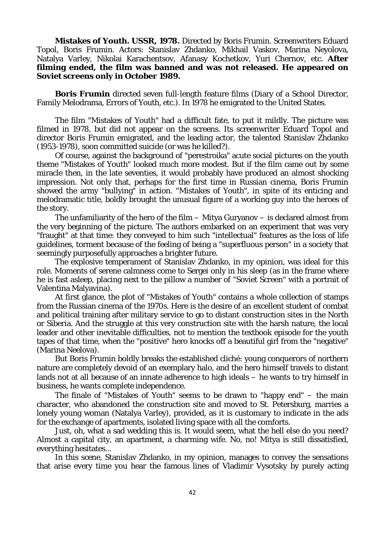**Mistakes of Youth. USSR, 1978.** Directed by Boris Frumin. Screenwriters Eduard Topol, Boris Frumin. Actors: Stanislav Zhdanko, Mikhail Vaskov, Marina Neyolova, Natalya Varley, Nikolai Karachentsov, Afanasy Kochetkov, Yuri Chernov, etc. **After filming ended, the film was banned and was not released. He appeared on Soviet screens only in October 1989.**

**Boris Frumin** directed seven full-length feature films (Diary of a School Director, Family Melodrama, Errors of Youth, etc.). In 1978 he emigrated to the United States.

The film "Mistakes of Youth" had a difficult fate, to put it mildly. The picture was filmed in 1978, but did not appear on the screens. Its screenwriter Eduard Topol and director Boris Frumin emigrated, and the leading actor, the talented Stanislav Zhdanko (1953-1978), soon committed suicide (or was he killed?).

Of course, against the background of "perestroika" acute social pictures on the youth theme "Mistakes of Youth" looked much more modest. But if the film came out by some miracle then, in the late seventies, it would probably have produced an almost shocking impression. Not only that, perhaps for the first time in Russian cinema, Boris Frumin showed the army "bullying" in action. "Mistakes of Youth", in spite of its enticing and melodramatic title, boldly brought the unusual figure of a working guy into the heroes of the story.

The unfamiliarity of the hero of the film  $-$  Mitya Guryanov  $-$  is declared almost from the very beginning of the picture. The authors embarked on an experiment that was very "fraught" at that time: they conveyed to him such "intellectual" features as the loss of life guidelines, torment because of the feeling of being a "superfluous person" in a society that seemingly purposefully approaches a brighter future.

The explosive temperament of Stanislav Zhdanko, in my opinion, was ideal for this role. Moments of serene calmness come to Sergei only in his sleep (as in the frame where he is fast asleep, placing next to the pillow a number of "Soviet Screen" with a portrait of Valentina Malyavina).

At first glance, the plot of "Mistakes of Youth" contains a whole collection of stamps from the Russian cinema of the 1970s. Here is the desire of an excellent student of combat and political training after military service to go to distant construction sites in the North or Siberia. And the struggle at this very construction site with the harsh nature, the local leader and other inevitable difficulties, not to mention the textbook episode for the youth tapes of that time, when the "positive" hero knocks off a beautiful girl from the "negative" (Marina Neelova).

But Boris Frumin boldly breaks the established cliché: young conquerors of northern nature are completely devoid of an exemplary halo, and the hero himself travels to distant lands not at all because of an innate adherence to high ideals – he wants to try himself in business, he wants complete independence.

The finale of "Mistakes of Youth" seems to be drawn to "happy end" – the main character, who abandoned the construction site and moved to St. Petersburg, marries a lonely young woman (Natalya Varley), provided, as it is customary to indicate in the ads for the exchange of apartments, isolated living space with all the comforts.

Just, oh, what a sad wedding this is. It would seem, what the hell else do you need? Almost a capital city, an apartment, a charming wife. No, no! Mitya is still dissatisfied, everything hesitates...

In this scene, Stanislav Zhdanko, in my opinion, manages to convey the sensations that arise every time you hear the famous lines of Vladimir Vysotsky by purely acting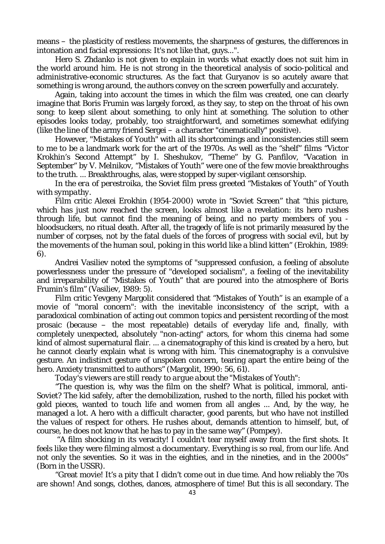means – the plasticity of restless movements, the sharpness of gestures, the differences in intonation and facial expressions: It's not like that, guys...".

Hero S. Zhdanko is not given to explain in words what exactly does not suit him in the world around him. He is not strong in the theoretical analysis of socio-political and administrative-economic structures. As the fact that Guryanov is so acutely aware that something is wrong around, the authors convey on the screen powerfully and accurately.

Again, taking into account the times in which the film was created, one can clearly imagine that Boris Frumin was largely forced, as they say, to step on the throat of his own song: to keep silent about something, to only hint at something. The solution to other episodes looks today, probably, too straightforward, and sometimes somewhat edifying (like the line of the army friend Sergei – a character "cinematically" positive).

However, "Mistakes of Youth" with all its shortcomings and inconsistencies still seem to me to be a landmark work for the art of the 1970s. As well as the "shelf" films "Victor Krokhin's Second Attempt" by I. Sheshukov, "Theme" by G. Panfilov, "Vacation in September" by V. Melnikov, "Mistakes of Youth" were one of the few movie breakthroughs to the truth. ... Breakthroughs, alas, were stopped by super-vigilant censorship.

*In the era of perestroika, the Soviet film press greeted "Mistakes of Youth" of Youth with sympathy.*

Film critic Alexei Erokhin (1954-2000) wrote in "Soviet Screen" that "this picture, which has just now reached the screen, looks almost like a revelation: its hero rushes through life, but cannot find the meaning of being, and no party members of you bloodsuckers, no ritual death. After all, the tragedy of life is not primarily measured by the number of corpses, not by the fatal duels of the forces of progress with social evil, but by the movements of the human soul, poking in this world like a blind kitten" (Erokhin, 1989: 6).

Andrei Vasiliev noted the symptoms of "suppressed confusion, a feeling of absolute powerlessness under the pressure of "developed socialism", a feeling of the inevitability and irreparability of "Mistakes of Youth" that are poured into the atmosphere of Boris Frumin's film" (Vasiliev, 1989: 5).

Film critic Yevgeny Margolit considered that "Mistakes of Youth" is an example of a movie of "moral concern": with the inevitable inconsistency of the script, with a paradoxical combination of acting out common topics and persistent recording of the most prosaic (because – the most repeatable) details of everyday life and, finally, with completely unexpected, absolutely "non-acting" actors, for whom this cinema had some kind of almost supernatural flair. ... a cinematography of this kind is created by a hero, but he cannot clearly explain what is wrong with him. This cinematography is a convulsive gesture. An indistinct gesture of unspoken concern, tearing apart the entire being of the hero. Anxiety transmitted to authors" (Margolit, 1990: 56, 61).

*Today's viewers are still ready to argue about the "Mistakes of Youth":*

"The question is, why was the film on the shelf? What is political, immoral, anti-Soviet? The kid safely, after the demobilization, rushed to the north, filled his pocket with gold pieces, wanted to touch life and women from all angles ... And, by the way, he managed a lot. A hero with a difficult character, good parents, but who have not instilled the values of respect for others. He rushes about, demands attention to himself, but, of course, he does not know that he has to pay in the same way" (Pompey).

"A film shocking in its veracity! I couldn't tear myself away from the first shots. It feels like they were filming almost a documentary. Everything is so real, from our life. And not only the seventies. So it was in the eighties, and in the nineties, and in the 2000s" (Born in the USSR).

"Great movie! It's a pity that I didn't come out in due time. And how reliably the 70s are shown! And songs, clothes, dances, atmosphere of time! But this is all secondary. The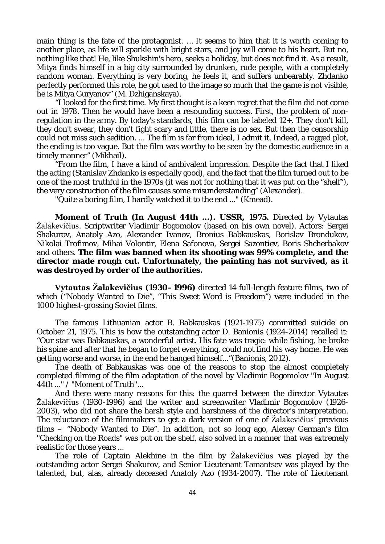main thing is the fate of the protagonist. … It seems to him that it is worth coming to another place, as life will sparkle with bright stars, and joy will come to his heart. But no, nothing like that! He, like Shukshin's hero, seeks a holiday, but does not find it. As a result, Mitya finds himself in a big city surrounded by drunken, rude people, with a completely random woman. Everything is very boring, he feels it, and suffers unbearably. Zhdanko perfectly performed this role, he got used to the image so much that the game is not visible, he is Mitya Guryanov" (M. Dzhiganskaya).

"I looked for the first time. My first thought is a keen regret that the film did not come out in 1978. Then he would have been a resounding success. First, the problem of nonregulation in the army. By today's standards, this film can be labeled 12+. They don't kill, they don't swear, they don't fight scary and little, there is no sex. But then the censorship could not miss such sedition. ... The film is far from ideal, I admit it. Indeed, a ragged plot, the ending is too vague. But the film was worthy to be seen by the domestic audience in a timely manner" (Mikhail).

"From the film, I have a kind of ambivalent impression. Despite the fact that I liked the acting (Stanislav Zhdanko is especially good), and the fact that the film turned out to be one of the most truthful in the 1970s (it was not for nothing that it was put on the "shelf"), the very construction of the film causes some misunderstanding" (Alexander).

"Quite a boring film, I hardly watched it to the end ..." (Kmead).

**Moment of Truth (In August 44th ...). USSR, 1975.** Directed by Vytautas Žalakevičius. Scriptwriter Vladimir Bogomolov (based on his own novel). Actors: Sergei Shakurov, Anatoly Azo, Alexander Ivanov, Bronius Babkauskas, Borislav Brondukov, Nikolai Trofimov, Mihai Volontir, Elena Safonova, Sergei Sazontiev, Boris Shcherbakov and others. **The film was banned when its shooting was 99% complete, and the director made rough cut. Unfortunately, the painting has not survived, as it was destroyed by order of the authorities.**

**Vytautas Žalakevičius (1930–1996)** directed 14 full-length feature films, two of which ("Nobody Wanted to Die", "This Sweet Word is Freedom") were included in the 1000 highest-grossing Soviet films.

The famous Lithuanian actor B. Babkauskas (1921-1975) committed suicide on October 21, 1975. This is how the outstanding actor D. Banionis (1924-2014) recalled it: "Our star was Babkauskas, a wonderful artist. His fate was tragic: while fishing, he broke his spine and after that he began to forget everything, could not find his way home. He was getting worse and worse, in the end he hanged himself..."(Banionis, 2012).

The death of Babkauskas was one of the reasons to stop the almost completely completed filming of the film adaptation of the novel by Vladimir Bogomolov "In August 44th ..." / "Moment of Truth"...

And there were many reasons for this: the quarrel between the director Vytautas Žalakevičius (1930-1996) and the writer and screenwriter Vladimir Bogomolov (1926- 2003), who did not share the harsh style and harshness of the director's interpretation. The reluctance of the filmmakers to get a dark version of one of Žalakevičius' previous films – "Nobody Wanted to Die". In addition, not so long ago, Alexey German's film "Checking on the Roads" was put on the shelf, also solved in a manner that was extremely realistic for those years ...

The role of Captain Alekhine in the film by Žalakevičius was played by the outstanding actor Sergei Shakurov, and Senior Lieutenant Tamantsev was played by the talented, but, alas, already deceased Anatoly Azo (1934-2007). The role of Lieutenant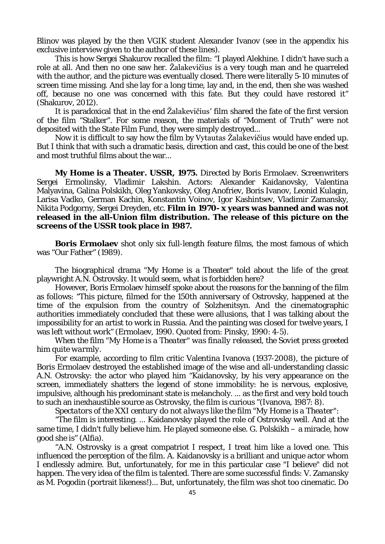Blinov was played by the then VGIK student Alexander Ivanov (see in the appendix his exclusive interview given to the author of these lines).

This is how Sergei Shakurov recalled the film: "I played Alekhine. I didn't have such a role at all. And then no one saw her. Žalakevičius is a very tough man and he quarreled with the author, and the picture was eventually closed. There were literally 5-10 minutes of screen time missing. And she lay for a long time, lay and, in the end, then she was washed off, because no one was concerned with this fate. But they could have restored it" (Shakurov, 2012).

It is paradoxical that in the end Žalakevičius' film shared the fate of the first version of the film "Stalker". For some reason, the materials of "Moment of Truth" were not deposited with the State Film Fund, they were simply destroyed...

Now it is difficult to say how the film by Vytautas Žalakevičius would have ended up. But I think that with such a dramatic basis, direction and cast, this could be one of the best and most truthful films about the war...

**My Home is a Theater. USSR, 1975.** Directed by Boris Ermolaev. Screenwriters Sergei Ermolinsky, Vladimir Lakshin. Actors: Alexander Kaidanovsky, Valentina Malyavina, Galina Polskikh, Oleg Yankovsky, Oleg Anofriev, Boris Ivanov, Leonid Kulagin, Larisa Vadko, German Kachin, Konstantin Voinov, Igor Kashintsev, Vladimir Zamansky, Nikita Podgorny, Sergei Dreyden, etc. **Film in 1970- x years was banned and was not released in the all-Union film distribution. The release of this picture on the screens of the USSR took place in 1987.**

**Boris Ermolaev** shot only six full-length feature films, the most famous of which was "Our Father" (1989).

The biographical drama "My Home is a Theater" told about the life of the great playwright A.N. Ostrovsky. It would seem, what is forbidden here?

However, Boris Ermolaev himself spoke about the reasons for the banning of the film as follows: "This picture, filmed for the 150th anniversary of Ostrovsky, happened at the time of the expulsion from the country of Solzhenitsyn. And the cinematographic authorities immediately concluded that these were allusions, that I was talking about the impossibility for an artist to work in Russia. And the painting was closed for twelve years, I was left without work" (Ermolaev, 1990. Quoted from: Pinsky, 1990: 4-5).

*When the film "My Home is a Theater" was finally released, the Soviet press greeted him quite warmly.*

For example, according to film critic Valentina Ivanova (1937-2008), the picture of Boris Ermolaev destroyed the established image of the wise and all-understanding classic A.N. Ostrovsky: the actor who played him "Kaidanovsky, by his very appearance on the screen, immediately shatters the legend of stone immobility: he is nervous, explosive, impulsive, although his predominant state is melancholy. ... as the first and very bold touch to such an inexhaustible source as Ostrovsky, the film is curious "(Ivanova, 1987: 8).

*Spectators of the XXI century do not always like the film "My Home is a Theater":*

"The film is interesting. ... Kaidanovsky played the role of Ostrovsky well. And at the same time, I didn't fully believe him. He played someone else. G. Polskikh – a miracle, how good she is" (Alfia).

"A.N. Ostrovsky is a great compatriot I respect, I treat him like a loved one. This influenced the perception of the film. A. Kaidanovsky is a brilliant and unique actor whom I endlessly admire. But, unfortunately, for me in this particular case "I believe" did not happen. The very idea of the film is talented. There are some successful finds: V. Zamansky as M. Pogodin (portrait likeness!)... But, unfortunately, the film was shot too cinematic. Do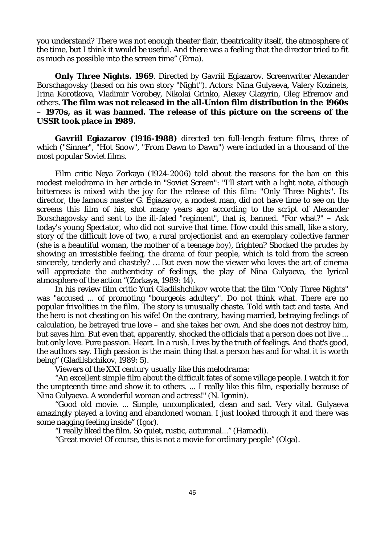you understand? There was not enough theater flair, theatricality itself, the atmosphere of the time, but I think it would be useful. And there was a feeling that the director tried to fit as much as possible into the screen time" (Erna).

**Only Three Nights. 1969**. Directed by Gavriil Egiazarov. Screenwriter Alexander Borschagovsky (based on his own story "Night"). Actors: Nina Gulyaeva, Valery Kozinets, Irina Korotkova, Vladimir Vorobey, Nikolai Grinko, Alexey Glazyrin, Oleg Efremov and others. **The film was not released in the all-Union film distribution in the 1960s**  – **1970s, as it was banned. The release of this picture on the screens of the USSR took place in 1989.**

**Gavriil Egiazarov (1916-1988)** directed ten full-length feature films, three of which ("Sinner", "Hot Snow", "From Dawn to Dawn") were included in a thousand of the most popular Soviet films.

Film critic Neya Zorkaya (1924-2006) told about the reasons for the ban on this modest melodrama in her article in "Soviet Screen": "I'll start with a light note, although bitterness is mixed with the joy for the release of this film: "Only Three Nights". Its director, the famous master G. Egiazarov, a modest man, did not have time to see on the screens this film of his, shot many years ago according to the script of Alexander Borschagovsky and sent to the ill-fated "regiment", that is, banned. "For what?" – Ask today's young Spectator, who did not survive that time. How could this small, like a story, story of the difficult love of two, a rural projectionist and an exemplary collective farmer (she is a beautiful woman, the mother of a teenage boy), frighten? Shocked the prudes by showing an irresistible feeling, the drama of four people, which is told from the screen sincerely, tenderly and chastely? … But even now the viewer who loves the art of cinema will appreciate the authenticity of feelings, the play of Nina Gulyaeva, the lyrical atmosphere of the action "(Zorkaya, 1989: 14).

In his review film critic Yuri Gladilshchikov wrote that the film "Only Three Nights" was "accused ... of promoting "bourgeois adultery". Do not think what. There are no popular frivolities in the film. The story is unusually chaste. Told with tact and taste. And the hero is not cheating on his wife! On the contrary, having married, betraying feelings of calculation, he betrayed true love – and she takes her own. And she does not destroy him, but saves him. But even that, apparently, shocked the officials that a person does not live ... but only love. Pure passion. Heart. In a rush. Lives by the truth of feelings. And that's good, the authors say. High passion is the main thing that a person has and for what it is worth being" (Gladilshchikov, 1989: 5).

*Viewers of the XXI century usually like this melodrama:*

"An excellent simple film about the difficult fates of some village people. I watch it for the umpteenth time and show it to others. ... I really like this film, especially because of Nina Gulyaeva. A wonderful woman and actress!" (N. Igonin).

"Good old movie. ... Simple, uncomplicated, clean and sad. Very vital. Gulyaeva amazingly played a loving and abandoned woman. I just looked through it and there was some nagging feeling inside" (Igor).

"I really liked the film. So quiet, rustic, autumnal..." (Hamadi).

"Great movie! Of course, this is not a movie for ordinary people" (Olga).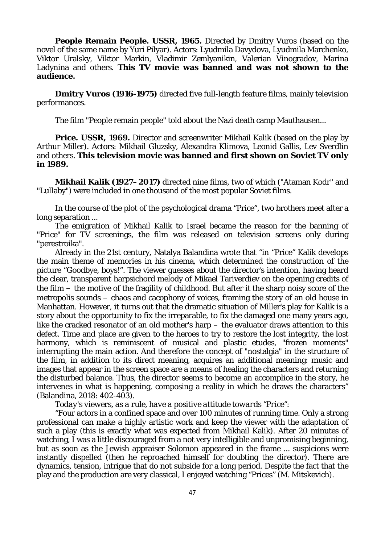**People Remain People. USSR, 1965.** Directed by Dmitry Vuros (based on the novel of the same name by Yuri Pilyar). Actors: Lyudmila Davydova, Lyudmila Marchenko, Viktor Uralsky, Viktor Markin, Vladimir Zemlyanikin, Valerian Vinogradov, Marina Ladynina and others. **This TV movie was banned and was not shown to the audience.**

**Dmitry Vuros (1916-1975)** directed five full-length feature films, mainly television performances.

The film "People remain people" told about the Nazi death camp Mauthausen...

**Price. USSR, 1969.** Director and screenwriter Mikhail Kalik (based on the play by Arthur Miller). Actors: Mikhail Gluzsky, Alexandra Klimova, Leonid Gallis, Lev Sverdlin and others. **This television movie was banned and first shown on Soviet TV only in 1989.**

**Mikhail Kalik (1927–2017)** directed nine films, two of which ("Ataman Kodr" and "Lullaby") were included in one thousand of the most popular Soviet films.

In the course of the plot of the psychological drama "Price", two brothers meet after a long separation ...

The emigration of Mikhail Kalik to Israel became the reason for the banning of "Price" for TV screenings, the film was released on television screens only during "perestroika".

Already in the 21st century, Natalya Balandina wrote that "in "Price" Kalik develops the main theme of memories in his cinema, which determined the construction of the picture "Goodbye, boys!". The viewer guesses about the director's intention, having heard the clear, transparent harpsichord melody of Mikael Tariverdiev on the opening credits of the film – the motive of the fragility of childhood. But after it the sharp noisy score of the metropolis sounds – chaos and cacophony of voices, framing the story of an old house in Manhattan. However, it turns out that the dramatic situation of Miller's play for Kalik is a story about the opportunity to fix the irreparable, to fix the damaged one many years ago, like the cracked resonator of an old mother's harp – the evaluator draws attention to this defect. Time and place are given to the heroes to try to restore the lost integrity, the lost harmony, which is reminiscent of musical and plastic etudes, "frozen moments" interrupting the main action. And therefore the concept of "nostalgia" in the structure of the film, in addition to its direct meaning, acquires an additional meaning: music and images that appear in the screen space are a means of healing the characters and returning the disturbed balance. Thus, the director seems to become an accomplice in the story, he intervenes in what is happening, composing a reality in which he draws the characters" (Balandina, 2018: 402-403).

*Today's viewers, as a rule, have a positive attitude towards "Price":*

"Four actors in a confined space and over 100 minutes of running time. Only a strong professional can make a highly artistic work and keep the viewer with the adaptation of such a play (this is exactly what was expected from Mikhail Kalik). After 20 minutes of watching, I was a little discouraged from a not very intelligible and unpromising beginning, but as soon as the Jewish appraiser Solomon appeared in the frame ... suspicions were instantly dispelled (then he reproached himself for doubting the director). There are dynamics, tension, intrigue that do not subside for a long period. Despite the fact that the play and the production are very classical, I enjoyed watching "Prices" (M. Mitskevich).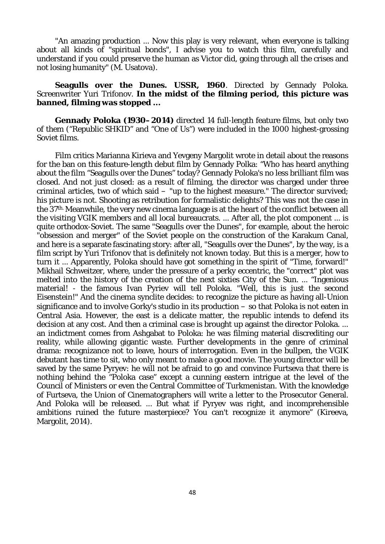"An amazing production ... Now this play is very relevant, when everyone is talking about all kinds of "spiritual bonds", I advise you to watch this film, carefully and understand if you could preserve the human as Victor did, going through all the crises and not losing humanity" (M. Usatova).

## **Seagulls over the Dunes. USSR, 1960**. Directed by Gennady Poloka. Screenwriter Yuri Trifonov. **In the midst of the filming period, this picture was banned, filming was stopped ...**

**Gennady Poloka (1930–2014)** directed 14 full-length feature films, but only two of them ("Republic SHKID" and "One of Us") were included in the 1000 highest-grossing Soviet films.

Film critics Marianna Kirieva and Yevgeny Margolit wrote in detail about the reasons for the ban on this feature-length debut film by Gennady Polka: "Who has heard anything about the film "Seagulls over the Dunes" today? Gennady Poloka's no less brilliant film was closed. And not just closed: as a result of filming, the director was charged under three criminal articles, two of which said – "up to the highest measure." The director survived; his picture is not. Shooting as retribution for formalistic delights? This was not the case in the 37th. Meanwhile, the very new cinema language is at the heart of the conflict between all the visiting VGIK members and all local bureaucrats. ... After all, the plot component ... is quite orthodox-Soviet. The same "Seagulls over the Dunes", for example, about the heroic "obsession and merger" of the Soviet people on the construction of the Karakum Canal, and here is a separate fascinating story: after all, "Seagulls over the Dunes", by the way, is a film script by Yuri Trifonov that is definitely not known today. But this is a merger, how to turn it ... Apparently, Poloka should have got something in the spirit of "Time, forward!" Mikhail Schweitzer, where, under the pressure of a perky eccentric, the "correct" plot was melted into the history of the creation of the next sixties City of the Sun. ... "Ingenious material! - the famous Ivan Pyriev will tell Poloka. "Well, this is just the second Eisenstein!" And the cinema synclite decides: to recognize the picture as having all-Union significance and to involve Gorky's studio in its production – so that Poloka is not eaten in Central Asia. However, the east is a delicate matter, the republic intends to defend its decision at any cost. And then a criminal case is brought up against the director Poloka. ... an indictment comes from Ashgabat to Poloka: he was filming material discrediting our reality, while allowing gigantic waste. Further developments in the genre of criminal drama: recognizance not to leave, hours of interrogation. Even in the bullpen, the VGIK debutant has time to sit, who only meant to make a good movie. The young director will be saved by the same Pyryev: he will not be afraid to go and convince Furtseva that there is nothing behind the "Poloka case" except a cunning eastern intrigue at the level of the Council of Ministers or even the Central Committee of Turkmenistan. With the knowledge of Furtseva, the Union of Cinematographers will write a letter to the Prosecutor General. And Poloka will be released. ... But what if Pyryev was right, and incomprehensible ambitions ruined the future masterpiece? You can't recognize it anymore" (Kireeva, Margolit, 2014).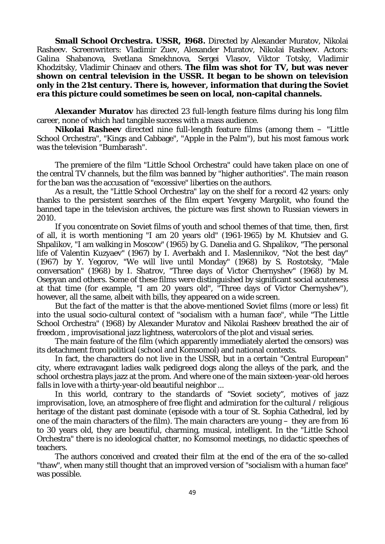**Small School Orchestra. USSR, 1968.** Directed by Alexander Muratov, Nikolai Rasheev. Screenwriters: Vladimir Zuev, Alexander Muratov, Nikolai Rasheev. Actors: Galina Shabanova, Svetlana Smekhnova, Sergei Vlasov, Viktor Totsky, Vladimir Khodzitsky, Vladimir Chinaev and others. **The film was shot for TV, but was never shown on central television in the USSR. It began to be shown on television only in the 21st century. There is, however, information that during the Soviet era this picture could sometimes be seen on local, non-capital channels.**

**Alexander Muratov** has directed 23 full-length feature films during his long film career, none of which had tangible success with a mass audience.

**Nikolai Rasheev** directed nine full-length feature films (among them – "Little School Orchestra", "Kings and Cabbage", "Apple in the Palm"), but his most famous work was the television "Bumbarash".

The premiere of the film "Little School Orchestra" could have taken place on one of the central TV channels, but the film was banned by "higher authorities". The main reason for the ban was the accusation of "excessive" liberties on the authors.

As a result, the "Little School Orchestra" lay on the shelf for a record 42 years: only thanks to the persistent searches of the film expert Yevgeny Margolit, who found the banned tape in the television archives, the picture was first shown to Russian viewers in 2010.

If you concentrate on Soviet films of youth and school themes of that time, then, first of all, it is worth mentioning "I am 20 years old" (1961-1965) by M. Khutsiev and G. Shpalikov, "I am walking in Moscow" (1965) by G. Danelia and G. Shpalikov, "The personal life of Valentin Kuzyaev" (1967) by I. Averbakh and I. Maslennikov, "Not the best day" (1967) by Y. Yegorov, "We will live until Monday" (1968) by S. Rostotsky, "Male conversation" (1968) by I. Shatrov, "Three days of Victor Chernyshev" (1968) by M. Osepyan and others. Some of these films were distinguished by significant social acuteness at that time (for example, "I am 20 years old", "Three days of Victor Chernyshev"), however, all the same, albeit with bills, they appeared on a wide screen.

But the fact of the matter is that the above-mentioned Soviet films (more or less) fit into the usual socio-cultural context of "socialism with a human face", while "The Little School Orchestra" (1968) by Alexander Muratov and Nikolai Rasheev breathed the air of freedom , improvisational jazz lightness, watercolors of the plot and visual series.

The main feature of the film (which apparently immediately alerted the censors) was its detachment from political (school and Komsomol) and national contexts.

In fact, the characters do not live in the USSR, but in a certain "Central European" city, where extravagant ladies walk pedigreed dogs along the alleys of the park, and the school orchestra plays jazz at the prom. And where one of the main sixteen-year-old heroes falls in love with a thirty-year-old beautiful neighbor ...

In this world, contrary to the standards of "Soviet society", motives of jazz improvisation, love, an atmosphere of free flight and admiration for the cultural / religious heritage of the distant past dominate (episode with a tour of St. Sophia Cathedral, led by one of the main characters of the film). The main characters are young – they are from 16 to 30 years old, they are beautiful, charming, musical, intelligent. In the "Little School Orchestra" there is no ideological chatter, no Komsomol meetings, no didactic speeches of teachers.

The authors conceived and created their film at the end of the era of the so-called "thaw", when many still thought that an improved version of "socialism with a human face" was possible.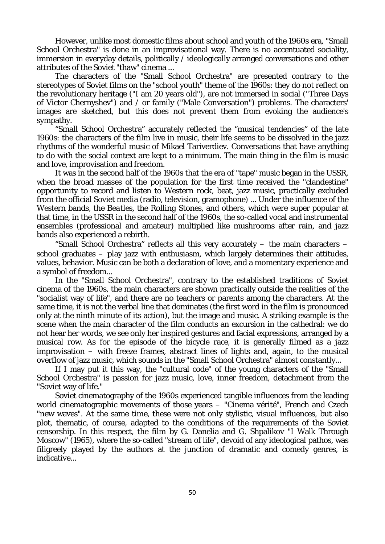However, unlike most domestic films about school and youth of the 1960s era, "Small School Orchestra" is done in an improvisational way. There is no accentuated sociality, immersion in everyday details, politically / ideologically arranged conversations and other attributes of the Soviet "thaw" cinema ...

The characters of the "Small School Orchestra" are presented contrary to the stereotypes of Soviet films on the "school youth" theme of the 1960s: they do not reflect on the revolutionary heritage ("I am 20 years old"), are not immersed in social ("Three Days of Victor Chernyshev") and / or family ("Male Conversation") problems. The characters' images are sketched, but this does not prevent them from evoking the audience's sympathy.

"Small School Orchestra" accurately reflected the "musical tendencies" of the late 1960s: the characters of the film live in music, their life seems to be dissolved in the jazz rhythms of the wonderful music of Mikael Tariverdiev. Conversations that have anything to do with the social context are kept to a minimum. The main thing in the film is music and love, improvisation and freedom.

It was in the second half of the 1960s that the era of "tape" music began in the USSR, when the broad masses of the population for the first time received the "clandestine" opportunity to record and listen to Western rock, beat, jazz music, practically excluded from the official Soviet media (radio, television, gramophone) ... Under the influence of the Western bands, the *Beatles*, the *Rolling Stones*, and others, which were super popular at that time, in the USSR in the second half of the 1960s, the so-called vocal and instrumental ensembles (professional and amateur) multiplied like mushrooms after rain, and jazz bands also experienced a rebirth.

"Small School Orchestra" reflects all this very accurately – the main characters – school graduates  $-$  play jazz with enthusiasm, which largely determines their attitudes, values, behavior. Music can be both a declaration of love, and a momentary experience and a symbol of freedom...

In the "Small School Orchestra", contrary to the established traditions of Soviet cinema of the 1960s, the main characters are shown practically outside the realities of the "socialist way of life", and there are no teachers or parents among the characters. At the same time, it is not the verbal line that dominates (the first word in the film is pronounced only at the ninth minute of its action), but the image and music. A striking example is the scene when the main character of the film conducts an excursion in the cathedral: we do not hear her words, we see only her inspired gestures and facial expressions, arranged by a musical row. As for the episode of the bicycle race, it is generally filmed as a jazz improvisation – with freeze frames, abstract lines of lights and, again, to the musical overflow of jazz music, which sounds in the "Small School Orchestra" almost constantly...

If I may put it this way, the "cultural code" of the young characters of the "Small School Orchestra" is passion for jazz music, love, inner freedom, detachment from the "Soviet way of life."

Soviet cinematography of the 1960s experienced tangible influences from the leading world cinematographic movements of those years – "Cinema vérité", French and Czech "new waves". At the same time, these were not only stylistic, visual influences, but also plot, thematic, of course, adapted to the conditions of the requirements of the Soviet censorship. In this respect, the film by G. Danelia and G. Shpalikov "I Walk Through Moscow" (1965), where the so-called "stream of life", devoid of any ideological pathos, was filigreely played by the authors at the junction of dramatic and comedy genres, is indicative...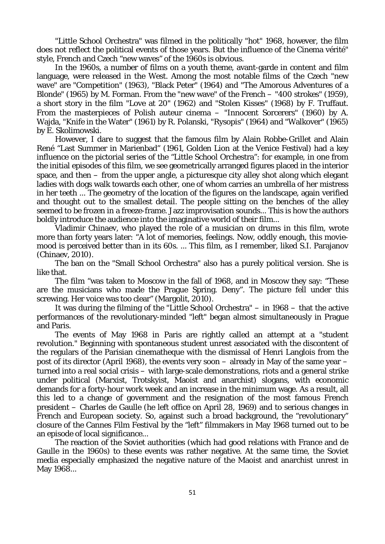"Little School Orchestra" was filmed in the politically "hot" 1968, however, the film does not reflect the political events of those years. But the influence of the Cinema vérité" style, French and Czech "new waves" of the 1960s is obvious.

In the 1960s, a number of films on a youth theme, avant-garde in content and film language, were released in the West. Among the most notable films of the Czech "new wave" are "Competition" (1963), "Black Peter" (1964) and "The Amorous Adventures of a Blonde" (1965) by M. Forman. From the "new wave" of the French – "400 strokes" (1959), a short story in the film "Love at 20" (1962) and "Stolen Kisses" (1968) by F. Truffaut. From the masterpieces of Polish auteur cinema – "Innocent Sorcerers" (1960) by A. Wajda, "Knife in the Water" (1961) by R. Polanski, "Rysopis" (1964) and "Walkover" (1965) by E. Skolimowski.

However, I dare to suggest that the famous film by Alain Robbe-Grillet and Alain René "Last Summer in Marienbad" (1961, Golden Lion at the Venice Festival) had a key influence on the pictorial series of the "Little School Orchestra": for example, in one from the initial episodes of this film, we see geometrically arranged figures placed in the interior space, and then – from the upper angle, a picturesque city alley shot along which elegant ladies with dogs walk towards each other, one of whom carries an umbrella of her mistress in her teeth ... The geometry of the location of the figures on the landscape, again verified and thought out to the smallest detail. The people sitting on the benches of the alley seemed to be frozen in a freeze-frame. Jazz improvisation sounds... This is how the authors boldly introduce the audience into the imaginative world of their film...

Vladimir Chinaev, who played the role of a musician on drums in this film, wrote more than forty years later: "A lot of memories, feelings. Now, oddly enough, this moviemood is perceived better than in its 60s. ... This film, as I remember, liked S.I. Parajanov (Chinaev, 2010).

The ban on the "Small School Orchestra" also has a purely political version. She is like that.

The film "was taken to Moscow in the fall of 1968, and in Moscow they say: "These are the musicians who made the Prague Spring. Deny". The picture fell under this screwing. Her voice was too clear" (Margolit, 2010).

It was during the filming of the "Little School Orchestra" – in 1968 – that the active performances of the revolutionary-minded "left" began almost simultaneously in Prague and Paris.

The events of May 1968 in Paris are rightly called an attempt at a "student revolution." Beginning with spontaneous student unrest associated with the discontent of the regulars of the Parisian cinematheque with the dismissal of Henri Langlois from the post of its director (April 1968), the events very soon – already in May of the same year – turned into a real social crisis – with large-scale demonstrations, riots and a general strike under political (Marxist, Trotskyist, Maoist and anarchist) slogans, with economic demands for a forty-hour work week and an increase in the minimum wage. As a result, all this led to a change of government and the resignation of the most famous French president – Charles de Gaulle (he left office on April 28, 1969) and to serious changes in French and European society. So, against such a broad background, the "revolutionary" closure of the Cannes Film Festival by the "left" filmmakers in May 1968 turned out to be an episode of local significance...

The reaction of the Soviet authorities (which had good relations with France and de Gaulle in the 1960s) to these events was rather negative. At the same time, the Soviet media especially emphasized the negative nature of the Maoist and anarchist unrest in May 1968...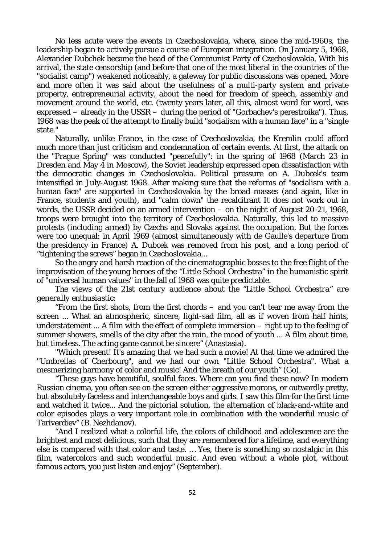No less acute were the events in Czechoslovakia, where, since the mid-1960s, the leadership began to actively pursue a course of European integration. On January 5, 1968, Alexander Dubchek became the head of the Communist Party of Czechoslovakia. With his arrival, the state censorship (and before that one of the most liberal in the countries of the "socialist camp") weakened noticeably, a gateway for public discussions was opened. More and more often it was said about the usefulness of a multi-party system and private property, entrepreneurial activity, about the need for freedom of speech, assembly and movement around the world, etc. (twenty years later, all this, almost word for word, was expressed – already in the USSR – during the period of "Gorbachev's perestroika"). Thus, 1968 was the peak of the attempt to finally build "socialism with a human face" in a "single state."

Naturally, unlike France, in the case of Czechoslovakia, the Kremlin could afford much more than just criticism and condemnation of certain events. At first, the attack on the "Prague Spring" was conducted "peacefully": in the spring of 1968 (March 23 in Dresden and May 4 in Moscow), the Soviet leadership expressed open dissatisfaction with the democratic changes in Czechoslovakia. Political pressure on A. Dubcek's team intensified in July-August 1968. After making sure that the reforms of "socialism with a human face" are supported in Czechoslovakia by the broad masses (and again, like in France, students and youth), and "calm down" the recalcitrant It does not work out in words, the USSR decided on an armed intervention – on the night of August 20-21, 1968, troops were brought into the territory of Czechoslovakia. Naturally, this led to massive protests (including armed) by Czechs and Slovaks against the occupation. But the forces were too unequal: in April 1969 (almost simultaneously with de Gaulle's departure from the presidency in France) A. Dubcek was removed from his post, and a long period of "tightening the screws" began in Czechoslovakia...

So the angry and harsh reaction of the cinematographic bosses to the free flight of the improvisation of the young heroes of the "Little School Orchestra" in the humanistic spirit of "universal human values" in the fall of 1968 was quite predictable.

*The views of the 21st century audience about the "Little School Orchestra" are generally enthusiastic:*

"From the first shots, from the first chords – and you can't tear me away from the screen ... What an atmospheric, sincere, light-sad film, all as if woven from half hints, understatement ... A film with the effect of complete immersion – right up to the feeling of summer showers, smells of the city after the rain, the mood of youth ... A film about time, but timeless. The acting game cannot be sincere" (Anastasia).

"Which present! It's amazing that we had such a movie! At that time we admired the "Umbrellas of Cherbourg", and we had our own "Little School Orchestra". What a mesmerizing harmony of color and music! And the breath of our youth" (Go).

"These guys have beautiful, soulful faces. Where can you find these now? In modern Russian cinema, you often see on the screen either aggressive morons, or outwardly pretty, but absolutely faceless and interchangeable boys and girls. I saw this film for the first time and watched it twice... And the pictorial solution, the alternation of black-and-white and color episodes plays a very important role in combination with the wonderful music of Tariverdiev" (B. Nezhdanov).

"And I realized what a colorful life, the colors of childhood and adolescence are the brightest and most delicious, such that they are remembered for a lifetime, and everything else is compared with that color and taste. … Yes, there is something so nostalgic in this film, watercolors and such wonderful music. And even without a whole plot, without famous actors, you just listen and enjoy" (September).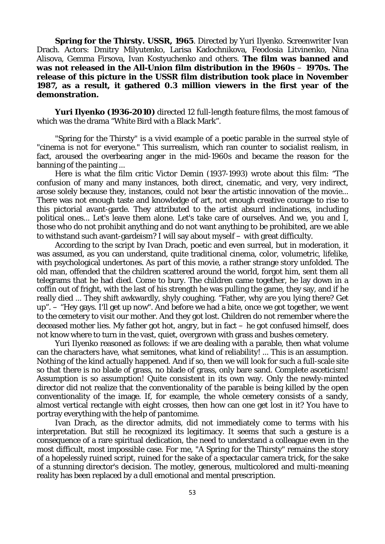**Spring for the Thirsty. USSR, 1965**. Directed by Yuri Ilyenko. Screenwriter Ivan Drach. Actors: Dmitry Milyutenko, Larisa Kadochnikova, Feodosia Litvinenko, Nina Alisova, Gemma Firsova, Ivan Kostyuchenko and others. **The film was banned and was not released in the All-Union film distribution in the 1960s – 1970s. The release of this picture in the USSR film distribution took place in November 1987, as a result, it gathered 0.3 million viewers in the first year of the demonstration.**

**Yuri Ilyenko (1936-2010)** directed 12 full-length feature films, the most famous of which was the drama "White Bird with a Black Mark".

"Spring for the Thirsty" is a vivid example of a poetic parable in the surreal style of "cinema is not for everyone." This surrealism, which ran counter to socialist realism, in fact, aroused the overbearing anger in the mid-1960s and became the reason for the banning of the painting ...

Here is what the film critic Victor Demin (1937-1993) wrote about this film: "The confusion of many and many instances, both direct, cinematic, and very, very indirect, arose solely because they, instances, could not bear the artistic innovation of the movie... There was not enough taste and knowledge of art, not enough creative courage to rise to this pictorial avant-garde. They attributed to the artist absurd inclinations, including political ones... Let's leave them alone. Let's take care of ourselves. And we, you and I, those who do not prohibit anything and do not want anything to be prohibited, are we able to withstand such avant-gardeism? I will say about myself – with great difficulty.

According to the script by Ivan Drach, poetic and even surreal, but in moderation, it was assumed, as you can understand, quite traditional cinema, color, volumetric, lifelike, with psychological undertones. As part of this movie, a rather strange story unfolded. The old man, offended that the children scattered around the world, forgot him, sent them all telegrams that he had died. Come to bury. The children came together, he lay down in a coffin out of fright, with the last of his strength he was pulling the game, they say, and if he really died ... They shift awkwardly, shyly coughing. "Father, why are you lying there? Get up". – "Hey gays. I'll get up now". And before we had a bite, once we got together, we went to the cemetery to visit our mother. And they got lost. Children do not remember where the deceased mother lies. My father got hot, angry, but in fact – he got confused himself, does not know where to turn in the vast, quiet, overgrown with grass and bushes cemetery.

Yuri Ilyenko reasoned as follows: if we are dealing with a parable, then what volume can the characters have, what semitones, what kind of reliability! ... This is an assumption. Nothing of the kind actually happened. And if so, then we will look for such a full-scale site so that there is no blade of grass, no blade of grass, only bare sand. Complete asceticism! Assumption is so assumption! Quite consistent in its own way. Only the newly-minted director did not realize that the conventionality of the parable is being killed by the open conventionality of the image. If, for example, the whole cemetery consists of a sandy, almost vertical rectangle with eight crosses, then how can one get lost in it? You have to portray everything with the help of pantomime.

Ivan Drach, as the director admits, did not immediately come to terms with his interpretation. But still he recognized its legitimacy. It seems that such a gesture is a consequence of a rare spiritual dedication, the need to understand a colleague even in the most difficult, most impossible case. For me, "A Spring for the Thirsty" remains the story of a hopelessly ruined script, ruined for the sake of a spectacular camera trick, for the sake of a stunning director's decision. The motley, generous, multicolored and multi-meaning reality has been replaced by a dull emotional and mental prescription.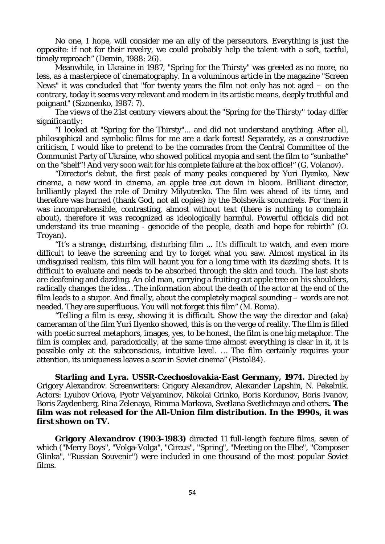No one, I hope, will consider me an ally of the persecutors. Everything is just the opposite: if not for their revelry, we could probably help the talent with a soft, tactful, timely reproach" (Demin, 1988: 26).

Meanwhile, in Ukraine in 1987, "Spring for the Thirsty" was greeted as no more, no less, as a masterpiece of cinematography. In a voluminous article in the magazine "Screen News" it was concluded that "for twenty years the film not only has not aged – on the contrary, today it seems very relevant and modern in its artistic means, deeply truthful and poignant" (Sizonenko, 1987: 7).

*The views of the 21st century viewers about the "Spring for the Thirsty" today differ significantly:*

"I looked at "Spring for the Thirsty"... and did not understand anything. After all, philosophical and symbolic films for me are a dark forest! Separately, as a constructive criticism, I would like to pretend to be the comrades from the Central Committee of the Communist Party of Ukraine, who showed political myopia and sent the film to "sunbathe" on the "shelf"! And very soon wait for his complete failure at the box office!" (G. Volanov).

"Director's debut, the first peak of many peaks conquered by Yuri Ilyenko, New cinema, a new word in cinema, an apple tree cut down in bloom. Brilliant director, brilliantly played the role of Dmitry Milyutenko. The film was ahead of its time, and therefore was burned (thank God, not all copies) by the Bolshevik scoundrels. For them it was incomprehensible, contrasting, almost without text (there is nothing to complain about), therefore it was recognized as ideologically harmful. Powerful officials did not understand its true meaning - genocide of the people, death and hope for rebirth" (O. Troyan).

"It's a strange, disturbing, disturbing film ... It's difficult to watch, and even more difficult to leave the screening and try to forget what you saw. Almost mystical in its undisguised realism, this film will haunt you for a long time with its dazzling shots. It is difficult to evaluate and needs to be absorbed through the skin and touch. The last shots are deafening and dazzling. An old man, carrying a fruiting cut apple tree on his shoulders, radically changes the idea… The information about the death of the actor at the end of the film leads to a stupor. And finally, about the completely magical sounding – words are not needed. They are superfluous. You will not forget this film" (M. Roma).

"Telling a film is easy, showing it is difficult. Show the way the director and (aka) cameraman of the film Yuri Ilyenko showed, this is on the verge of reality. The film is filled with poetic surreal metaphors, images, yes, to be honest, the film is one big metaphor. The film is complex and, paradoxically, at the same time almost everything is clear in it, it is possible only at the subconscious, intuitive level. … The film certainly requires your attention, its uniqueness leaves a scar in Soviet cinema" (Pistol84).

**Starling and Lyra. USSR-Czechoslovakia-East Germany, 1974.** Directed by Grigory Alexandrov. Screenwriters: Grigory Alexandrov, Alexander Lapshin, N. Pekelnik. Actors: Lyubov Orlova, Pyotr Velyaminov, Nikolai Grinko, Boris Kordunov, Boris Ivanov, Boris Zaydenberg, Rina Zelenaya, Rimma Markova, Svetlana Svetlichnaya and others**. The film was not released for the All-Union film distribution. In the 1990s, it was first shown on TV.**

**Grigory Alexandrov (1903-1983)** directed 11 full-length feature films, seven of which ("Merry Boys", "Volga-Volga", "Circus", "Spring", "Meeting on the Elbe", "Composer Glinka", "Russian Souvenir") were included in one thousand of the most popular Soviet films.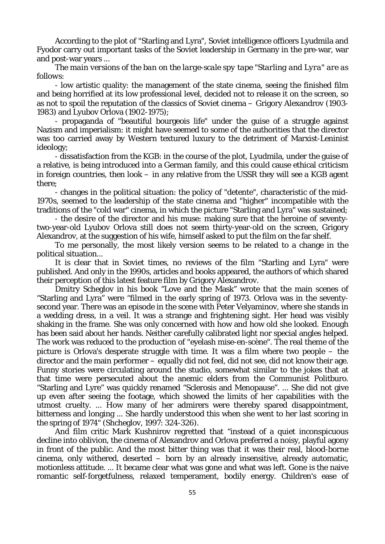According to the plot of "Starling and Lyra", Soviet intelligence officers Lyudmila and Fyodor carry out important tasks of the Soviet leadership in Germany in the pre-war, war and post-war years ...

*The main versions of the ban on the large-scale spy tape "Starling and Lyra" are as follows:*

- low artistic quality: the management of the state cinema, seeing the finished film and being horrified at its low professional level, decided not to release it on the screen, so as not to spoil the reputation of the classics of Soviet cinema – Grigory Alexandrov (1903- 1983) and Lyubov Orlova (1902-1975);

- propaganda of "beautiful bourgeois life" under the guise of a struggle against Nazism and imperialism: it might have seemed to some of the authorities that the director was too carried away by Western textured luxury to the detriment of Marxist-Leninist ideology;

- dissatisfaction from the KGB: in the course of the plot, Lyudmila, under the guise of a relative, is being introduced into a German family, and this could cause ethical criticism in foreign countries, then look – in any relative from the USSR they will see a KGB agent there;

- changes in the political situation: the policy of "detente", characteristic of the mid-1970s, seemed to the leadership of the state cinema and "higher" incompatible with the traditions of the "cold war" cinema, in which the picture "Starling and Lyra" was sustained;

- the desire of the director and his muse: making sure that the heroine of seventytwo-year-old Lyubov Orlova still does not seem thirty-year-old on the screen, Grigory Alexandrov, at the suggestion of his wife, himself asked to put the film on the far shelf.

To me personally, the most likely version seems to be related to a change in the political situation...

It is clear that in Soviet times, no reviews of the film "Starling and Lyra" were published. And only in the 1990s, articles and books appeared, the authors of which shared their perception of this latest feature film by Grigory Alexandrov.

Dmitry Scheglov in his book "Love and the Mask" wrote that the main scenes of "Starling and Lyra" were "filmed in the early spring of 1973. Orlova was in the seventysecond year. There was an episode in the scene with Peter Velyaminov, where she stands in a wedding dress, in a veil. It was a strange and frightening sight. Her head was visibly shaking in the frame. She was only concerned with how and how old she looked. Enough has been said about her hands. Neither carefully calibrated light nor special angles helped. The work was reduced to the production of "eyelash mise-en-scène". The real theme of the picture is Orlova's desperate struggle with time. It was a film where two people – the director and the main performer – equally did not feel, did not see, did not know their age. Funny stories were circulating around the studio, somewhat similar to the jokes that at that time were persecuted about the anemic elders from the Communist Politburo. "Starling and Lyre" was quickly renamed "Sclerosis and Menopause". ... She did not give up even after seeing the footage, which showed the limits of her capabilities with the utmost cruelty. ... How many of her admirers were thereby spared disappointment, bitterness and longing ... She hardly understood this when she went to her last scoring in the spring of 1974" (Shcheglov, 1997: 324-326).

And film critic Mark Kushnirov regretted that "instead of a quiet inconspicuous decline into oblivion, the cinema of Alexandrov and Orlova preferred a noisy, playful agony in front of the public. And the most bitter thing was that it was their real, blood-borne cinema, only withered, deserted – born by an already insensitive, already automatic, motionless attitude. ... It became clear what was gone and what was left. Gone is the naive romantic self-forgetfulness, relaxed temperament, bodily energy. Children's ease of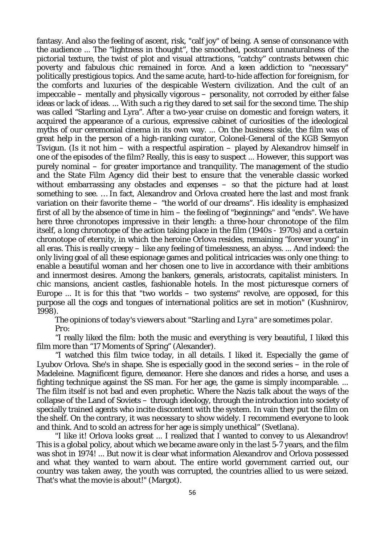fantasy. And also the feeling of ascent, risk, "calf joy" of being. A sense of consonance with the audience ... The "lightness in thought", the smoothed, postcard unnaturalness of the pictorial texture, the twist of plot and visual attractions, "catchy" contrasts between chic poverty and fabulous chic remained in force. And a keen addiction to "necessary" politically prestigious topics. And the same acute, hard-to-hide affection for foreignism, for the comforts and luxuries of the despicable Western civilization. And the cult of an impeccable – mentally and physically vigorous – personality, not corroded by either false ideas or lack of ideas. ... With such a rig they dared to set sail for the second time. The ship was called "Starling and Lyra". After a two-year cruise on domestic and foreign waters, it acquired the appearance of a curious, expressive cabinet of curiosities of the ideological myths of our ceremonial cinema in its own way. ... On the business side, the film was of great help in the person of a high-ranking curator, Colonel-General of the KGB Semyon Tsvigun. (Is it not him  $-$  with a respectful aspiration  $-$  played by Alexandrov himself in one of the episodes of the film? Really, this is easy to suspect ... However, this support was purely nominal – for greater importance and tranquility. The management of the studio and the State Film Agency did their best to ensure that the venerable classic worked without embarrassing any obstacles and expenses – so that the picture had at least something to see. … In fact, Alexandrov and Orlova created here the last and most frank variation on their favorite theme – "the world of our dreams". His ideality is emphasized first of all by the absence of time in him – the feeling of "beginnings" and "ends". We have here three chronotopes impressive in their length: a three-hour chronotope of the film itself, a long chronotope of the action taking place in the film (1940s - 1970s) and a certain chronotope of eternity, in which the heroine Orlova resides, remaining "forever young" in all eras. This is really creepy – like any feeling of timelessness, an abyss. ... And indeed: the only living goal of all these espionage games and political intricacies was only one thing: to enable a beautiful woman and her chosen one to live in accordance with their ambitions and innermost desires. Among the bankers, generals, aristocrats, capitalist ministers. In chic mansions, ancient castles, fashionable hotels. In the most picturesque corners of Europe ... It is for this that "two worlds  $-$  two systems" revolve, are opposed, for this purpose all the cogs and tongues of international politics are set in motion" (Kushnirov, 1998).

*The opinions of today's viewers about "Starling and Lyra" are sometimes polar. Pro:*

"I really liked the film: both the music and everything is very beautiful, I liked this film more than "17 Moments of Spring" (Alexander).

"I watched this film twice today, in all details. I liked it. Especially the game of Lyubov Orlova. She's in shape. She is especially good in the second series – in the role of Madeleine. Magnificent figure, demeanor. Here she dances and rides a horse, and uses a fighting technique against the SS man. For her age, the game is simply incomparable. ... The film itself is not bad and even prophetic. Where the Nazis talk about the ways of the collapse of the Land of Soviets – through ideology, through the introduction into society of specially trained agents who incite discontent with the system. In vain they put the film on the shelf. On the contrary, it was necessary to show widely. I recommend everyone to look and think. And to scold an actress for her age is simply unethical" (Svetlana).

"I like it! Orlova looks great ... I realized that I wanted to convey to us Alexandrov! This is a global policy, about which we became aware only in the last 5-7 years, and the film was shot in 1974! ... But now it is clear what information Alexandrov and Orlova possessed and what they wanted to warn about. The entire world government carried out, our country was taken away, the youth was corrupted, the countries allied to us were seized. That's what the movie is about!" (Margot).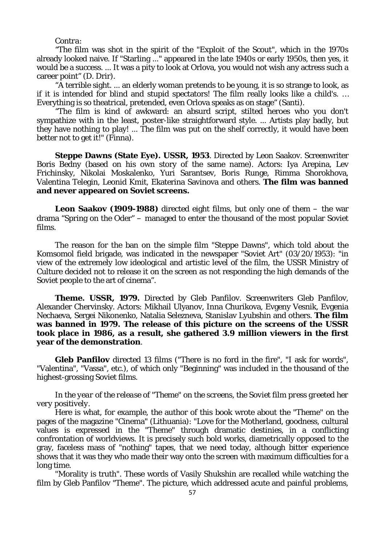#### *Contra:*

"The film was shot in the spirit of the "Exploit of the Scout", which in the 1970s already looked naive. If "Starling ..." appeared in the late 1940s or early 1950s, then yes, it would be a success. ... It was a pity to look at Orlova, you would not wish any actress such a career point" (D. Drir).

"A terrible sight. ... an elderly woman pretends to be young, it is so strange to look, as if it is intended for blind and stupid spectators! The film really looks like a child's. … Everything is so theatrical, pretended, even Orlova speaks as on stage" (Santi).

"The film is kind of awkward: an absurd script, stilted heroes who you don't sympathize with in the least, poster-like straightforward style. ... Artists play badly, but they have nothing to play! ... The film was put on the shelf correctly, it would have been better not to get it!" (Finna).

**Steppe Dawns (State Eye). USSR, 1953**. Directed by Leon Saakov. Screenwriter Boris Bedny (based on his own story of the same name). Actors: Iya Arepina, Lev Frichinsky, Nikolai Moskalenko, Yuri Sarantsev, Boris Runge, Rimma Shorokhova, Valentina Telegin, Leonid Kmit, Ekaterina Savinova and others. **The film was banned and never appeared on Soviet screens.**

**Leon Saakov (1909-1988)** directed eight films, but only one of them – the war drama "Spring on the Oder" – managed to enter the thousand of the most popular Soviet films.

The reason for the ban on the simple film "Steppe Dawns", which told about the Komsomol field brigade, was indicated in the newspaper "Soviet Art" (03/20/1953): "in view of the extremely low ideological and artistic level of the film, the USSR Ministry of Culture decided not to release it on the screen as not responding the high demands of the Soviet people to the art of cinema".

**Theme. USSR, 1979.** Directed by Gleb Panfilov. Screenwriters Gleb Panfilov, Alexander Chervinsky. Actors: Mikhail Ulyanov, Inna Churikova, Evgeny Vesnik, Evgenia Nechaeva, Sergei Nikonenko, Natalia Selezneva, Stanislav Lyubshin and others. **The film was banned in 1979. The release of this picture on the screens of the USSR took place in 1986, as a result, she gathered 3.9 million viewers in the first year of the demonstration**.

**Gleb Panfilov** directed 13 films ("There is no ford in the fire", "I ask for words", "Valentina", "Vassa", etc.), of which only "Beginning" was included in the thousand of the highest-grossing Soviet films.

*In the year of the release of "Theme" on the screens, the Soviet film press greeted her very positively.*

Here is what, for example, the author of this book wrote about the "Theme" on the pages of the magazine "Cinema" (Lithuania): "Love for the Motherland, goodness, cultural values is expressed in the "Theme" through dramatic destinies, in a conflicting confrontation of worldviews. It is precisely such bold works, diametrically opposed to the gray, faceless mass of "nothing" tapes, that we need today, although bitter experience shows that it was they who made their way onto the screen with maximum difficulties for a long time.

"Morality is truth". These words of Vasily Shukshin are recalled while watching the film by Gleb Panfilov "Theme". The picture, which addressed acute and painful problems,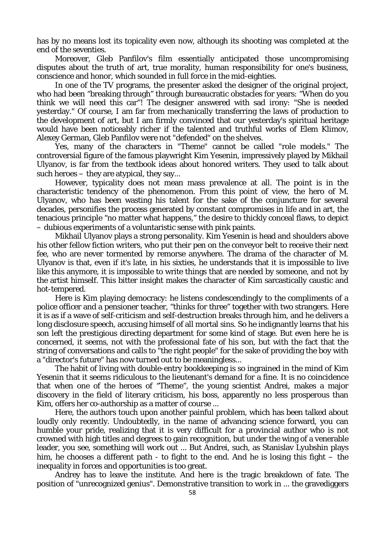has by no means lost its topicality even now, although its shooting was completed at the end of the seventies.

Moreover, Gleb Panfilov's film essentially anticipated those uncompromising disputes about the truth of art, true morality, human responsibility for one's business, conscience and honor, which sounded in full force in the mid-eighties.

In one of the TV programs, the presenter asked the designer of the original project, who had been "breaking through" through bureaucratic obstacles for years: "When do you think we will need this car"! The designer answered with sad irony: "She is needed yesterday." Of course, I am far from mechanically transferring the laws of production to the development of art, but I am firmly convinced that our yesterday's spiritual heritage would have been noticeably richer if the talented and truthful works of Elem Klimov, Alexey German, Gleb Panfilov were not "defended" on the shelves.

Yes, many of the characters in "Theme" cannot be called "role models." The controversial figure of the famous playwright Kim Yesenin, impressively played by Mikhail Ulyanov, is far from the textbook ideas about honored writers. They used to talk about such heroes – they are atypical, they say...

However, typicality does not mean mass prevalence at all. The point is in the characteristic tendency of the phenomenon. From this point of view, the hero of M. Ulyanov, who has been wasting his talent for the sake of the conjuncture for several decades, personifies the process generated by constant compromises in life and in art, the tenacious principle "no matter what happens," the desire to thickly conceal flaws, to depict – dubious experiments of a voluntaristic sense with pink paints.

Mikhail Ulyanov plays a strong personality. Kim Yesenin is head and shoulders above his other fellow fiction writers, who put their pen on the conveyor belt to receive their next fee, who are never tormented by remorse anywhere. The drama of the character of M. Ulyanov is that, even if it's late, in his sixties, he understands that it is impossible to live like this anymore, it is impossible to write things that are needed by someone, and not by the artist himself. This bitter insight makes the character of Kim sarcastically caustic and hot-tempered.

Here is Kim playing democracy: he listens condescendingly to the compliments of a police officer and a pensioner teacher, "thinks for three" together with two strangers. Here it is as if a wave of self-criticism and self-destruction breaks through him, and he delivers a long disclosure speech, accusing himself of all mortal sins. So he indignantly learns that his son left the prestigious directing department for some kind of stage. But even here he is concerned, it seems, not with the professional fate of his son, but with the fact that the string of conversations and calls to "the right people" for the sake of providing the boy with a "director's future" has now turned out to be meaningless...

The habit of living with double-entry bookkeeping is so ingrained in the mind of Kim Yesenin that it seems ridiculous to the lieutenant's demand for a fine. It is no coincidence that when one of the heroes of "Theme", the young scientist Andrei, makes a major discovery in the field of literary criticism, his boss, apparently no less prosperous than Kim, offers her co-authorship as a matter of course ...

Here, the authors touch upon another painful problem, which has been talked about loudly only recently. Undoubtedly, in the name of advancing science forward, you can humble your pride, realizing that it is very difficult for a provincial author who is not crowned with high titles and degrees to gain recognition, but under the wing of a venerable leader, you see, something will work out ... But Andrei, such, as Stanislav Lyubshin plays him, he chooses a different path - to fight to the end. And he is losing this fight – the inequality in forces and opportunities is too great.

Andrey has to leave the institute. And here is the tragic breakdown of fate. The position of "unrecognized genius". Demonstrative transition to work in ... the gravediggers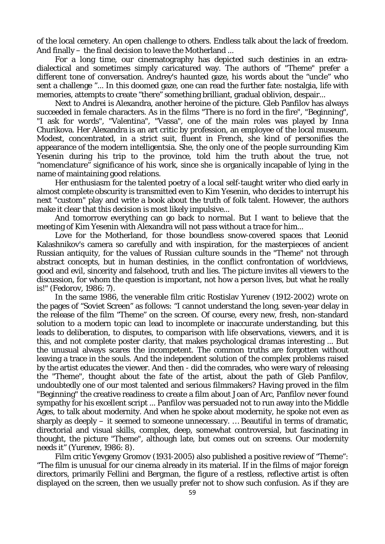of the local cemetery. An open challenge to others. Endless talk about the lack of freedom. And finally – the final decision to leave the Motherland ...

For a long time, our cinematography has depicted such destinies in an extradialectical and sometimes simply caricatured way. The authors of "Theme" prefer a different tone of conversation. Andrey's haunted gaze, his words about the "uncle" who sent a challenge "... In this doomed gaze, one can read the further fate: nostalgia, life with memories, attempts to create "there" something brilliant, gradual oblivion, despair...

Next to Andrei is Alexandra, another heroine of the picture. Gleb Panfilov has always succeeded in female characters. As in the films "There is no ford in the fire", "Beginning", "I ask for words", "Valentina", "Vassa", one of the main roles was played by Inna Churikova. Her Alexandra is an art critic by profession, an employee of the local museum. Modest, concentrated, in a strict suit, fluent in French, she kind of personifies the appearance of the modern intelligentsia. She, the only one of the people surrounding Kim Yesenin during his trip to the province, told him the truth about the true, not "nomenclature" significance of his work, since she is organically incapable of lying in the name of maintaining good relations.

Her enthusiasm for the talented poetry of a local self-taught writer who died early in almost complete obscurity is transmitted even to Kim Yesenin, who decides to interrupt his next "custom" play and write a book about the truth of folk talent. However, the authors make it clear that this decision is most likely impulsive...

And tomorrow everything can go back to normal. But I want to believe that the meeting of Kim Yesenin with Alexandra will not pass without a trace for him...

Love for the Motherland, for those boundless snow-covered spaces that Leonid Kalashnikov's camera so carefully and with inspiration, for the masterpieces of ancient Russian antiquity, for the values of Russian culture sounds in the "Theme" not through abstract concepts, but in human destinies, in the conflict confrontation of worldviews, good and evil, sincerity and falsehood, truth and lies. The picture invites all viewers to the discussion, for whom the question is important, not how a person lives, but what he really is!" (Fedorov, 1986: 7).

In the same 1986, the venerable film critic Rostislav Yurenev (1912-2002) wrote on the pages of "Soviet Screen" as follows: "I cannot understand the long, seven-year delay in the release of the film "Theme" on the screen. Of course, every new, fresh, non-standard solution to a modern topic can lead to incomplete or inaccurate understanding, but this leads to deliberation, to disputes, to comparison with life observations, viewers, and it is this, and not complete poster clarity, that makes psychological dramas interesting ... But the unusual always scares the incompetent. The common truths are forgotten without leaving a trace in the souls. And the independent solution of the complex problems raised by the artist educates the viewer. And then - did the comrades, who were wary of releasing the "Theme", thought about the fate of the artist, about the path of Gleb Panfilov, undoubtedly one of our most talented and serious filmmakers? Having proved in the film "Beginning" the creative readiness to create a film about Joan of Arc, Panfilov never found sympathy for his excellent script ... Panfilov was persuaded not to run away into the Middle Ages, to talk about modernity. And when he spoke about modernity, he spoke not even as sharply as deeply – it seemed to someone unnecessary. … Beautiful in terms of dramatic, directorial and visual skills, complex, deep, somewhat controversial, but fascinating in thought, the picture "Theme", although late, but comes out on screens. Our modernity needs it" (Yurenev, 1986: 8).

Film critic Yevgeny Gromov (1931-2005) also published a positive review of "Theme": "The film is unusual for our cinema already in its material. If in the films of major foreign directors, primarily Fellini and Bergman, the figure of a restless, reflective artist is often displayed on the screen, then we usually prefer not to show such confusion. As if they are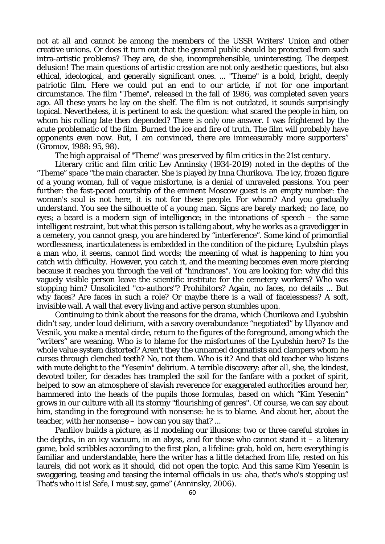not at all and cannot be among the members of the USSR Writers' Union and other creative unions. Or does it turn out that the general public should be protected from such intra-artistic problems? They are, de she, incomprehensible, uninteresting. The deepest delusion! The main questions of artistic creation are not only aesthetic questions, but also ethical, ideological, and generally significant ones. ... "Theme" is a bold, bright, deeply patriotic film. Here we could put an end to our article, if not for one important circumstance. The film "Theme", released in the fall of 1986, was completed seven years ago. All these years he lay on the shelf. The film is not outdated, it sounds surprisingly topical. Nevertheless, it is pertinent to ask the question: what scared the people in him, on whom his rolling fate then depended? There is only one answer. I was frightened by the acute problematic of the film. Burned the ice and fire of truth. The film will probably have opponents even now. But, I am convinced, there are immeasurably more supporters" (Gromov, 1988: 95, 98).

#### *The high appraisal of "Theme" was preserved by film critics in the 21st century.*

Literary critic and film critic Lev Anninsky (1934-2019) noted in the depths of the "Theme" space "the main character. She is played by Inna Churikova. The icy, frozen figure of a young woman, full of vague misfortune, is a denial of unraveled passions. You peer further: the fast-paced courtship of the eminent Moscow guest is an empty number: the woman's soul is not here, it is not for these people. For whom? And you gradually understand. You see the silhouette of a young man. Signs are barely marked; no face, no eyes; a beard is a modern sign of intelligence; in the intonations of speech – the same intelligent restraint, but what this person is talking about, why he works as a gravedigger in a cemetery, you cannot grasp, you are hindered by "interference". Some kind of primordial wordlessness, inarticulateness is embedded in the condition of the picture; Lyubshin plays a man who, it seems, cannot find words; the meaning of what is happening to him you catch with difficulty. However, you catch it, and the meaning becomes even more piercing because it reaches you through the veil of "hindrances". You are looking for: why did this vaguely visible person leave the scientific institute for the cemetery workers? Who was stopping him? Unsolicited "co-authors"? Prohibitors? Again, no faces, no details ... But why faces? Are faces in such a role? Or maybe there is a wall of facelessness? A soft, invisible wall. A wall that every living and active person stumbles upon.

Continuing to think about the reasons for the drama, which Churikova and Lyubshin didn't say, under loud delirium, with a savory overabundance "negotiated" by Ulyanov and Vesnik, you make a mental circle, return to the figures of the foreground, among which the "writers" are weaning. Who is to blame for the misfortunes of the Lyubshin hero? Is the whole value system distorted? Aren't they the unnamed dogmatists and clampers whom he curses through clenched teeth? No, not them. Who is it? And that old teacher who listens with mute delight to the "Yesenin" delirium. A terrible discovery: after all, she, the kindest, devoted toiler, for decades has trampled the soil for the fanfare with a pocket of spirit, helped to sow an atmosphere of slavish reverence for exaggerated authorities around her, hammered into the heads of the pupils those formulas, based on which "Kim Yesenin" grows in our culture with all its stormy "flourishing of genres". Of course, we can say about him, standing in the foreground with nonsense: he is to blame. And about her, about the teacher, with her nonsense – how can you say that? ...

Panfilov builds a picture, as if modeling our illusions: two or three careful strokes in the depths, in an icy vacuum, in an abyss, and for those who cannot stand it  $-$  a literary game, bold scribbles according to the first plan, a lifeline: grab, hold on, here everything is familiar and understandable, here the writer has a little detached from life, rested on his laurels, did not work as it should, did not open the topic. And this same Kim Yesenin is swaggering, teasing and teasing the internal officials in us: aha, that's who's stopping us! That's who it is! Safe, I must say, game" (Anninsky, 2006).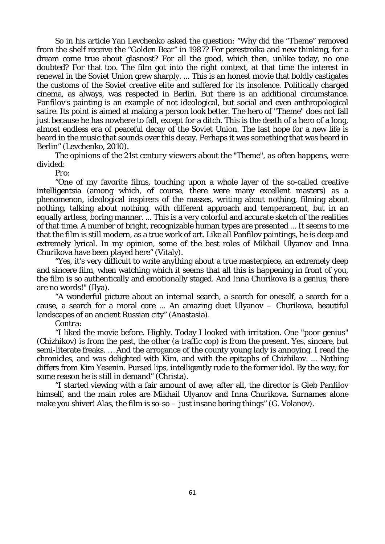So in his article Yan Levchenko asked the question: "Why did the "Theme" removed from the shelf receive the "Golden Bear" in 1987? For perestroika and new thinking, for a dream come true about glasnost? For all the good, which then, unlike today, no one doubted? For that too. The film got into the right context, at that time the interest in renewal in the Soviet Union grew sharply. ... This is an honest movie that boldly castigates the customs of the Soviet creative elite and suffered for its insolence. Politically charged cinema, as always, was respected in Berlin. But there is an additional circumstance. Panfilov's painting is an example of not ideological, but social and even anthropological satire. Its point is aimed at making a person look better. The hero of "Theme" does not fall just because he has nowhere to fall, except for a ditch. This is the death of a hero of a long, almost endless era of peaceful decay of the Soviet Union. The last hope for a new life is heard in the music that sounds over this decay. Perhaps it was something that was heard in Berlin" (Levchenko, 2010).

*The opinions of the 21st century viewers about the "Theme", as often happens, were divided:*

*Pro:*

"One of my favorite films, touching upon a whole layer of the so-called creative intelligentsia (among which, of course, there were many excellent masters) as a phenomenon, ideological inspirers of the masses, writing about nothing, filming about nothing, talking about nothing, with different approach and temperament, but in an equally artless, boring manner. ... This is a very colorful and accurate sketch of the realities of that time. A number of bright, recognizable human types are presented ... It seems to me that the film is still modern, as a true work of art. Like all Panfilov paintings, he is deep and extremely lyrical. In my opinion, some of the best roles of Mikhail Ulyanov and Inna Churikova have been played here" (Vitaly).

"Yes, it's very difficult to write anything about a true masterpiece, an extremely deep and sincere film, when watching which it seems that all this is happening in front of you, the film is so authentically and emotionally staged. And Inna Churikova is a genius, there are no words!" (Ilya).

"A wonderful picture about an internal search, a search for oneself, a search for a cause, a search for a moral core ... An amazing duet Ulyanov – Churikova, beautiful landscapes of an ancient Russian city" (Anastasia).

### *Contra:*

"I liked the movie before. Highly. Today I looked with irritation. One "poor genius" (Chizhikov) is from the past, the other (a traffic cop) is from the present. Yes, sincere, but semi-literate freaks. … And the arrogance of the county young lady is annoying. I read the chronicles, and was delighted with Kim, and with the epitaphs of Chizhikov. ... Nothing differs from Kim Yesenin. Pursed lips, intelligently rude to the former idol. By the way, for some reason he is still in demand" (Christa).

"I started viewing with a fair amount of awe; after all, the director is Gleb Panfilov himself, and the main roles are Mikhail Ulyanov and Inna Churikova. Surnames alone make you shiver! Alas, the film is  $so-so-$  just insane boring things" (G. Volanov).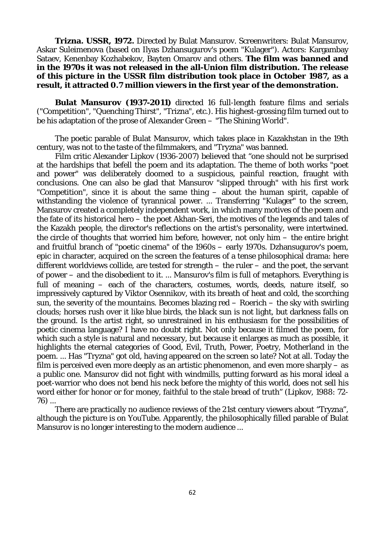**Trizna. USSR, 1972.** Directed by Bulat Mansurov. Screenwriters: Bulat Mansurov, Askar Suleimenova (based on Ilyas Dzhansugurov's poem "Kulager"). Actors: Kargambay Sataev, Kenenbay Kozhabekov, Bayten Omarov and others. **The film was banned and in the 1970s it was not released in the all-Union film distribution. The release of this picture in the USSR film distribution took place in October 1987, as a result, it attracted 0.7 million viewers in the first year of the demonstration.**

**Bulat Mansurov (1937-2011)** directed 16 full-length feature films and serials ("Competition", "Quenching Thirst", "Trizna", etc.). His highest-grossing film turned out to be his adaptation of the prose of Alexander Green – "The Shining World".

The poetic parable of Bulat Mansurov, which takes place in Kazakhstan in the 19th century, was not to the taste of the filmmakers, and "Tryzna" was banned.

Film critic Alexander Lipkov (1936-2007) believed that "one should not be surprised at the hardships that befell the poem and its adaptation. The theme of both works "poet and power" was deliberately doomed to a suspicious, painful reaction, fraught with conclusions. One can also be glad that Mansurov "slipped through" with his first work "Competition", since it is about the same thing – about the human spirit, capable of withstanding the violence of tyrannical power. ... Transferring "Kulager" to the screen, Mansurov created a completely independent work, in which many motives of the poem and the fate of its historical hero – the poet Akhan-Seri, the motives of the legends and tales of the Kazakh people, the director's reflections on the artist's personality, were intertwined. the circle of thoughts that worried him before, however, not only him – the entire bright and fruitful branch of "poetic cinema" of the 1960s – early 1970s. Dzhansugurov's poem, epic in character, acquired on the screen the features of a tense philosophical drama: here different worldviews collide, are tested for strength – the ruler – and the poet, the servant of power – and the disobedient to it. ... Mansurov's film is full of metaphors. Everything is full of meaning – each of the characters, costumes, words, deeds, nature itself, so impressively captured by Viktor Osennikov, with its breath of heat and cold, the scorching sun, the severity of the mountains. Becomes blazing red  $-$  Roerich  $-$  the sky with swirling clouds; horses rush over it like blue birds, the black sun is not light, but darkness falls on the ground. Is the artist right, so unrestrained in his enthusiasm for the possibilities of poetic cinema language? I have no doubt right. Not only because it filmed the poem, for which such a style is natural and necessary, but because it enlarges as much as possible, it highlights the eternal categories of Good, Evil, Truth, Power, Poetry, Motherland in the poem. ... Has "Tryzna" got old, having appeared on the screen so late? Not at all. Today the film is perceived even more deeply as an artistic phenomenon, and even more sharply  $-$  as a public one. Mansurov did not fight with windmills, putting forward as his moral ideal a poet-warrior who does not bend his neck before the mighty of this world, does not sell his word either for honor or for money, faithful to the stale bread of truth" (Lipkov, 1988: 72- 76) ...

There are practically no audience reviews of the 21st century viewers about "Tryzna", although the picture is on YouTube. Apparently, the philosophically filled parable of Bulat Mansurov is no longer interesting to the modern audience ...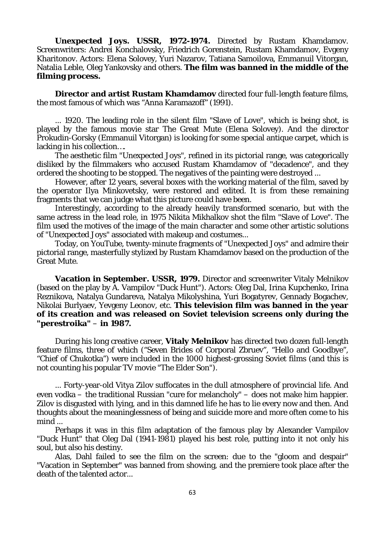**Unexpected Joys. USSR, 1972-1974.** Directed by Rustam Khamdamov. Screenwriters: Andrei Konchalovsky, Friedrich Gorenstein, Rustam Khamdamov, Evgeny Kharitonov. Actors: Elena Solovey, Yuri Nazarov, Tatiana Samoilova, Emmanuil Vitorgan, Natalia Leble, Oleg Yankovsky and others. **The film was banned in the middle of the filming process.**

**Director and artist Rustam Khamdamov** directed four full-length feature films, the most famous of which was "Anna Karamazoff" (1991).

... 1920. The leading role in the silent film "Slave of Love", which is being shot, is played by the famous movie star The Great Mute (Elena Solovey). And the director Prokudin-Gorsky (Emmanuil Vitorgan) is looking for some special antique carpet, which is lacking in his collection….

The aesthetic film "Unexpected Joys", refined in its pictorial range, was categorically disliked by the filmmakers who accused Rustam Khamdamov of "decadence", and they ordered the shooting to be stopped. The negatives of the painting were destroyed ...

However, after 12 years, several boxes with the working material of the film, saved by the operator Ilya Minkovetsky, were restored and edited. It is from these remaining fragments that we can judge what this picture could have been.

Interestingly, according to the already heavily transformed scenario, but with the same actress in the lead role, in 1975 Nikita Mikhalkov shot the film "Slave of Love". The film used the motives of the image of the main character and some other artistic solutions of "Unexpected Joys" associated with makeup and costumes...

Today, on YouTube, twenty-minute fragments of "Unexpected Joys" and admire their pictorial range, masterfully stylized by Rustam Khamdamov based on the production of the Great Mute.

**Vacation in September. USSR, 1979.** Director and screenwriter Vitaly Melnikov (based on the play by A. Vampilov "Duck Hunt"). Actors: Oleg Dal, Irina Kupchenko, Irina Reznikova, Natalya Gundareva, Natalya Mikolyshina, Yuri Bogatyrev, Gennady Bogachev, Nikolai Burlyaev, Yevgeny Leonov, etc. **This television film was banned in the year of its creation and was released on Soviet television screens only during the "perestroika"** – **in 1987.**

During his long creative career, **Vitaly Melnikov** has directed two dozen full-length feature films, three of which ("Seven Brides of Corporal Zbruev", "Hello and Goodbye", "Chief of Chukotka") were included in the 1000 highest-grossing Soviet films (and this is not counting his popular TV movie "The Elder Son").

... Forty-year-old Vitya Zilov suffocates in the dull atmosphere of provincial life. And even vodka – the traditional Russian "cure for melancholy" – does not make him happier. Zilov is disgusted with lying, and in this damned life he has to lie every now and then. And thoughts about the meaninglessness of being and suicide more and more often come to his mind ...

Perhaps it was in this film adaptation of the famous play by Alexander Vampilov "Duck Hunt" that Oleg Dal (1941-1981) played his best role, putting into it not only his soul, but also his destiny.

Alas, Dahl failed to see the film on the screen: due to the "gloom and despair" "Vacation in September" was banned from showing, and the premiere took place after the death of the talented actor...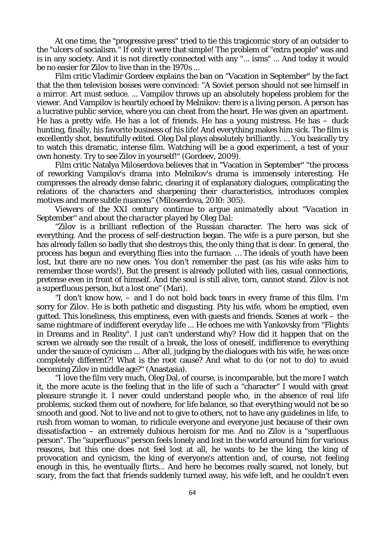At one time, the "progressive press" tried to tie this tragicomic story of an outsider to the "ulcers of socialism." If only it were that simple! The problem of "extra people" was and is in any society. And it is not directly connected with any "... isms" ... And today it would be no easier for Zilov to live than in the 1970s ...

Film critic Vladimir Gordeev explains the ban on "Vacation in September" by the fact that the then television bosses were convinced: "A Soviet person should not see himself in a mirror. Art must seduce. ... Vampilov throws up an absolutely hopeless problem for the viewer. And Vampilov is heartily echoed by Melnikov: there is a living person. A person has a lucrative public service, where you can cheat from the heart. He was given an apartment. He has a pretty wife. He has a lot of friends. He has a young mistress. He has – duck hunting, finally, his favorite business of his life! And everything makes him sick. The film is excellently shot, beautifully edited. Oleg Dal plays absolutely brilliantly. ... You basically try to watch this dramatic, intense film. Watching will be a good experiment, a test of your own honesty. Try to see Zilov in yourself!" (Gordeev, 2009).

Film critic Natalya Miloserdova believes that in "Vacation in September" "the process of reworking Vampilov's drama into Melnikov's drama is immensely interesting. He compresses the already dense fabric, clearing it of explanatory dialogues, complicating the relations of the characters and sharpening their characteristics, introduces complex motives and more subtle nuances" (Miloserdova, 2010: 305).

*Viewers of the XXI century continue to argue animatedly about "Vacation in September" and about the character played by Oleg Dal:*

"Zilov is a brilliant reflection of the Russian character. The hero was sick of everything. And the process of self-destruction began. The wife is a pure person, but she has already fallen so badly that she destroys this, the only thing that is dear. In general, the process has begun and everything flies into the furnace. … The ideals of youth have been lost, but there are no new ones. You don't remember the past (as his wife asks him to remember those words!), But the present is already polluted with lies, casual connections, pretense even in front of himself. And the soul is still alive, torn, cannot stand. Zilov is not a superfluous person, but a lost one" (Mari).

"I don't know how, – and I do not hold back tears in every frame of this film. I'm sorry for Zilov. He is both pathetic and disgusting. Pity his wife, whom he emptied, even gutted. This loneliness, this emptiness, even with guests and friends. Scenes at work – the same nightmare of indifferent everyday life ... He echoes me with Yankovsky from "Flights in Dreams and in Reality". I just can't understand why? How did it happen that on the screen we already see the result of a break, the loss of oneself, indifference to everything under the sauce of cynicism ... After all, judging by the dialogues with his wife, he was once completely different?! What is the root cause? And what to do (or not to do) to avoid becoming Zilov in middle age?" (Anastasia).

"I love the film very much, Oleg Dal, of course, is incomparable, but the more I watch it, the more acute is the feeling that in the life of such a "character" I would with great pleasure strangle it. I never could understand people who, in the absence of real life problems, sucked them out of nowhere, for life balance, so that everything would not be so smooth and good. Not to live and not to give to others, not to have any guidelines in life, to rush from woman to woman, to ridicule everyone and everyone just because of their own dissatisfaction – an extremely dubious heroism for me. And no Zilov is a "superfluous person". The "superfluous" person feels lonely and lost in the world around him for various reasons, but this one does not feel lost at all, he wants to be the king, the king of provocation and cynicism, the king of everyone's attention and, of course, not feeling enough in this, he eventually flirts... And here he becomes really scared, not lonely, but scary, from the fact that friends suddenly turned away, his wife left, and he couldn't even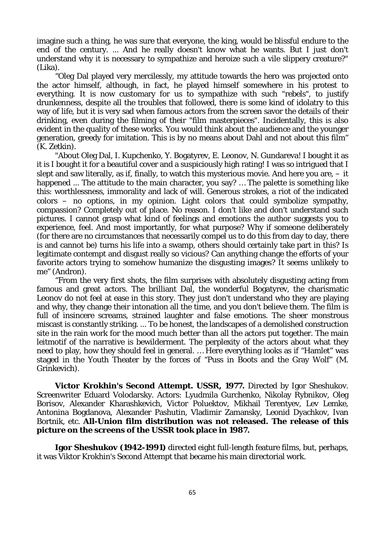imagine such a thing, he was sure that everyone, the king, would be blissful endure to the end of the century. ... And he really doesn't know what he wants. But I just don't understand why it is necessary to sympathize and heroize such a vile slippery creature?" (Lika).

"Oleg Dal played very mercilessly, my attitude towards the hero was projected onto the actor himself, although, in fact, he played himself somewhere in his protest to everything. It is now customary for us to sympathize with such "rebels", to justify drunkenness, despite all the troubles that followed, there is some kind of idolatry to this way of life, but it is very sad when famous actors from the screen savor the details of their drinking, even during the filming of their "film masterpieces". Incidentally, this is also evident in the quality of these works. You would think about the audience and the younger generation, greedy for imitation. This is by no means about Dahl and not about this film" (K. Zetkin).

"About Oleg Dal, I. Kupchenko, Y. Bogatyrev, E. Leonov, N. Gundareva! I bought it as it is I bought it for a beautiful cover and a suspiciously high rating! I was so intrigued that I slept and saw literally, as if, finally, to watch this mysterious movie. And here you are,  $-$  it happened ... The attitude to the main character, you say? ... The palette is something like this: worthlessness, immorality and lack of will. Generous strokes, a riot of the indicated colors – no options, in my opinion. Light colors that could symbolize sympathy, compassion? Completely out of place. No reason. I don't like and don't understand such pictures. I cannot grasp what kind of feelings and emotions the author suggests you to experience, feel. And most importantly, for what purpose? Why if someone deliberately (for there are no circumstances that necessarily compel us to do this from day to day, there is and cannot be) turns his life into a swamp, others should certainly take part in this? Is legitimate contempt and disgust really so vicious? Can anything change the efforts of your favorite actors trying to somehow humanize the disgusting images? It seems unlikely to me" (Andron).

"From the very first shots, the film surprises with absolutely disgusting acting from famous and great actors. The brilliant Dal, the wonderful Bogatyrev, the charismatic Leonov do not feel at ease in this story. They just don't understand who they are playing and why, they change their intonation all the time, and you don't believe them. The film is full of insincere screams, strained laughter and false emotions. The sheer monstrous miscast is constantly striking. ... To be honest, the landscapes of a demolished construction site in the rain work for the mood much better than all the actors put together. The main leitmotif of the narrative is bewilderment. The perplexity of the actors about what they need to play, how they should feel in general. … Here everything looks as if "Hamlet" was staged in the Youth Theater by the forces of "Puss in Boots and the Gray Wolf" (M. Grinkevich).

**Victor Krokhin's Second Attempt. USSR, 1977.** Directed by Igor Sheshukov. Screenwriter Eduard Volodarsky. Actors: Lyudmila Gurchenko, Nikolay Rybnikov, Oleg Borisov, Alexander Kharashkevich, Victor Poluektov, Mikhail Terentyev, Lev Lemke, Antonina Bogdanova, Alexander Pashutin, Vladimir Zamansky, Leonid Dyachkov, Ivan Bortnik, etc. **All-Union film distribution was not released. The release of this picture on the screens of the USSR took place in 1987.**

**Igor Sheshukov (1942-1991)** directed eight full-length feature films, but, perhaps, it was Viktor Krokhin's Second Attempt that became his main directorial work.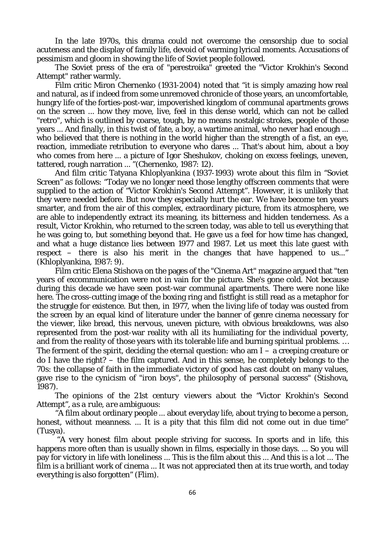In the late 1970s, this drama could not overcome the censorship due to social acuteness and the display of family life, devoid of warming lyrical moments. Accusations of pessimism and gloom in showing the life of Soviet people followed.

The Soviet press of the era of "perestroika" greeted the "Victor Krokhin's Second Attempt" rather warmly.

Film critic Miron Chernenko (1931-2004) noted that "it is simply amazing how real and natural, as if indeed from some unremoved chronicle of those years, an uncomfortable, hungry life of the forties-post-war, impoverished kingdom of communal apartments grows on the screen ... how they move, live, feel in this dense world, which can not be called "retro", which is outlined by coarse, tough, by no means nostalgic strokes, people of those years ... And finally, in this twist of fate, a boy, a wartime animal, who never had enough ... who believed that there is nothing in the world higher than the strength of a fist, an eye, reaction, immediate retribution to everyone who dares ... That's about him, about a boy who comes from here ... a picture of Igor Sheshukov, choking on excess feelings, uneven, tattered, rough narration ... "(Chernenko, 1987: 12).

And film critic Tatyana Khloplyankina (1937-1993) wrote about this film in "Soviet Screen" as follows: "Today we no longer need those lengthy offscreen comments that were supplied to the action of "Victor Krokhin's Second Attempt". However, it is unlikely that they were needed before. But now they especially hurt the ear. We have become ten years smarter, and from the air of this complex, extraordinary picture, from its atmosphere, we are able to independently extract its meaning, its bitterness and hidden tenderness. As a result, Victor Krokhin, who returned to the screen today, was able to tell us everything that he was going to, but something beyond that. He gave us a feel for how time has changed, and what a huge distance lies between 1977 and 1987. Let us meet this late guest with respect – there is also his merit in the changes that have happened to us..." (Khloplyankina, 1987: 9).

Film critic Elena Stishova on the pages of the "Cinema Art" magazine argued that "ten years of excommunication were not in vain for the picture. She's gone cold. Not because during this decade we have seen post-war communal apartments. There were none like here. The cross-cutting image of the boxing ring and fistfight is still read as a metaphor for the struggle for existence. But then, in 1977, when the living life of today was ousted from the screen by an equal kind of literature under the banner of genre cinema necessary for the viewer, like bread, this nervous, uneven picture, with obvious breakdowns, was also represented from the post-war reality with all its humiliating for the individual poverty, and from the reality of those years with its tolerable life and burning spiritual problems. … The ferment of the spirit, deciding the eternal question: who am  $I - a$  creeping creature or do I have the right? – the film captured. And in this sense, he completely belongs to the 70s: the collapse of faith in the immediate victory of good has cast doubt on many values, gave rise to the cynicism of "iron boys", the philosophy of personal success" (Stishova, 1987).

*The opinions of the 21st century viewers about the "Victor Krokhin's Second Attempt", as a rule, are ambiguous:*

"A film about ordinary people ... about everyday life, about trying to become a person, honest, without meanness. ... It is a pity that this film did not come out in due time" (Tusya).

"A very honest film about people striving for success. In sports and in life, this happens more often than is usually shown in films, especially in those days. ... So you will pay for victory in life with loneliness ... This is the film about this ... And this is a lot ... The film is a brilliant work of cinema ... It was not appreciated then at its true worth, and today everything is also forgotten" (Flim).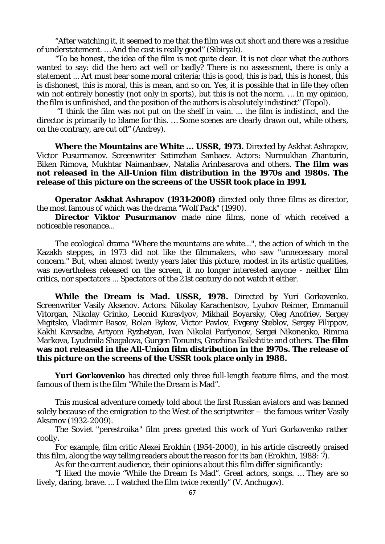"After watching it, it seemed to me that the film was cut short and there was a residue of understatement. … And the cast is really good" (Sibiryak).

"To be honest, the idea of the film is not quite clear. It is not clear what the authors wanted to say: did the hero act well or badly? There is no assessment, there is only a statement ... Art must bear some moral criteria: this is good, this is bad, this is honest, this is dishonest, this is moral, this is mean, and so on. Yes, it is possible that in life they often win not entirely honestly (not only in sports), but this is not the norm. … In my opinion, the film is unfinished, and the position of the authors is absolutely indistinct" (Topol).

"I think the film was not put on the shelf in vain. ... the film is indistinct, and the director is primarily to blame for this. … Some scenes are clearly drawn out, while others, on the contrary, are cut off" (Andrey).

**Where the Mountains are White ... USSR, 1973.** Directed by Askhat Ashrapov, Victor Pusurmanov. Screenwriter Satimzhan Sanbaev. Actors: Nurmukhan Zhanturin, Biken Rimova, Mukhtar Naimanbaev, Natalia Arinbasarova and others. **The film was not released in the All-Union film distribution in the 1970s and 1980s. The release of this picture on the screens of the USSR took place in 1991.**

**Operator Askhat Ashrapov (1931-2008)** directed only three films as director, the most famous of which was the drama "Wolf Pack" (1990).

**Director Viktor Pusurmanov** made nine films, none of which received a noticeable resonance...

The ecological drama "Where the mountains are white...", the action of which in the Kazakh steppes, in 1973 did not like the filmmakers, who saw "unnecessary moral concern." But, when almost twenty years later this picture, modest in its artistic qualities, was nevertheless released on the screen, it no longer interested anyone - neither film critics, nor spectators ... Spectators of the 21st century do not watch it either.

**While the Dream is Mad. USSR, 1978.** Directed by Yuri Gorkovenko. Screenwriter Vasily Aksenov. Actors: Nikolay Karachentsov, Lyubov Reimer, Emmanuil Vitorgan, Nikolay Grinko, Leonid Kuravlyov, Mikhail Boyarsky, Oleg Anofriev, Sergey Migitsko, Vladimir Basov, Rolan Bykov, Victor Pavlov, Evgeny Steblov, Sergey Filippov, Kakhi Kavsadze, Artyom Ryzhetyan, Ivan Nikolai Parfyonov, Sergei Nikonenko, Rimma Markova, Lyudmila Shagalova, Gurgen Tonunts, Grazhina Baikshtite and others. **The film was not released in the All-Union film distribution in the 1970s. The release of this picture on the screens of the USSR took place only in 1988.**

**Yuri Gorkovenko** has directed only three full-length feature films, and the most famous of them is the film "While the Dream is Mad".

This musical adventure comedy told about the first Russian aviators and was banned solely because of the emigration to the West of the scriptwriter – the famous writer Vasily Aksenov (1932-2009).

*The Soviet "perestroika" film press greeted this work of Yuri Gorkovenko rather coolly.*

For example, film critic Alexei Erokhin (1954-2000), in his article discreetly praised this film, along the way telling readers about the reason for its ban (Erokhin, 1988:  $\overline{7}$ ).

*As for the current audience, their opinions about this film differ significantly:*

"I liked the movie "While the Dream Is Mad". Great actors, songs. … They are so lively, daring, brave. ... I watched the film twice recently" (V. Anchugov).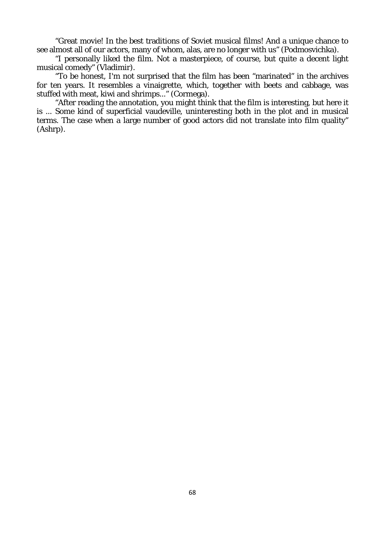"Great movie! In the best traditions of Soviet musical films! And a unique chance to see almost all of our actors, many of whom, alas, are no longer with us" (Podmosvichka).

"I personally liked the film. Not a masterpiece, of course, but quite a decent light musical comedy" (Vladimir).

"To be honest, I'm not surprised that the film has been "marinated" in the archives for ten years. It resembles a vinaigrette, which, together with beets and cabbage, was stuffed with meat, kiwi and shrimps..." (Cormega).

"After reading the annotation, you might think that the film is interesting, but here it is ... Some kind of superficial vaudeville, uninteresting both in the plot and in musical terms. The case when a large number of good actors did not translate into film quality" (Ashrp).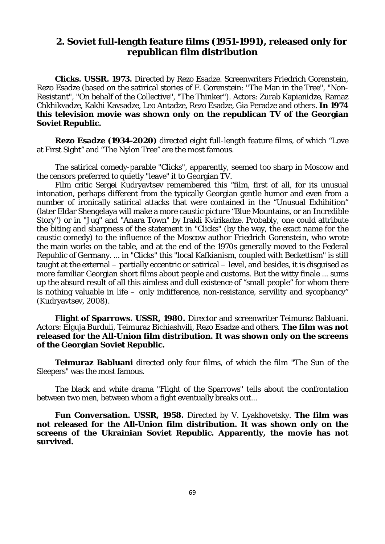# **2. Soviet full-length feature films (1951-1991), released only for republican film distribution**

**Clicks. USSR. 1973.** Directed by Rezo Esadze. Screenwriters Friedrich Gorenstein, Rezo Esadze (based on the satirical stories of F. Gorenstein: "The Man in the Tree", "Non-Resistant", "On behalf of the Collective", "The Thinker"). Actors: Zurab Kapianidze, Ramaz Chkhikvadze, Kakhi Kavsadze, Leo Antadze, Rezo Esadze, Gia Peradze and others. **In 1974 this television movie was shown only on the republican TV of the Georgian Soviet Republic.**

**Rezo Esadze (1934-2020)** directed eight full-length feature films, of which "Love at First Sight" and "The Nylon Tree" are the most famous.

The satirical comedy-parable "Clicks", apparently, seemed too sharp in Moscow and the censors preferred to quietly "leave" it to Georgian TV.

Film critic Sergei Kudryavtsev remembered this "film, first of all, for its unusual intonation, perhaps different from the typically Georgian gentle humor and even from a number of ironically satirical attacks that were contained in the "Unusual Exhibition" (later Eldar Shengelaya will make a more caustic picture "Blue Mountains, or an Incredible Story") or in "Jug" and "Anara Town" by Irakli Kvirikadze. Probably, one could attribute the biting and sharpness of the statement in "Clicks" (by the way, the exact name for the caustic comedy) to the influence of the Moscow author Friedrich Gorenstein, who wrote the main works on the table, and at the end of the 1970s generally moved to the Federal Republic of Germany. ... in "Clicks" this "local Kafkianism, coupled with Beckettism" is still taught at the external – partially eccentric or satirical – level, and besides, it is disguised as more familiar Georgian short films about people and customs. But the witty finale ... sums up the absurd result of all this aimless and dull existence of "small people" for whom there is nothing valuable in life – only indifference, non-resistance, servility and sycophancy" (Kudryavtsev, 2008).

**Flight of Sparrows. USSR, 1980.** Director and screenwriter Teimuraz Babluani. Actors: Elguja Burduli, Teimuraz Bichiashvili, Rezo Esadze and others. **The film was not released for the All-Union film distribution. It was shown only on the screens of the Georgian Soviet Republic.**

**Teimuraz Babluani** directed only four films, of which the film "The Sun of the Sleepers" was the most famous.

The black and white drama "Flight of the Sparrows" tells about the confrontation between two men, between whom a fight eventually breaks out...

**Fun Conversation. USSR, 1958.** Directed by V. Lyakhovetsky. **The film was not released for the All-Union film distribution. It was shown only on the screens of the Ukrainian Soviet Republic. Apparently, the movie has not survived.**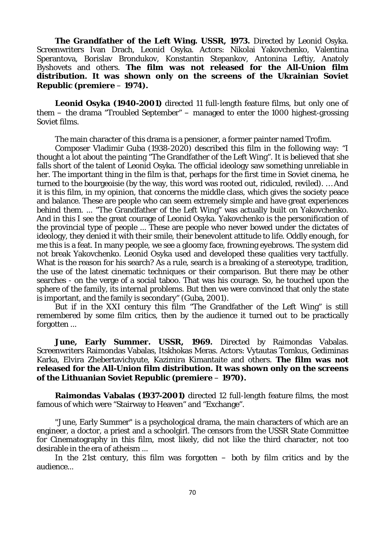**The Grandfather of the Left Wing. USSR, 1973.** Directed by Leonid Osyka. Screenwriters Ivan Drach, Leonid Osyka. Actors: Nikolai Yakovchenko, Valentina Sperantova, Borislav Brondukov, Konstantin Stepankov, Antonina Leftiy, Anatoly Byshovets and others. **The film was not released for the All-Union film distribution. It was shown only on the screens of the Ukrainian Soviet Republic (premiere** – **1974).**

**Leonid Osyka (1940-2001)** directed 11 full-length feature films, but only one of them – the drama "Troubled September" – managed to enter the 1000 highest-grossing Soviet films.

The main character of this drama is a pensioner, a former painter named Trofim.

Composer Vladimir Guba (1938-2020) described this film in the following way: "I thought a lot about the painting "The Grandfather of the Left Wing". It is believed that she falls short of the talent of Leonid Osyka. The official ideology saw something unreliable in her. The important thing in the film is that, perhaps for the first time in Soviet cinema, he turned to the bourgeoisie (by the way, this word was rooted out, ridiculed, reviled). … And it is this film, in my opinion, that concerns the middle class, which gives the society peace and balance. These are people who can seem extremely simple and have great experiences behind them. ... "The Grandfather of the Left Wing" was actually built on Yakovchenko. And in this I see the great courage of Leonid Osyka. Yakovchenko is the personification of the provincial type of people ... These are people who never bowed under the dictates of ideology, they denied it with their smile, their benevolent attitude to life. Oddly enough, for me this is a feat. In many people, we see a gloomy face, frowning eyebrows. The system did not break Yakovchenko. Leonid Osyka used and developed these qualities very tactfully. What is the reason for his search? As a rule, search is a breaking of a stereotype, tradition, the use of the latest cinematic techniques or their comparison. But there may be other searches - on the verge of a social taboo. That was his courage. So, he touched upon the sphere of the family, its internal problems. But then we were convinced that only the state is important, and the family is secondary" (Guba, 2001).

But if in the XXI century this film "The Grandfather of the Left Wing" is still remembered by some film critics, then by the audience it turned out to be practically forgotten ...

**June, Early Summer. USSR, 1969.** Directed by Raimondas Vabalas. Screenwriters Raimondas Vabalas, Itskhokas Meras. Actors: Vytautas Tomkus, Gediminas Karka, Elvira Zhebertavichyute, Kazimira Kimantaite and others. **The film was not released for the All-Union film distribution. It was shown only on the screens of the Lithuanian Soviet Republic (premiere** – **1970).**

**Raimondas Vabalas (1937-2001)** directed 12 full-length feature films, the most famous of which were "Stairway to Heaven" and "Exchange".

"June, Early Summer" is a psychological drama, the main characters of which are an engineer, a doctor, a priest and a schoolgirl. The censors from the USSR State Committee for Cinematography in this film, most likely, did not like the third character, not too desirable in the era of atheism ...

In the 21st century, this film was forgotten  $-$  both by film critics and by the audience...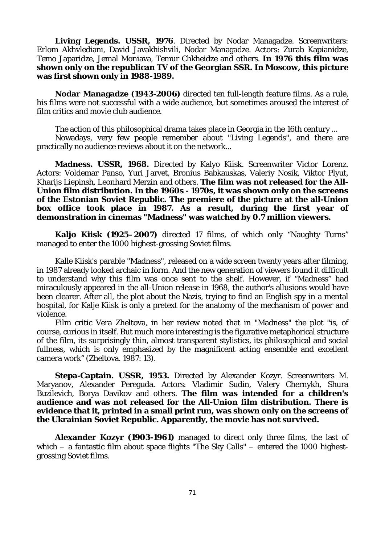Living Legends. USSR, 1976. Directed by Nodar Managadze. Screenwriters: Erlom Akhvlediani, David Javakhishvili, Nodar Managadze. Actors: Zurab Kapianidze, Temo Japaridze, Jemal Moniava, Temur Chkheidze and others. **In 1976 this film was shown only on the republican TV of the Georgian SSR. In Moscow, this picture was first shown only in 1988-1989.**

**Nodar Managadze (1943-2006)** directed ten full-length feature films. As a rule, his films were not successful with a wide audience, but sometimes aroused the interest of film critics and movie club audience.

The action of this philosophical drama takes place in Georgia in the 16th century ...

Nowadays, very few people remember about "Living Legends", and there are practically no audience reviews about it on the network...

**Madness. USSR, 1968.** Directed by Kalyo Kiisk. Screenwriter Victor Lorenz. Actors: Voldemar Panso, Yuri Jarvet, Bronius Babkauskas, Valeriy Nosik, Viktor Plyut, Kharijs Liepinsh, Leonhard Merzin and others. **The film was not released for the All-Union film distribution. In the 1960s - 1970s, it was shown only on the screens of the Estonian Soviet Republic. The premiere of the picture at the all-Union box office took place in 1987. As a result, during the first year of demonstration in cinemas "Madness" was watched by 0.7 million viewers.**

**Kaljo Kiisk (1925–2007)** directed 17 films, of which only "Naughty Turns" managed to enter the 1000 highest-grossing Soviet films.

Kalle Kiisk's parable "Madness", released on a wide screen twenty years after filming, in 1987 already looked archaic in form. And the new generation of viewers found it difficult to understand why this film was once sent to the shelf. However, if "Madness" had miraculously appeared in the all-Union release in 1968, the author's allusions would have been clearer. After all, the plot about the Nazis, trying to find an English spy in a mental hospital, for Kalje Kiisk is only a pretext for the anatomy of the mechanism of power and violence.

Film critic Vera Zheltova, in her review noted that in "Madness" the plot "is, of course, curious in itself. But much more interesting is the figurative metaphorical structure of the film, its surprisingly thin, almost transparent stylistics, its philosophical and social fullness, which is only emphasized by the magnificent acting ensemble and excellent camera work" (Zheltova. 1987: 13).

**Stepa-Captain. USSR, 1953.** Directed by Alexander Kozyr. Screenwriters M. Maryanov, Alexander Pereguda. Actors: Vladimir Sudin, Valery Chernykh, Shura Buzilevich, Borya Davikov and others. **The film was intended for a children's audience and was not released for the All-Union film distribution. There is evidence that it, printed in a small print run, was shown only on the screens of the Ukrainian Soviet Republic. Apparently, the movie has not survived.**

**Alexander Kozyr (1903-1961)** managed to direct only three films, the last of which – a fantastic film about space flights "The Sky Calls" – entered the 1000 highestgrossing Soviet films.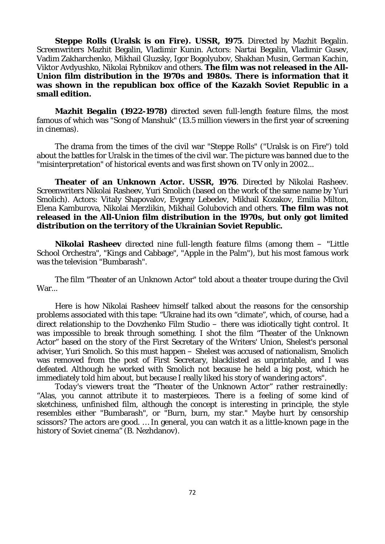**Steppe Rolls (Uralsk is on Fire). USSR, 1975**. Directed by Mazhit Begalin. Screenwriters Mazhit Begalin, Vladimir Kunin. Actors: Nartai Begalin, Vladimir Gusev, Vadim Zakharchenko, Mikhail Gluzsky, Igor Bogolyubov, Shakhan Musin, German Kachin, Viktor Avdyushko, Nikolai Rybnikov and others. **The film was not released in the All-Union film distribution in the 1970s and 1980s. There is information that it was shown in the republican box office of the Kazakh Soviet Republic in a small edition.**

**Mazhit Begalin (1922-1978)** directed seven full-length feature films, the most famous of which was "Song of Manshuk" (13.5 million viewers in the first year of screening in cinemas).

The drama from the times of the civil war "Steppe Rolls" ("Uralsk is on Fire") told about the battles for Uralsk in the times of the civil war. The picture was banned due to the "misinterpretation" of historical events and was first shown on TV only in 2002...

**Theater of an Unknown Actor. USSR, 1976**. Directed by Nikolai Rasheev. Screenwriters Nikolai Rasheev, Yuri Smolich (based on the work of the same name by Yuri Smolich). Actors: Vitaly Shapovalov, Evgeny Lebedev, Mikhail Kozakov, Emilia Milton, Elena Kamburova, Nikolai Merzlikin, Mikhail Golubovich and others. **The film was not released in the All-Union film distribution in the 1970s, but only got limited distribution on the territory of the Ukrainian Soviet Republic.**

**Nikolai Rasheev** directed nine full-length feature films (among them – "Little School Orchestra", "Kings and Cabbage", "Apple in the Palm"), but his most famous work was the television "Bumbarash".

The film "Theater of an Unknown Actor" told about a theater troupe during the Civil War...

Here is how Nikolai Rasheev himself talked about the reasons for the censorship problems associated with this tape: "Ukraine had its own "climate", which, of course, had a direct relationship to the Dovzhenko Film Studio – there was idiotically tight control. It was impossible to break through something. I shot the film "Theater of the Unknown Actor" based on the story of the First Secretary of the Writers' Union, Shelest's personal adviser, Yuri Smolich. So this must happen – Shelest was accused of nationalism, Smolich was removed from the post of First Secretary, blacklisted as unprintable, and I was defeated. Although he worked with Smolich not because he held a big post, which he immediately told him about, but because I really liked his story of wandering actors".

*Today's viewers treat the "Theater of the Unknown Actor" rather restrainedly:* "Alas, you cannot attribute it to masterpieces. There is a feeling of some kind of sketchiness, unfinished film, although the concept is interesting in principle, the style resembles either "Bumbarash", or "Burn, burn, my star." Maybe hurt by censorship scissors? The actors are good. … In general, you can watch it as a little-known page in the history of Soviet cinema" (B. Nezhdanov).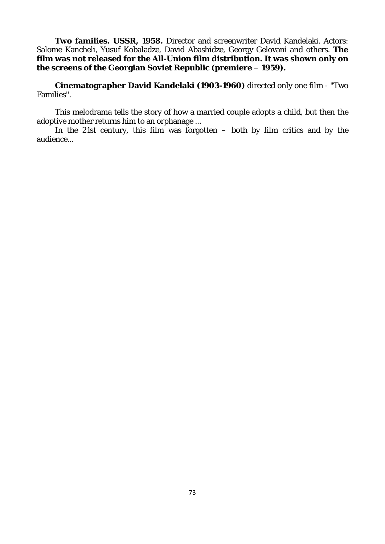**Two families. USSR, 1958.** Director and screenwriter David Kandelaki. Actors: Salome Kancheli, Yusuf Kobaladze, David Abashidze, Georgy Gelovani and others. **The film was not released for the All-Union film distribution. It was shown only on the screens of the Georgian Soviet Republic (premiere** – **1959).**

**Cinematographer David Kandelaki (1903-1960)** directed only one film - "Two Families".

This melodrama tells the story of how a married couple adopts a child, but then the adoptive mother returns him to an orphanage ...

In the 21st century, this film was forgotten  $-$  both by film critics and by the audience...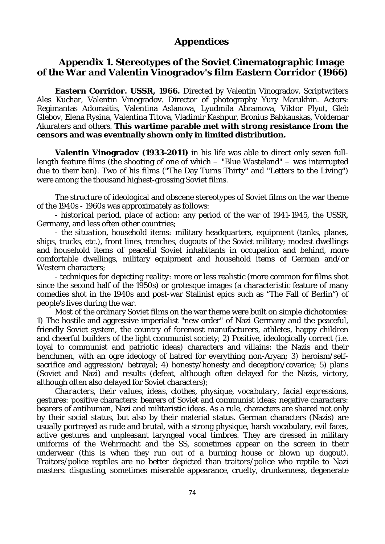# **Appendices**

# **Appendix 1. Stereotypes of the Soviet Cinematographic Image of the War and Valentin Vinogradov's film Eastern Corridor (1966)**

**Eastern Corridor. USSR, 1966.** Directed by Valentin Vinogradov. Scriptwriters Ales Kuchar, Valentin Vinogradov. Director of photography Yury Marukhin. Actors: Regimantas Adomaitis, Valentina Aslanova, Lyudmila Abramova, Viktor Plyut, Gleb Glebov, Elena Rysina, Valentina Titova, Vladimir Kashpur, Bronius Babkauskas, Voldemar Akuraters and others. **This wartime parable met with strong resistance from the censors and was eventually shown only in limited distribution.**

**Valentin Vinogradov (1933-2011)** in his life was able to direct only seven fulllength feature films (the shooting of one of which – "Blue Wasteland" – was interrupted due to their ban). Two of his films ("The Day Turns Thirty" and "Letters to the Living") were among the thousand highest-grossing Soviet films.

The structure of ideological and obscene stereotypes of Soviet films on the war theme of the 1940s - 1960s was approximately as follows:

- *historical period, place of action:* any period of the war of 1941-1945, the USSR, Germany, and less often other countries;

- *the situation, household items:* military headquarters, equipment (tanks, planes, ships, trucks, etc.), front lines, trenches, dugouts of the Soviet military; modest dwellings and household items of peaceful Soviet inhabitants in occupation and behind, more comfortable dwellings, military equipment and household items of German and/or Western characters;

- *techniques for depicting reality:* more or less realistic (more common for films shot since the second half of the 1950s) or grotesque images (a characteristic feature of many comedies shot in the 1940s and post-war Stalinist epics such as "The Fall of Berlin") of people's lives during the war.

Most of the ordinary Soviet films on the war theme were built on simple dichotomies: 1) The hostile and aggressive imperialist "new order" of Nazi Germany and the peaceful, friendly Soviet system, the country of foremost manufacturers, athletes, happy children and cheerful builders of the light communist society; 2) Positive, ideologically correct (i.e. loyal to communist and patriotic ideas) characters and villains: the Nazis and their henchmen, with an ogre ideology of hatred for everything non-Aryan; 3) heroism/selfsacrifice and aggression/ betrayal; 4) honesty/honesty and deception/covarice; 5) plans (Soviet and Nazi) and results (defeat, although often delayed for the Nazis, victory, although often also delayed for Soviet characters);

*Characters, their values, ideas, clothes, physique, vocabulary, facial expressions, gestures:* positive characters: bearers of Soviet and communist ideas; negative characters: bearers of antihuman, Nazi and militaristic ideas. As a rule, characters are shared not only by their social status, but also by their material status. German characters (Nazis) are usually portrayed as rude and brutal, with a strong physique, harsh vocabulary, evil faces, active gestures and unpleasant laryngeal vocal timbres. They are dressed in military uniforms of the Wehrmacht and the SS, sometimes appear on the screen in their underwear (this is when they run out of a burning house or blown up dugout). Traitors/police reptiles are no better depicted than traitors/police who reptile to Nazi masters: disgusting, sometimes miserable appearance, cruelty, drunkenness, degenerate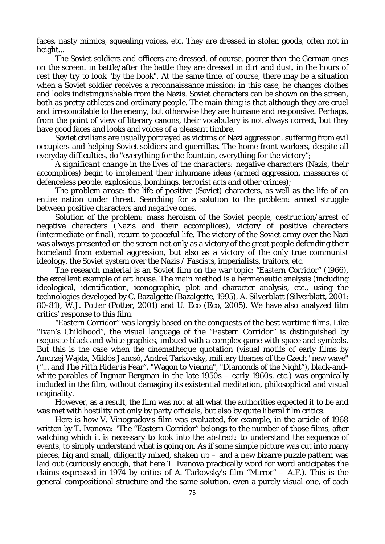faces, nasty mimics, squealing voices, etc. They are dressed in stolen goods, often not in height...

The Soviet soldiers and officers are dressed, of course, poorer than the German ones on the screen: in battle/after the battle they are dressed in dirt and dust, in the hours of rest they try to look "by the book". At the same time, of course, there may be a situation when a Soviet soldier receives a reconnaissance mission: in this case, he changes clothes and looks indistinguishable from the Nazis. Soviet characters can be shown on the screen, both as pretty athletes and ordinary people. The main thing is that although they are cruel and irreconcilable to the enemy, but otherwise they are humane and responsive. Perhaps, from the point of view of literary canons, their vocabulary is not always correct, but they have good faces and looks and voices of a pleasant timbre.

Soviet civilians are usually portrayed as victims of Nazi aggression, suffering from evil occupiers and helping Soviet soldiers and guerrillas. The home front workers, despite all everyday difficulties, do "everything for the fountain, everything for the victory";

*A significant change in the lives of the characters:* negative characters (Nazis, their accomplices) begin to implement their inhumane ideas (armed aggression, massacres of defenceless people, explosions, bombings, terrorist acts and other crimes);

*The problem arose:* the life of positive (Soviet) characters, as well as the life of an entire nation under threat. Searching for a solution to the problem: armed struggle between positive characters and negative ones.

*Solution of the problem:* mass heroism of the Soviet people, destruction/arrest of negative characters (Nazis and their accomplices), victory of positive characters (intermediate or final), return to peaceful life. The victory of the Soviet army over the Nazi was always presented on the screen not only as a victory of the great people defending their homeland from external aggression, but also as a victory of the only true communist ideology, the Soviet system over the Nazis / Fascists, imperialists, traitors, etc.

The research material is an Soviet film on the war topic: "Eastern Corridor" (1966), the excellent example of art house. The main method is a hermeneutic analysis (including ideological, identification, iconographic, plot and character analysis, etc., using the technologies developed by C. Bazalgette (Bazalgette, 1995), A. Silverblatt (Silverblatt, 2001: 80-81), W.J. Potter (Potter, 2001) and U. Eco (Eco, 2005). We have also analyzed film critics' response to this film.

"Eastern Corridor" was largely based on the conquests of the best wartime films. Like "Ivan's Childhood", the visual language of the "Eastern Corridor" is distinguished by exquisite black and white graphics, imbued with a complex game with space and symbols. But this is the case when the cinematheque quotation (visual motifs of early films by Andrzej Wajda, Miklós Jancsó, Andrei Tarkovsky, military themes of the Czech "new wave" ("... and The Fifth Rider is Fear", "Wagon to Vienna", "Diamonds of the Night"), black-andwhite parables of Ingmar Bergman in the late 1950s – early 1960s, etc.) was organically included in the film, without damaging its existential meditation, philosophical and visual originality.

However, as a result, the film was not at all what the authorities expected it to be and was met with hostility not only by party officials, but also by quite liberal film critics.

Here is how V. Vinogradov's film was evaluated, for example, in the article of 1968 written by T. Ivanova: "The "Eastern Corridor" belongs to the number of those films, after watching which it is necessary to look into the abstract: to understand the sequence of events, to simply understand what is going on. As if some simple picture was cut into many pieces, big and small, diligently mixed, shaken up – and a new bizarre puzzle pattern was laid out (curiously enough, that here T. Ivanova practically word for word anticipates the claims expressed in 1974 by critics of A. Tarkovsky's film "Mirror"  $-$  A.F.). This is the general compositional structure and the same solution, even a purely visual one, of each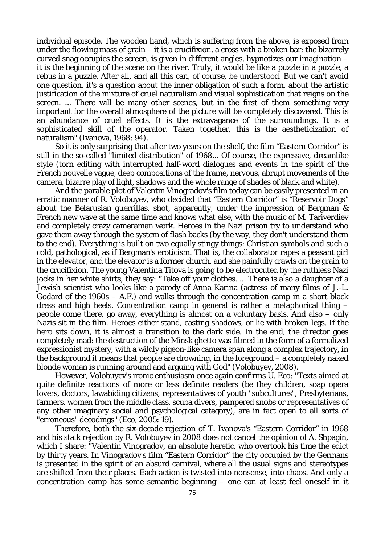individual episode. The wooden hand, which is suffering from the above, is exposed from under the flowing mass of grain – it is a crucifixion, a cross with a broken bar; the bizarrely curved snag occupies the screen, is given in different angles, hypnotizes our imagination – it is the beginning of the scene on the river. Truly, it would be like a puzzle in a puzzle, a rebus in a puzzle. After all, and all this can, of course, be understood. But we can't avoid one question, it's a question about the inner obligation of such a form, about the artistic justification of the mixture of cruel naturalism and visual sophistication that reigns on the screen. ... There will be many other scenes, but in the first of them something very important for the overall atmosphere of the picture will be completely discovered. This is an abundance of cruel effects. It is the extravagance of the surroundings. It is a sophisticated skill of the operator. Taken together, this is the aestheticization of naturalism" (Ivanova, 1968: 94).

So it is only surprising that after two years on the shelf, the film "Eastern Corridor" is still in the so-called "limited distribution" of 1968... Of course, the expressive, dreamlike style (torn editing with interrupted half-word dialogues and events in the spirit of the French nouvelle vague, deep compositions of the frame, nervous, abrupt movements of the camera, bizarre play of light, shadows and the whole range of shades of black and white).

And the parable plot of Valentin Vinogradov's film today can be easily presented in an erratic manner of R. Volobuyev, who decided that "Eastern Corridor" is "Reservoir Dogs" about the Belarusian guerrillas, shot, apparently, under the impression of Bergman & French new wave at the same time and knows what else, with the music of M. Tariverdiev and completely crazy cameraman work. Heroes in the Nazi prison try to understand who gave them away through the system of flash backs (by the way, they don't understand them to the end). Everything is built on two equally stingy things: Christian symbols and such a cold, pathological, as if Bergman's eroticism. That is, the collaborator rapes a peasant girl in the elevator, and the elevator is a former church, and she painfully crawls on the grain to the crucifixion. The young Valentina Titova is going to be electrocuted by the ruthless Nazi jocks in her white shirts, they say: "Take off your clothes. ... There is also a daughter of a Jewish scientist who looks like a parody of Anna Karina (actress of many films of J.-L. Godard of the 1960s – A.F.) and walks through the concentration camp in a short black dress and high heels. Concentration camp in general is rather a metaphorical thing – people come there, go away, everything is almost on a voluntary basis. And also – only Nazis sit in the film. Heroes either stand, casting shadows, or lie with broken legs. If the hero sits down, it is almost a transition to the dark side. In the end, the director goes completely mad: the destruction of the Minsk ghetto was filmed in the form of a formalized expressionist mystery, with a wildly pigeon-like camera span along a complex trajectory, in the background it means that people are drowning, in the foreground – a completely naked blonde woman is running around and arguing with God" (Volobuyev, 2008).

However, Volobuyev's ironic enthusiasm once again confirms U. Eco: "Texts aimed at quite definite reactions of more or less definite readers (be they children, soap opera lovers, doctors, lawabiding citizens, representatives of youth "subcultures", Presbyterians, farmers, women from the middle class, scuba divers, pampered snobs or representatives of any other imaginary social and psychological category), are in fact open to all sorts of "erroneous" decodings" (Eco, 2005: 19).

Therefore, both the six-decade rejection of T. Ivanova's "Eastern Corridor" in 1968 and his stalk rejection by R. Volobuyev in 2008 does not cancel the opinion of A. Shpagin, which I share: "Valentin Vinogradov, an absolute heretic, who overtook his time the edict by thirty years. In Vinogradov's film "Eastern Corridor" the city occupied by the Germans is presented in the spirit of an absurd carnival, where all the usual signs and stereotypes are shifted from their places. Each action is twisted into nonsense, into chaos. And only a concentration camp has some semantic beginning – one can at least feel oneself in it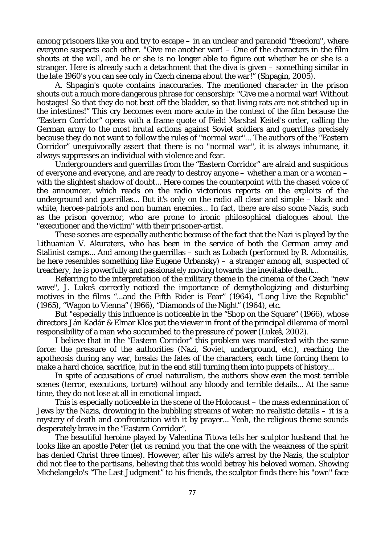among prisoners like you and try to escape – in an unclear and paranoid "freedom", where everyone suspects each other. "Give me another war! – One of the characters in the film shouts at the wall, and he or she is no longer able to figure out whether he or she is a stranger. Here is already such a detachment that the diva is given – something similar in the late 1960's you can see only in Czech cinema about the war!" (Shpagin, 2005).

A. Shpagin's quote contains inaccuracies. The mentioned character in the prison shouts out a much more dangerous phrase for censorship: "Give me a normal war! Without hostages! So that they do not beat off the bladder, so that living rats are not stitched up in the intestines!" This cry becomes even more acute in the context of the film because the "Eastern Corridor" opens with a frame quote of Field Marshal Keitel's order, calling the German army to the most brutal actions against Soviet soldiers and guerrillas precisely because they do not want to follow the rules of "normal war"... The authors of the "Eastern Corridor" unequivocally assert that there is no "normal war", it is always inhumane, it always suppresses an individual with violence and fear.

Undergrounders and guerrillas from the "Eastern Corridor" are afraid and suspicious of everyone and everyone, and are ready to destroy anyone – whether a man or a woman – with the slightest shadow of doubt... Here comes the counterpoint with the chased voice of the announcer, which reads on the radio victorious reports on the exploits of the underground and guerrillas... But it's only on the radio all clear and simple – black and white, heroes-patriots and non human enemies... In fact, there are also some Nazis, such as the prison governor, who are prone to ironic philosophical dialogues about the "executioner and the victim" with their prisoner-artist.

These scenes are especially authentic because of the fact that the Nazi is played by the Lithuanian V. Akuraters, who has been in the service of both the German army and Stalinist camps... And among the guerrillas – such as Lobach (performed by R. Adomaitis, he here resembles something like Eugene Urbansky) – a stranger among all, suspected of treachery, he is powerfully and passionately moving towards the inevitable death...

Referring to the interpretation of the military theme in the cinema of the Czech "new wave". J. Lukes correctly noticed the importance of demythologizing and disturbing motives in the films "...and the Fifth Rider is Fear" (1964), "Long Live the Republic" (1965), "Wagon to Vienna" (1966), "Diamonds of the Night" (1964), etc.

But "especially this influence is noticeable in the "Shop on the Square" (1966), whose directors Ján Kadár & Elmar Klos put the viewer in front of the principal dilemma of moral responsibility of a man who succumbed to the pressure of power (Lukeš, 2002).

I believe that in the "Eastern Corridor" this problem was manifested with the same force: the pressure of the authorities (Nazi, Soviet, underground, etc.), reaching the apotheosis during any war, breaks the fates of the characters, each time forcing them to make a hard choice, sacrifice, but in the end still turning them into puppets of history...

In spite of accusations of cruel naturalism, the authors show even the most terrible scenes (terror, executions, torture) without any bloody and terrible details... At the same time, they do not lose at all in emotional impact.

This is especially noticeable in the scene of the Holocaust – the mass extermination of Jews by the Nazis, drowning in the bubbling streams of water: no realistic details – it is a mystery of death and confrontation with it by prayer... Yeah, the religious theme sounds desperately brave in the "Eastern Corridor".

The beautiful heroine played by Valentina Titova tells her sculptor husband that he looks like an apostle Peter (let us remind you that the one with the weakness of the spirit has denied Christ three times). However, after his wife's arrest by the Nazis, the sculptor did not flee to the partisans, believing that this would betray his beloved woman. Showing Michelangelo's "The Last Judgment" to his friends, the sculptor finds there his "own" face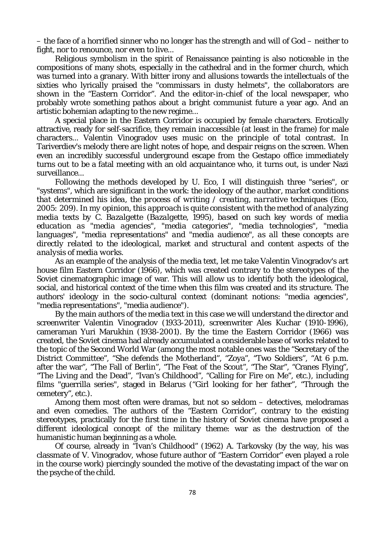– the face of a horrified sinner who no longer has the strength and will of God – neither to fight, nor to renounce, nor even to live...

Religious symbolism in the spirit of Renaissance painting is also noticeable in the compositions of many shots, especially in the cathedral and in the former church, which was turned into a granary. With bitter irony and allusions towards the intellectuals of the sixties who lyrically praised the "commissars in dusty helmets", the collaborators are shown in the "Eastern Corridor". And the editor-in-chief of the local newspaper, who probably wrote something pathos about a bright communist future a year ago. And an artistic bohemian adapting to the new regime...

A special place in the Eastern Corridor is occupied by female characters. Erotically attractive, ready for self-sacrifice, they remain inaccessible (at least in the frame) for male characters... Valentin Vinogradov uses music on the principle of total contrast. In Tariverdiev's melody there are light notes of hope, and despair reigns on the screen. When even an incredibly successful underground escape from the Gestapo office immediately turns out to be a fatal meeting with an old acquaintance who, it turns out, is under Nazi surveillance...

Following the methods developed by U. Eco, I will distinguish three "series", or "systems", which are significant in the work: *the ideology of the author, market conditions that determined his idea, the process of writing / creating, narrative techniques (Eco, 2005: 209). In my opinion, this approach is quite consistent with the method of analyzing media texts by C. Bazalgette (Bazalgette, 1995), based on such key words of media education as "media agencies", "media categories", "media technologies", "media languages", "media representations" and "media audience", as all these concepts are directly related to the ideological, market and structural and content aspects of the analysis of media works.*

As an example of the analysis of the media text, let me take Valentin Vinogradov's art house film Eastern Corridor (1966), which was created contrary to the stereotypes of the Soviet cinematographic image of war. This will allow us to identify both the ideological, social, and historical context of the time when this film was created and its structure. The authors' ideology in the socio-cultural context (dominant notions: "media agencies", "media representations", "media audience").

By the main authors of the media text in this case we will understand the director and screenwriter Valentin Vinogradov (1933-2011), screenwriter Ales Kuchar (1910-1996), cameraman Yuri Marukhin (1938-2001). By the time the Eastern Corridor (1966) was created, the Soviet cinema had already accumulated a considerable base of works related to the topic of the Second World War (among the most notable ones was the "Secretary of the District Committee", "She defends the Motherland", "Zoya", "Two Soldiers", "At 6 p.m. after the war", "The Fall of Berlin", "The Feat of the Scout", "The Star", "Cranes Flying", "The Living and the Dead", "Ivan's Childhood", "Calling for Fire on Me", etc.), including films "guerrilla series", staged in Belarus ("Girl looking for her father", "Through the cemetery", etc.).

Among them most often were dramas, but not so seldom – detectives, melodramas and even comedies. The authors of the "Eastern Corridor", contrary to the existing stereotypes, practically for the first time in the history of Soviet cinema have proposed a different ideological concept of the military theme: war as the destruction of the humanistic human beginning as a whole.

Of course, already in "Ivan's Childhood" (1962) A. Tarkovsky (by the way, his was classmate of V. Vinogradov, whose future author of "Eastern Corridor" even played a role in the course work) piercingly sounded the motive of the devastating impact of the war on the psyche of the child.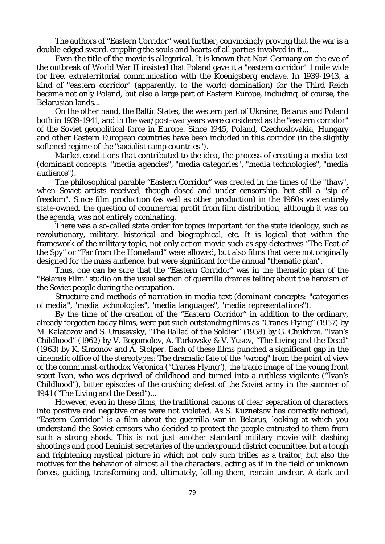The authors of "Eastern Corridor" went further, convincingly proving that the war is a double-edged sword, crippling the souls and hearts of all parties involved in it...

Even the title of the movie is allegorical. It is known that Nazi Germany on the eve of the outbreak of World War II insisted that Poland gave it a "eastern corridor" 1 mile wide for free, extraterritorial communication with the Koenigsberg enclave. In 1939-1943, a kind of "eastern corridor" (apparently, to the world domination) for the Third Reich became not only Poland, but also a large part of Eastern Europe, including, of course, the Belarusian lands...

On the other hand, the Baltic States, the western part of Ukraine, Belarus and Poland both in 1939-1941, and in the war/post-war years were considered as the "eastern corridor" of the Soviet geopolitical force in Europe. Since 1945, Poland, Czechoslovakia, Hungary and other Eastern European countries have been included in this corridor (in the slightly softened regime of the "socialist camp countries").

*Market conditions that contributed to the idea, the process of creating a media text (dominant concepts: "media agencies", "media categories", "media technologies", "media audience").* 

The philosophical parable "Eastern Corridor" was created in the times of the "thaw", when Soviet artists received, though dosed and under censorship, but still a "sip of freedom". Since film production (as well as other production) in the 1960s was entirely state-owned, the question of commercial profit from film distribution, although it was on the agenda, was not entirely dominating.

There was a so-called state order for topics important for the state ideology, such as revolutionary, military, historical and biographical, etc. It is logical that within the framework of the military topic, not only action movie such as spy detectives "The Feat of the Spy" or "Far from the Homeland" were allowed, but also films that were not originally designed for the mass audience, but were significant for the annual "thematic plan".

Thus, one can be sure that the "Eastern Corridor" was in the thematic plan of the "Belarus Film" studio on the usual section of guerrilla dramas telling about the heroism of the Soviet people during the occupation.

*Structure and methods of narration in media text (dominant concepts: "categories of media", "media technologies", "media languages", "media representations").* 

By the time of the creation of the "Eastern Corridor" in addition to the ordinary, already forgotten today films, were put such outstanding films as "Cranes Flying" (1957) by M. Kalatozov and S. Urusevsky, "The Ballad of the Soldier" (1958) by G. Chukhrai, "Ivan's Childhood" (1962) by V. Bogomolov, A. Tarkovsky & V. Yusov, "The Living and the Dead" (1963) by K. Simonov and A. Stolper. Each of these films punched a significant gap in the cinematic office of the stereotypes: The dramatic fate of the "wrong" from the point of view of the communist orthodox Veronica ("Cranes Flying"), the tragic image of the young front scout Ivan, who was deprived of childhood and turned into a ruthless vigilante ("Ivan's Childhood"), bitter episodes of the crushing defeat of the Soviet army in the summer of 1941 ("The Living and the Dead")...

However, even in these films, the traditional canons of clear separation of characters into positive and negative ones were not violated. As S. Kuznetsov has correctly noticed, "Eastern Corridor" is a film about the guerrilla war in Belarus, looking at which you understand the Soviet censors who decided to protect the people entrusted to them from such a strong shock. This is not just another standard military movie with dashing shootings and good Leninist secretaries of the underground district committee, but a tough and frightening mystical picture in which not only such trifles as a traitor, but also the motives for the behavior of almost all the characters, acting as if in the field of unknown forces, guiding, transforming and, ultimately, killing them, remain unclear. A dark and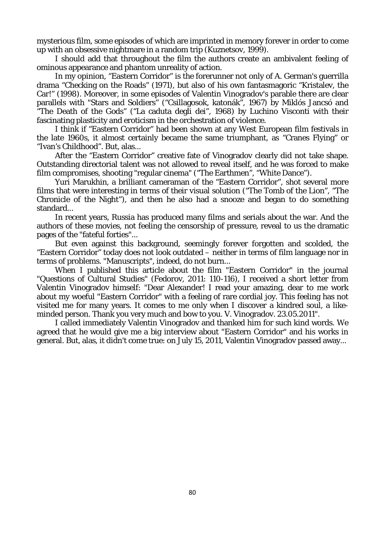mysterious film, some episodes of which are imprinted in memory forever in order to come up with an obsessive nightmare in a random trip (Kuznetsov, 1999).

I should add that throughout the film the authors create an ambivalent feeling of ominous appearance and phantom unreality of action.

In my opinion, "Eastern Corridor" is the forerunner not only of A. German's guerrilla drama "Checking on the Roads" (1971), but also of his own fantasmagoric "Kristalev, the Car!" (1998). Moreover, in some episodes of Valentin Vinogradov's parable there are clear parallels with "Stars and Soldiers" ("Csillagosok, katonák", 1967) by Miklós Jancsó and "The Death of the Gods" ("La caduta degli dei", 1968) by Luchino Visconti with their fascinating plasticity and eroticism in the orchestration of violence.

I think if "Eastern Corridor" had been shown at any West European film festivals in the late 1960s, it almost certainly became the same triumphant, as "Cranes Flying" or "Ivan's Childhood". But, alas...

After the "Eastern Corridor" creative fate of Vinogradov clearly did not take shape. Outstanding directorial talent was not allowed to reveal itself, and he was forced to make film compromises, shooting "regular cinema" ("The Earthmen", "White Dance").

Yuri Marukhin, a brilliant cameraman of the "Eastern Corridor", shot several more films that were interesting in terms of their visual solution ("The Tomb of the Lion", "The Chronicle of the Night"), and then he also had a snooze and began to do something standard...

In recent years, Russia has produced many films and serials about the war. And the authors of these movies, not feeling the censorship of pressure, reveal to us the dramatic pages of the "fateful forties"...

But even against this background, seemingly forever forgotten and scolded, the "Eastern Corridor" today does not look outdated – neither in terms of film language nor in terms of problems. "Manuscripts", indeed, do not burn...

When I published this article about the film "Eastern Corridor" in the journal "Questions of Cultural Studies" (Fedorov, 2011: 110-116), I received a short letter from Valentin Vinogradov himself: "Dear Alexander! I read your amazing, dear to me work about my woeful "Eastern Corridor" with a feeling of rare cordial joy. This feeling has not visited me for many years. It comes to me only when I discover a kindred soul, a likeminded person. Thank you very much and bow to you. V. Vinogradov. 23.05.2011".

I called immediately Valentin Vinogradov and thanked him for such kind words. We agreed that he would give me a big interview about "Eastern Corridor" and his works in general. But, alas, it didn't come true: on July 15, 2011, Valentin Vinogradov passed away...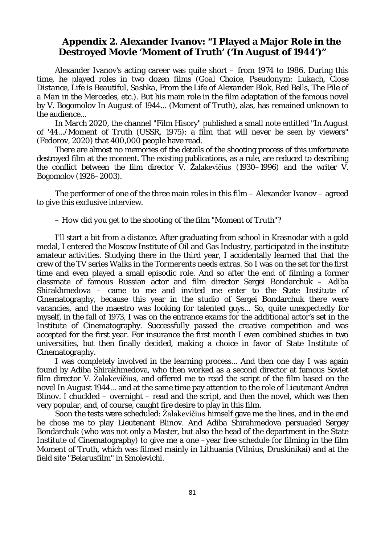# **Appendix 2. Alexander Ivanov: "I Played a Major Role in the Destroyed Movie '***Moment of Truth'* **('***In August of 1944'***)"**

Alexander Ivanov's acting career was quite short – from 1974 to 1986. During this time, he played roles in two dozen films (*Goal Choice, Pseudonym: Lukach, Close Distance, Life is Beautiful, Sashka, From the Life of Alexander Blok, Red Bells, The File of a Man in the Mercedes*, etc.). But his main role in the film adaptation of the famous novel by V. Bogomolov *In August of 1944...* (*Moment of Truth*), alas, has remained unknown to the audience...

In March 2020, the channel "Film Hisory" published a small note entitled "*In August of '44...*/*Moment of Truth* (USSR, 1975): a film that will never be seen by viewers" (Fedorov, 2020) that 400,000 people have read.

There are almost no memories of the details of the shooting process of this unfortunate destroyed film at the moment. The existing publications, as a rule, are reduced to describing the conflict between the film director V. Žalakevičius (1930–1996) and the writer V. Bogomolov (1926–2003).

The performer of one of the three main roles in this film – Alexander Ivanov – agreed to give this exclusive interview.

#### *– How did you get to the shooting of the film "Moment of Truth"?*

I'll start a bit from a distance. After graduating from school in Krasnodar with a gold medal, I entered the Moscow Institute of Oil and Gas Industry, participated in the institute amateur activities. Studying there in the third year, I accidentally learned that that the crew of the TV series *Walks in the Tormerents* needs extras. So I was on the set for the first time and even played a small episodic role. And so after the end of filming a former classmate of famous Russian actor and film director Sergei Bondarchuk – Adiba Shirakhmedova – came to me and invited me enter to the State Institute of Cinematography, because this year in the studio of Sergei Bondarchuk there were vacancies, and the maestro was looking for talented guys... So, quite unexpectedly for myself, in the fall of 1973, I was on the entrance exams for the additional actor's set in the Institute of Cinematography. Successfully passed the creative competition and was accepted for the first year. For insurance the first month I even combined studies in two universities, but then finally decided, making a choice in favor of State Institute of Cinematography.

I was completely involved in the learning process... And then one day I was again found by Adiba Shirakhmedova, who then worked as a second director at famous Soviet film director V. Žalakevičius, and offered me to read the script of the film based on the novel *In August 1944...* and at the same time pay attention to the role of Lieutenant Andrei Blinov. I chuckled – overnight – read and the script, and then the novel, which was then very popular, and, of course, caught fire desire to play in this film.

Soon the tests were scheduled: Žalakevičius himself gave me the lines, and in the end he chose me to play Lieutenant Blinov. And Adiba Shirahmedova persuaded Sergey Bondarchuk (who was not only a Master, but also the head of the department in the State Institute of Cinematography) to give me a one –year free schedule for filming in the film *Moment of Truth*, which was filmed mainly in Lithuania (Vilnius, Druskinikai) and at the field site "Belarusfilm" in Smolevichi.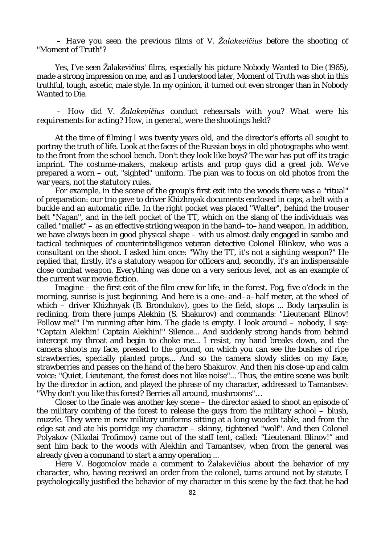*– Have you seen the previous films of V. Žalakevičius before the shooting of "Moment of Truth"?*

Yes, I've seen Žalakevičius' films, especially his picture *Nobody Wanted to Die* (1965), made a strong impression on me, and as I understood later, *Moment of Truth* was shot in this truthful, tough, ascetic, male style. In my opinion, it turned out even stronger than in *Nobody Wanted to Die.*

*– How did V. Žalakevičius conduct rehearsals with you? What were his requirements for acting? How, in general, were the shootings held?*

At the time of filming I was twenty years old, and the director's efforts all sought to portray the truth of life. Look at the faces of the Russian boys in old photographs who went to the front from the school bench. Don't they look like boys? The war has put off its tragic imprint. The costume-makers, makeup artists and prop guys did a great job. We've prepared a worn – out, "sighted" uniform. The plan was to focus on old photos from the war years, not the statutory rules.

For example, in the scene of the group's first exit into the woods there was a "ritual" of preparation: our trio gave to driver Khizhnyak documents enclosed in caps, a belt with a buckle and an automatic rifle. In the right pocket was placed "Walter", behind the trouser belt "Nagan", and in the left pocket of the TT, which on the slang of the individuals was called "mallet" – as an effective striking weapon in the hand–to–hand weapon. In addition, we have always been in good physical shape – with us almost daily engaged in sambo and tactical techniques of counterintelligence veteran detective Colonel Blinkov, who was a consultant on the shoot. I asked him once: "Why the TT, it's not a sighting weapon?" He replied that, firstly, it's a statutory weapon for officers and, secondly, it's an indispensable close combat weapon. Everything was done on a very serious level, not as an example of the current war movie fiction.

Imagine – the first exit of the film crew for life, in the forest. Fog, five o'clock in the morning, sunrise is just beginning. And here is a one–and–a–half meter, at the wheel of which – driver Khizhnyak (B. Brondukov), goes to the field, stops ... Body tarpaulin is reclining, from there jumps Alekhin (S. Shakurov) and commands: "Lieutenant Blinov! Follow me!" I'm running after him. The glade is empty. I look around – nobody, I say: "Captain Alekhin! Captain Alekhin!" Silence... And suddenly strong hands from behind intercept my throat and begin to choke me... I resist, my hand breaks down, and the camera shoots my face, pressed to the ground, on which you can see the bushes of ripe strawberries, specially planted props... And so the camera slowly slides on my face, strawberries and passes on the hand of the hero Shakurov. And then his close-up and calm voice: "Quiet, Lieutenant, the forest does not like noise"... Thus, the entire scene was built by the director in action, and played the phrase of my character, addressed to Tamantsev: "Why don't you like this forest? Berries all around, mushrooms"…

Closer to the finale was another key scene – the director asked to shoot an episode of the military combing of the forest to release the guys from the military school – blush, muzzle. They were in new military uniforms sitting at a long wooden table, and from the edge sat and ate his porridge my character – skinny, tightened "wolf". And then Colonel Polyakov (Nikolai Trofimov) came out of the staff tent, called: "Lieutenant Blinov!" and sent him back to the woods with Alekhin and Tamantsev, when from the general was already given a command to start a army operation ...

Here V. Bogomolov made a comment to Žalakevičius about the behavior of my character, who, having received an order from the colonel, turns around not by statute. I psychologically justified the behavior of my character in this scene by the fact that he had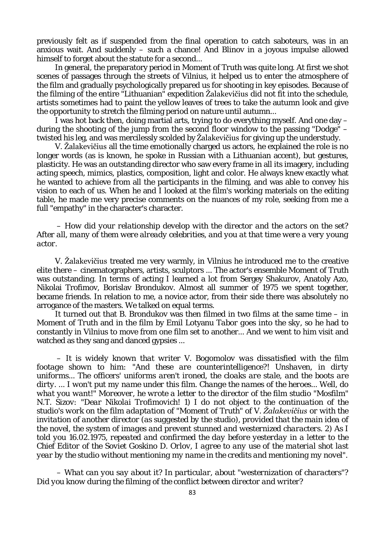previously felt as if suspended from the final operation to catch saboteurs, was in an anxious wait. And suddenly – such a chance! And Blinov in a joyous impulse allowed himself to forget about the statute for a second...

In general, the preparatory period in *Moment of Truth* was quite long. At first we shot scenes of passages through the streets of Vilnius, it helped us to enter the atmosphere of the film and gradually psychologically prepared us for shooting in key episodes. Because of the filming of the entire "Lithuanian" expedition Žalakevičius did not fit into the schedule, artists sometimes had to paint the yellow leaves of trees to take the autumn look and give the opportunity to stretch the filming period on nature until autumn...

I was hot back then, doing martial arts, trying to do everything myself. And one day – during the shooting of the jump from the second floor window to the passing "Dodge" – twisted his leg, and was mercilessly scolded by Žalakevičius for giving up the understudy.

V. Žalakevičius all the time emotionally charged us actors, he explained the role is no longer words (as is known, he spoke in Russian with a Lithuanian accent), but gestures, plasticity. He was an outstanding director who saw every frame in all its imagery, including acting speech, mimics, plastics, composition, light and color. He always knew exactly what he wanted to achieve from all the participants in the filming, and was able to convey his vision to each of us. When he and I looked at the film's working materials on the editing table, he made me very precise comments on the nuances of my role, seeking from me a full "empathy" in the character's character.

*– How did your relationship develop with the director and the actors on the set? After all, many of them were already celebrities, and you at that time were a very young actor.* 

V. Žalakevičius treated me very warmly, in Vilnius he introduced me to the creative elite there – cinematographers, artists, sculptors ... The actor's ensemble *Moment of Truth* was outstanding. In terms of acting I learned a lot from Sergey Shakurov, Anatoly Azo, Nikolai Trofimov, Borislav Brondukov. Almost all summer of 1975 we spent together, became friends. In relation to me, a novice actor, from their side there was absolutely no arrogance of the masters. We talked on equal terms.

It turned out that B. Brondukov was then filmed in two films at the same time – in *Moment of Truth* and in the film by Emil Lotyanu *Tabor goes into the sky*, so he had to constantly in Vilnius to move from one film set to another... And we went to him visit and watched as they sang and danced gypsies ...

*– It is widely known that writer V. Bogomolov was dissatisfied with the film footage shown to him: "And these are counterintelligence?! Unshaven, in dirty uniforms... The officers' uniforms aren't ironed, the cloaks are stale, and the boots are dirty. ... I won't put my name under this film. Change the names of the heroes... Well, do what you want!" Moreover, he wrote a letter to the director of the film studio "Mosfilm" N.T. Sizov: "Dear Nikolai Trofimovich! 1) I do not object to the continuation of the studio's work on the film adaptation of "Moment of Truth" of V. Žalakevičius or with the invitation of another director (as suggested by the studio), provided that the main idea of the novel, the system of images and prevent stunned and westernized characters. 2) As I told you 16.02.1975, repeated and confirmed the day before yesterday in a letter to the Chief Editor of the Soviet Goskino D. Orlov, I agree to any use of the material shot last year by the studio without mentioning my name in the credits and mentioning my novel".*

*– What can you say about it? In particular, about "westernization of characters"? Did you know during the filming of the conflict between director and writer?*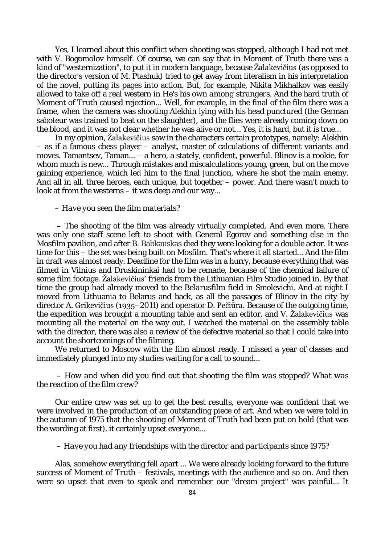Yes, I learned about this conflict when shooting was stopped, although I had not met with V. Bogomolov himself. Of course, we can say that in *Moment of Truth* there was a kind of "westernization", to put it in modern language, because Žalakevičius (as opposed to the director's version of M. Ptashuk) tried to get away from literalism in his interpretation of the novel, putting its pages into action. But, for example, Nikita Mikhalkov was easily allowed to take off a real western in *He's his own among strangers*. And the hard truth of *Moment of Truth* caused rejection... Well, for example, in the final of the film there was a frame, when the camera was shooting Alekhin lying with his head punctured (the German saboteur was trained to beat on the slaughter), and the flies were already coming down on the blood, and it was not clear whether he was alive or not... Yes, it is hard, but it is true...

In my opinion, Žalakevičius saw in the characters certain prototypes, namely: Alekhin – as if a famous chess player – analyst, master of calculations of different variants and moves. Tamantsev, Taman... – a hero, a stately, confident, powerful. Blinov is a rookie, for whom much is new... Through mistakes and miscalculations young, green, but on the move gaining experience, which led him to the final junction, where he shot the main enemy. And all in all, three heroes, each unique, but together – power. And there wasn't much to look at from the westerns – it was deep and our way...

#### *– Have you seen the film materials?*

– The shooting of the film was already virtually completed. And even more. There was only one staff scene left to shoot with General Egorov and something else in the *Mosfilm* pavilion, and after B. Babkauskas died they were looking for a double actor. It was time for this – the set was being built on *Mosfilm*. That's where it all started... And the film in draft was almost ready. Deadline for the film was in a hurry, because everything that was filmed in Vilnius and Druskininkai had to be remade, because of the chemical failure of some film footage. Žalakevičius' friends from the Lithuanian Film Studio joined in. By that time the group had already moved to the *Belarusfilm* field in Smolevichi. And at night I moved from Lithuania to Belarus and back, as all the passages of Blinov in the city by director A. Grikevičius (1935–2011) and operator D. Pečiūra. Because of the outgoing time, the expedition was brought a mounting table and sent an editor, and V. Žalakevičius was mounting all the material on the way out. I watched the material on the assembly table with the director, there was also a review of the defective material so that I could take into account the shortcomings of the filming.

We returned to Moscow with the film almost ready. I missed a year of classes and immediately plunged into my studies waiting for a call to sound...

*– How and when did you find out that shooting the film was stopped? What was the reaction of the film crew?*

Our entire crew was set up to get the best results, everyone was confident that we were involved in the production of an outstanding piece of art. And when we were told in the autumn of 1975 that the shooting of *Moment of Truth* had been put on hold (that was the wording at first), it certainly upset everyone...

#### *– Have you had any friendships with the director and participants since 1975?*

Alas, somehow everything fell apart ... We were already looking forward to the future success of *Moment of Truth* – festivals, meetings with the audience and so on. And then were so upset that even to speak and remember our "dream project" was painful... It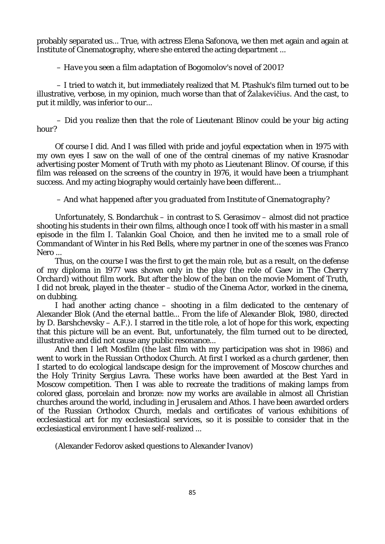probably separated us... True, with actress Elena Safonova, we then met again and again at Institute of Cinematography, where she entered the acting department ...

#### *– Have you seen a film adaptation of Bogomolov's novel of 2001?*

– I tried to watch it, but immediately realized that M. Ptashuk's film turned out to be illustrative, verbose, in my opinion, much worse than that of Žalakevičius. And the cast, to put it mildly, was inferior to our...

*– Did you realize then that the role of Lieutenant Blinov could be your big acting hour?*

Of course I did. And I was filled with pride and joyful expectation when in 1975 with my own eyes I saw on the wall of one of the central cinemas of my native Krasnodar advertising poster *Moment of Truth* with my photo as Lieutenant Blinov. Of course, if this film was released on the screens of the country in 1976, it would have been a triumphant success. And my acting biography would certainly have been different...

#### *– And what happened after you graduated from Institute of Cinematography?*

Unfortunately, S. Bondarchuk – in contrast to S. Gerasimov – almost did not practice shooting his students in their own films, although once I took off with his master in a small episode in the film I. Talankin *Goal Choice*, and then he invited me to a small role of Commandant of Winter in his *Red Bells*, where my partner in one of the scenes was Franco Nero ...

Thus, on the course I was the first to get the main role, but as a result, on the defense of my diploma in 1977 was shown only in the play (the role of Gaev in *The Cherry Orchard*) without film work. But after the blow of the ban on the movie *Moment of Truth,* I did not break, played in the theater – studio of the Cinema Actor, worked in the cinema, on dubbing.

I had another acting chance – shooting in a film dedicated to the centenary of Alexander Blok (*And the eternal battle... From the life of Alexander Blok,* 1980, directed by D. Barshchevsky – A.F.). I starred in the title role, a lot of hope for this work, expecting that this picture will be an event. But, unfortunately, the film turned out to be directed, illustrative and did not cause any public resonance...

And then I left *Mosfilm* (the last film with my participation was shot in 1986) and went to work in the Russian Orthodox Church. At first I worked as a church gardener, then I started to do ecological landscape design for the improvement of Moscow churches and the Holy Trinity Sergius Lavra. These works have been awarded at the Best Yard in Moscow competition. Then I was able to recreate the traditions of making lamps from colored glass, porcelain and bronze: now my works are available in almost all Christian churches around the world, including in Jerusalem and Athos. I have been awarded orders of the Russian Orthodox Church, medals and certificates of various exhibitions of ecclesiastical art for my ecclesiastical services, so it is possible to consider that in the ecclesiastical environment I have self-realized ...

(Alexander Fеdorov asked questions to Alexander Ivanov)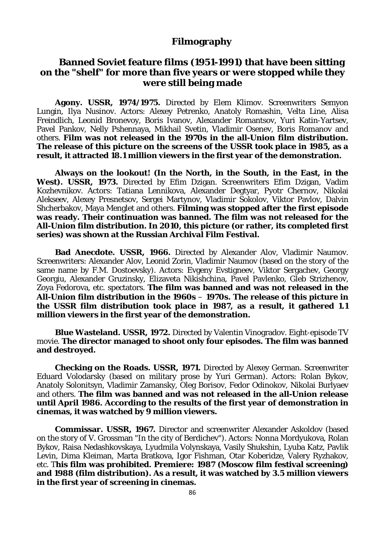### **Filmography**

# **Banned Soviet feature films (1951-1991) that have been sitting on the "shelf" for more than five years or were stopped while they were still being made**

**Agony. USSR, 1974/1975.** Directed by Elem Klimov. Screenwriters Semyon Lungin, Ilya Nusinov. Actors: Alexey Petrenko, Anatoly Romashin, Velta Line, Alisa Freindlich, Leonid Bronevoy, Boris Ivanov, Alexander Romantsov, Yuri Katin-Yartsev, Pavel Pankov, Nelly Pshennaya, Mikhail Svetin, Vladimir Osenev, Boris Romanov and others. **Film was not released in the 1970s in the all-Union film distribution. The release of this picture on the screens of the USSR took place in 1985, as a result, it attracted 18.1 million viewers in the first year of the demonstration.**

**Always on the lookout! (In the North, in the South, in the East, in the**  West). USSR, 1973. Directed by Efim Dzigan. Screenwriters Efim Dzigan, Vadim Kozhevnikov. Actors: Tatiana Lennikova, Alexander Degtyar, Pyotr Chernov, Nikolai Alekseev, Alexey Presnetsov, Sergei Martynov, Vladimir Sokolov, Viktor Pavlov, Dalvin Shcherbakov, Maya Menglet and others. **Filming was stopped after the first episode was ready. Their continuation was banned. The film was not released for the All-Union film distribution. In 2010, this picture (or rather, its completed first series) was shown at the Russian Archival Film Festival.**

**Bad Anecdote. USSR, 1966.** Directed by Alexander Alov, Vladimir Naumov. Screenwriters: Alexander Alov, Leonid Zorin, Vladimir Naumov (based on the story of the same name by F.M. Dostoevsky). Actors: Evgeny Evstigneev, Viktor Sergachev, Georgy Georgiu, Alexander Gruzinsky, Elizaveta Nikishchina, Pavel Pavlenko, Gleb Strizhenov, Zoya Fedorova, etc. spectators. **The film was banned and was not released in the All-Union film distribution in the 1960s** – **1970s. The release of this picture in the USSR film distribution took place in 1987, as a result, it gathered 1.1 million viewers in the first year of the demonstration.**

**Blue Wasteland. USSR, 1972.** Directed by Valentin Vinogradov. Eight-episode TV movie. **The director managed to shoot only four episodes. The film was banned and destroyed.**

**Checking on the Roads. USSR, 1971.** Directed by Alexey German. Screenwriter Eduard Volodarsky (based on military prose by Yuri German). Actors: Rolan Bykov, Anatoly Solonitsyn, Vladimir Zamansky, Oleg Borisov, Fedor Odinokov, Nikolai Burlyaev and others. **The film was banned and was not released in the all-Union release until April 1986. According to the results of the first year of demonstration in cinemas, it was watched by 9 million viewers.**

**Commissar. USSR, 1967.** Director and screenwriter Alexander Askoldov (based on the story of V. Grossman "In the city of Berdichev"). Actors: Nonna Mordyukova, Rolan Bykov, Raisa Nedashkovskaya, Lyudmila Volynskaya, Vasily Shukshin, Lyuba Katz, Pavlik Levin, Dima Kleiman, Marta Bratkova, Igor Fishman, Otar Koberidze, Valery Ryzhakov, etc. T**his film was prohibited. Premiere: 1987 (Moscow film festival screening) and 1988 (film distribution). As a result, it was watched by 3.5 million viewers in the first year of screening in cinemas.**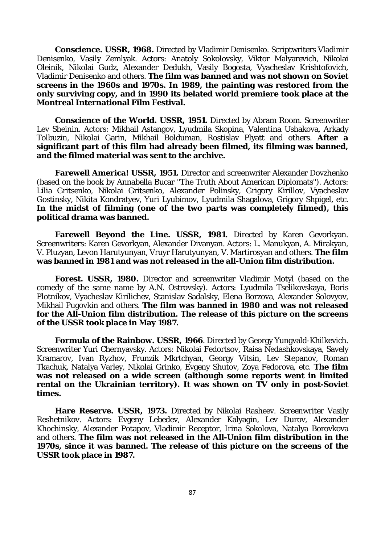**Conscience. USSR, 1968.** Directed by Vladimir Denisenko. Scriptwriters Vladimir Denisenko, Vasily Zemlyak. Actors: Anatoly Sokolovsky, Viktor Malyarevich, Nikolai Oleinik, Nikolai Gudz, Alexander Dedukh, Vasily Bogosta, Vyacheslav Krishtofovich, Vladimir Denisenko and others. **The film was banned and was not shown on Soviet screens in the 1960s and 1970s. In 1989, the painting was restored from the only surviving copy, and in 1990 its belated world premiere took place at the Montreal International Film Festival.**

**Conscience of the World. USSR, 1951.** Directed by Abram Room. Screenwriter Lev Sheinin. Actors: Mikhail Astangov, Lyudmila Skopina, Valentina Ushakova, Arkady Tolbuzin, Nikolai Garin, Mikhail Bolduman, Rostislav Plyatt and others. **After a significant part of this film had already been filmed, its filming was banned, and the filmed material was sent to the archive.**

**Farewell America! USSR, 1951.** Director and screenwriter Alexander Dovzhenko (based on the book by Annabella Bucar "The Truth About American Diplomats"). Actors: Lilia Gritsenko, Nikolai Gritsenko, Alexander Polinsky, Grigory Kirillov, Vyacheslav Gostinsky, Nikita Kondratyev, Yuri Lyubimov, Lyudmila Shagalova, Grigory Shpigel, etc. **In the midst of filming (one of the two parts was completely filmed), this political drama was banned.**

**Farewell Beyond the Line. USSR, 1981.** Directed by Karen Gevorkyan. Screenwriters: Karen Gevorkyan, Alexander Divanyan. Actors: L. Manukyan, A. Mirakyan, V. Pluzyan, Levon Harutyunyan, Vruyr Harutyunyan, V. Martirosyan and others. **The film was banned in 1981 and was not released in the all-Union film distribution.**

**Forest. USSR, 1980.** Director and screenwriter Vladimir Motyl (based on the comedy of the same name by A.N. Ostrovsky). Actors: Lyudmila Tselikovskaya, Boris Plotnikov, Vyacheslav Kirilichev, Stanislav Sadalsky, Elena Borzova, Alexander Solovyov, Mikhail Pugovkin and others. **The film was banned in 1980 and was not released for the All-Union film distribution. The release of this picture on the screens of the USSR took place in May 1987.**

**Formula of the Rainbow. USSR, 1966**. Directed by Georgy Yungvald-Khilkevich. Screenwriter Yuri Chernyavsky. Actors: Nikolai Fedortsov, Raisa Nedashkovskaya, Savely Kramarov, Ivan Ryzhov, Frunzik Mkrtchyan, Georgy Vitsin, Lev Stepanov, Roman Tkachuk, Natalya Varley, Nikolai Grinko, Evgeny Shutov, Zoya Fedorova, etc. **The film was not released on a wide screen (although some reports went in limited rental on the Ukrainian territory). It was shown on TV only in post-Soviet times.**

**Hare Reserve. USSR, 1973.** Directed by Nikolai Rasheev. Screenwriter Vasily Reshetnikov. Actors: Evgeny Lebedev, Alexander Kalyagin, Lev Durov, Alexander Khochinsky, Alexander Potapov, Vladimir Receptor, Irina Sokolova, Natalya Borovkova and others. **The film was not released in the All-Union film distribution in the 1970s, since it was banned. The release of this picture on the screens of the USSR took place in 1987.**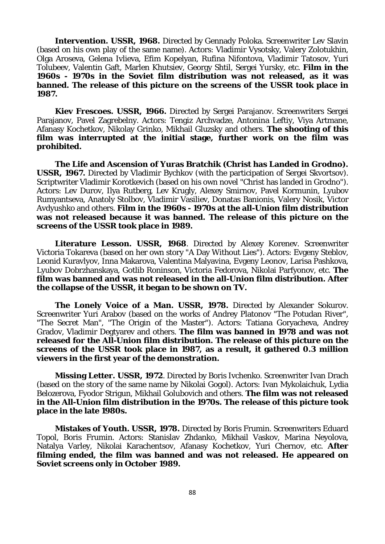**Intervention. USSR, 1968.** Directed by Gennady Poloka. Screenwriter Lev Slavin (based on his own play of the same name). Actors: Vladimir Vysotsky, Valery Zolotukhin, Olga Aroseva, Gelena Ivlieva, Efim Kopelyan, Rufina Nifontova, Vladimir Tatosov, Yuri Tolubeev, Valentin Gaft, Marlen Khutsiev, Georgy Shtil, Sergei Yursky, etc. **Film in the 1960s - 1970s in the Soviet film distribution was not released, as it was banned. The release of this picture on the screens of the USSR took place in 1987.**

**Kiev Frescoes. USSR, 1966.** Directed by Sergei Parajanov. Screenwriters Sergei Parajanov, Pavel Zagrebelny. Actors: Tengiz Archvadze, Antonina Leftiy, Viya Artmane, Afanasy Kochetkov, Nikolay Grinko, Mikhail Gluzsky and others. **The shooting of this film was interrupted at the initial stage, further work on the film was prohibited.**

**The Life and Ascension of Yuras Bratchik (Christ has Landed in Grodno). USSR, 1967.** Directed by Vladimir Bychkov (with the participation of Sergei Skvortsov). Scriptwriter Vladimir Korotkevich (based on his own novel "Christ has landed in Grodno"). Actors: Lev Durov, Ilya Rutberg, Lev Krugly, Alexey Smirnov, Pavel Kormunin, Lyubov Rumyantseva, Anatoly Stolbov, Vladimir Vasiliev, Donatas Banionis, Valery Nosik, Victor Avdyushko and others. **Film in the 1960s - 1970s at the all-Union film distribution was not released because it was banned. The release of this picture on the screens of the USSR took place in 1989.**

**Literature Lesson. USSR, 1968**. Directed by Alexey Korenev. Screenwriter Victoria Tokareva (based on her own story "A Day Without Lies"). Actors: Evgeny Steblov, Leonid Kuravlyov, Inna Makarova, Valentina Malyavina, Evgeny Leonov, Larisa Pashkova, Lyubov Dobrzhanskaya, Gotlib Roninson, Victoria Fedorova, Nikolai Parfyonov, etc. **The film was banned and was not released in the all-Union film distribution. After the collapse of the USSR, it began to be shown on TV.**

**The Lonely Voice of a Man. USSR, 1978.** Directed by Alexander Sokurov. Screenwriter Yuri Arabov (based on the works of Andrey Platonov "The Potudan River", "The Secret Man", "The Origin of the Master"). Actors: Tatiana Goryacheva, Andrey Gradov, Vladimir Degtyarev and others. **The film was banned in 1978 and was not released for the All-Union film distribution. The release of this picture on the screens of the USSR took place in 1987, as a result, it gathered 0.3 million viewers in the first year of the demonstration.**

**Missing Letter. USSR, 1972**. Directed by Boris Ivchenko. Screenwriter Ivan Drach (based on the story of the same name by Nikolai Gogol). Actors: Ivan Mykolaichuk, Lydia Belozerova, Fyodor Strigun, Mikhail Golubovich and others. **The film was not released in the All-Union film distribution in the 1970s. The release of this picture took place in the late 1980s.**

**Mistakes of Youth. USSR, 1978.** Directed by Boris Frumin. Screenwriters Eduard Topol, Boris Frumin. Actors: Stanislav Zhdanko, Mikhail Vaskov, Marina Neyolova, Natalya Varley, Nikolai Karachentsov, Afanasy Kochetkov, Yuri Chernov, etc. **After filming ended, the film was banned and was not released. He appeared on Soviet screens only in October 1989.**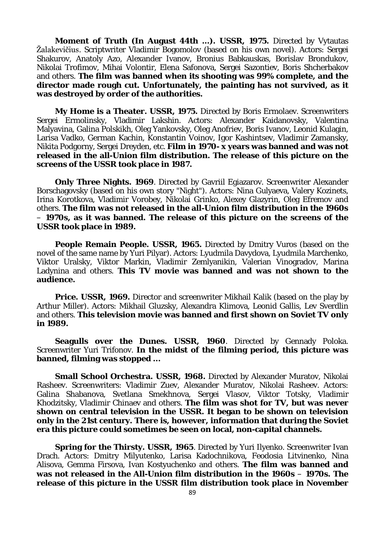**Moment of Truth (In August 44th ...). USSR, 1975.** Directed by Vytautas Žalakevičius. Scriptwriter Vladimir Bogomolov (based on his own novel). Actors: Sergei Shakurov, Anatoly Azo, Alexander Ivanov, Bronius Babkauskas, Borislav Brondukov, Nikolai Trofimov, Mihai Volontir, Elena Safonova, Sergei Sazontiev, Boris Shcherbakov and others. **The film was banned when its shooting was 99% complete, and the director made rough cut. Unfortunately, the painting has not survived, as it was destroyed by order of the authorities.**

**My Home is a Theater. USSR, 1975.** Directed by Boris Ermolaev. Screenwriters Sergei Ermolinsky, Vladimir Lakshin. Actors: Alexander Kaidanovsky, Valentina Malyavina, Galina Polskikh, Oleg Yankovsky, Oleg Anofriev, Boris Ivanov, Leonid Kulagin, Larisa Vadko, German Kachin, Konstantin Voinov, Igor Kashintsev, Vladimir Zamansky, Nikita Podgorny, Sergei Dreyden, etc. **Film in 1970- x years was banned and was not released in the all-Union film distribution. The release of this picture on the screens of the USSR took place in 1987.**

**Only Three Nights. 1969**. Directed by Gavriil Egiazarov. Screenwriter Alexander Borschagovsky (based on his own story "Night"). Actors: Nina Gulyaeva, Valery Kozinets, Irina Korotkova, Vladimir Vorobey, Nikolai Grinko, Alexey Glazyrin, Oleg Efremov and others. **The film was not released in the all-Union film distribution in the 1960s**  – **1970s, as it was banned. The release of this picture on the screens of the USSR took place in 1989.**

**People Remain People. USSR, 1965.** Directed by Dmitry Vuros (based on the novel of the same name by Yuri Pilyar). Actors: Lyudmila Davydova, Lyudmila Marchenko, Viktor Uralsky, Viktor Markin, Vladimir Zemlyanikin, Valerian Vinogradov, Marina Ladynina and others. **This TV movie was banned and was not shown to the audience.**

**Price. USSR, 1969.** Director and screenwriter Mikhail Kalik (based on the play by Arthur Miller). Actors: Mikhail Gluzsky, Alexandra Klimova, Leonid Gallis, Lev Sverdlin and others. **This television movie was banned and first shown on Soviet TV only in 1989.**

**Seagulls over the Dunes. USSR, 1960**. Directed by Gennady Poloka. Screenwriter Yuri Trifonov. **In the midst of the filming period, this picture was banned, filming was stopped ...**

**Small School Orchestra. USSR, 1968.** Directed by Alexander Muratov, Nikolai Rasheev. Screenwriters: Vladimir Zuev, Alexander Muratov, Nikolai Rasheev. Actors: Galina Shabanova, Svetlana Smekhnova, Sergei Vlasov, Viktor Totsky, Vladimir Khodzitsky, Vladimir Chinaev and others. **The film was shot for TV, but was never shown on central television in the USSR. It began to be shown on television only in the 21st century. There is, however, information that during the Soviet era this picture could sometimes be seen on local, non-capital channels.**

**Spring for the Thirsty. USSR, 1965**. Directed by Yuri Ilyenko. Screenwriter Ivan Drach. Actors: Dmitry Milyutenko, Larisa Kadochnikova, Feodosia Litvinenko, Nina Alisova, Gemma Firsova, Ivan Kostyuchenko and others. **The film was banned and**  was not released in the All-Union film distribution in the 1960s – 1970s. The **release of this picture in the USSR film distribution took place in November**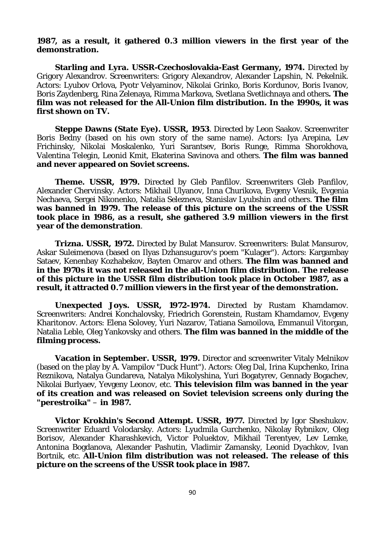#### **1987, as a result, it gathered 0.3 million viewers in the first year of the demonstration.**

**Starling and Lyra. USSR-Czechoslovakia-East Germany, 1974.** Directed by Grigory Alexandrov. Screenwriters: Grigory Alexandrov, Alexander Lapshin, N. Pekelnik. Actors: Lyubov Orlova, Pyotr Velyaminov, Nikolai Grinko, Boris Kordunov, Boris Ivanov, Boris Zaydenberg, Rina Zelenaya, Rimma Markova, Svetlana Svetlichnaya and others**. The film was not released for the All-Union film distribution. In the 1990s, it was first shown on TV.**

**Steppe Dawns (State Eye). USSR, 1953**. Directed by Leon Saakov. Screenwriter Boris Bedny (based on his own story of the same name). Actors: Iya Arepina, Lev Frichinsky, Nikolai Moskalenko, Yuri Sarantsev, Boris Runge, Rimma Shorokhova, Valentina Telegin, Leonid Kmit, Ekaterina Savinova and others. **The film was banned and never appeared on Soviet screens.**

**Theme. USSR, 1979.** Directed by Gleb Panfilov. Screenwriters Gleb Panfilov, Alexander Chervinsky. Actors: Mikhail Ulyanov, Inna Churikova, Evgeny Vesnik, Evgenia Nechaeva, Sergei Nikonenko, Natalia Selezneva, Stanislav Lyubshin and others. **The film was banned in 1979. The release of this picture on the screens of the USSR took place in 1986, as a result, she gathered 3.9 million viewers in the first year of the demonstration**.

**Trizna. USSR, 1972.** Directed by Bulat Mansurov. Screenwriters: Bulat Mansurov, Askar Suleimenova (based on Ilyas Dzhansugurov's poem "Kulager"). Actors: Kargambay Sataev, Kenenbay Kozhabekov, Bayten Omarov and others. **The film was banned and in the 1970s it was not released in the all-Union film distribution. The release of this picture in the USSR film distribution took place in October 1987, as a result, it attracted 0.7 million viewers in the first year of the demonstration.**

**Unexpected Joys. USSR, 1972-1974.** Directed by Rustam Khamdamov. Screenwriters: Andrei Konchalovsky, Friedrich Gorenstein, Rustam Khamdamov, Evgeny Kharitonov. Actors: Elena Solovey, Yuri Nazarov, Tatiana Samoilova, Emmanuil Vitorgan, Natalia Leble, Oleg Yankovsky and others. **The film was banned in the middle of the filming process.**

**Vacation in September. USSR, 1979.** Director and screenwriter Vitaly Melnikov (based on the play by A. Vampilov "Duck Hunt"). Actors: Oleg Dal, Irina Kupchenko, Irina Reznikova, Natalya Gundareva, Natalya Mikolyshina, Yuri Bogatyrev, Gennady Bogachev, Nikolai Burlyaev, Yevgeny Leonov, etc. **This television film was banned in the year of its creation and was released on Soviet television screens only during the "perestroika"** – **in 1987.**

**Victor Krokhin's Second Attempt. USSR, 1977.** Directed by Igor Sheshukov. Screenwriter Eduard Volodarsky. Actors: Lyudmila Gurchenko, Nikolay Rybnikov, Oleg Borisov, Alexander Kharashkevich, Victor Poluektov, Mikhail Terentyev, Lev Lemke, Antonina Bogdanova, Alexander Pashutin, Vladimir Zamansky, Leonid Dyachkov, Ivan Bortnik, etc. **All-Union film distribution was not released. The release of this picture on the screens of the USSR took place in 1987.**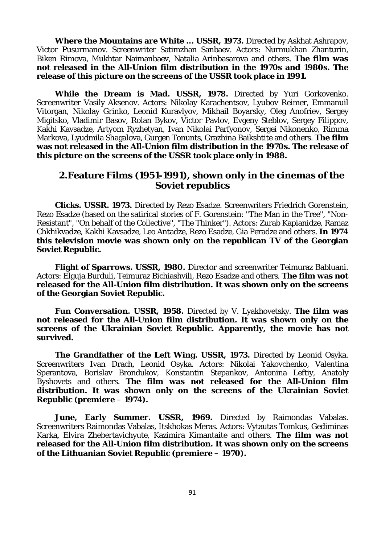**Where the Mountains are White ... USSR, 1973.** Directed by Askhat Ashrapov, Victor Pusurmanov. Screenwriter Satimzhan Sanbaev. Actors: Nurmukhan Zhanturin, Biken Rimova, Mukhtar Naimanbaev, Natalia Arinbasarova and others. **The film was not released in the All-Union film distribution in the 1970s and 1980s. The release of this picture on the screens of the USSR took place in 1991.**

**While the Dream is Mad. USSR, 1978.** Directed by Yuri Gorkovenko. Screenwriter Vasily Aksenov. Actors: Nikolay Karachentsov, Lyubov Reimer, Emmanuil Vitorgan, Nikolay Grinko, Leonid Kuravlyov, Mikhail Boyarsky, Oleg Anofriev, Sergey Migitsko, Vladimir Basov, Rolan Bykov, Victor Pavlov, Evgeny Steblov, Sergey Filippov, Kakhi Kavsadze, Artyom Ryzhetyan, Ivan Nikolai Parfyonov, Sergei Nikonenko, Rimma Markova, Lyudmila Shagalova, Gurgen Tonunts, Grazhina Baikshtite and others. **The film was not released in the All-Union film distribution in the 1970s. The release of this picture on the screens of the USSR took place only in 1988.**

# **2.Feature Films (1951-1991), shown only in the cinemas of the Soviet republics**

**Clicks. USSR. 1973.** Directed by Rezo Esadze. Screenwriters Friedrich Gorenstein, Rezo Esadze (based on the satirical stories of F. Gorenstein: "The Man in the Tree", "Non-Resistant", "On behalf of the Collective", "The Thinker"). Actors: Zurab Kapianidze, Ramaz Chkhikvadze, Kakhi Kavsadze, Leo Antadze, Rezo Esadze, Gia Peradze and others. **In 1974 this television movie was shown only on the republican TV of the Georgian Soviet Republic.**

**Flight of Sparrows. USSR, 1980.** Director and screenwriter Teimuraz Babluani. Actors: Elguja Burduli, Teimuraz Bichiashvili, Rezo Esadze and others. **The film was not released for the All-Union film distribution. It was shown only on the screens of the Georgian Soviet Republic.**

**Fun Conversation. USSR, 1958.** Directed by V. Lyakhovetsky. **The film was not released for the All-Union film distribution. It was shown only on the screens of the Ukrainian Soviet Republic. Apparently, the movie has not survived.**

**The Grandfather of the Left Wing. USSR, 1973.** Directed by Leonid Osyka. Screenwriters Ivan Drach, Leonid Osyka. Actors: Nikolai Yakovchenko, Valentina Sperantova, Borislav Brondukov, Konstantin Stepankov, Antonina Leftiy, Anatoly Byshovets and others. **The film was not released for the All-Union film distribution. It was shown only on the screens of the Ukrainian Soviet Republic (premiere** – **1974).**

**June, Early Summer. USSR, 1969.** Directed by Raimondas Vabalas. Screenwriters Raimondas Vabalas, Itskhokas Meras. Actors: Vytautas Tomkus, Gediminas Karka, Elvira Zhebertavichyute, Kazimira Kimantaite and others. **The film was not released for the All-Union film distribution. It was shown only on the screens of the Lithuanian Soviet Republic (premiere** – **1970).**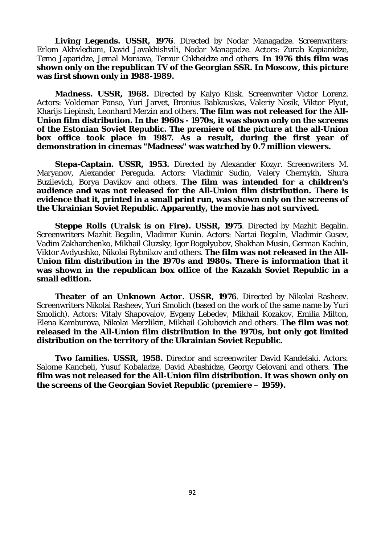Living Legends. USSR, 1976. Directed by Nodar Managadze. Screenwriters: Erlom Akhvlediani, David Javakhishvili, Nodar Managadze. Actors: Zurab Kapianidze, Temo Japaridze, Jemal Moniava, Temur Chkheidze and others. **In 1976 this film was shown only on the republican TV of the Georgian SSR. In Moscow, this picture was first shown only in 1988-1989.**

**Madness. USSR, 1968.** Directed by Kalyo Kiisk. Screenwriter Victor Lorenz. Actors: Voldemar Panso, Yuri Jarvet, Bronius Babkauskas, Valeriy Nosik, Viktor Plyut, Kharijs Liepinsh, Leonhard Merzin and others. **The film was not released for the All-Union film distribution. In the 1960s - 1970s, it was shown only on the screens of the Estonian Soviet Republic. The premiere of the picture at the all-Union box office took place in 1987. As a result, during the first year of demonstration in cinemas "Madness" was watched by 0.7 million viewers.**

**Stepa-Captain. USSR, 1953.** Directed by Alexander Kozyr. Screenwriters M. Maryanov, Alexander Pereguda. Actors: Vladimir Sudin, Valery Chernykh, Shura Buzilevich, Borya Davikov and others. **The film was intended for a children's audience and was not released for the All-Union film distribution. There is evidence that it, printed in a small print run, was shown only on the screens of the Ukrainian Soviet Republic. Apparently, the movie has not survived.**

**Steppe Rolls (Uralsk is on Fire). USSR, 1975**. Directed by Mazhit Begalin. Screenwriters Mazhit Begalin, Vladimir Kunin. Actors: Nartai Begalin, Vladimir Gusev, Vadim Zakharchenko, Mikhail Gluzsky, Igor Bogolyubov, Shakhan Musin, German Kachin, Viktor Avdyushko, Nikolai Rybnikov and others. **The film was not released in the All-Union film distribution in the 1970s and 1980s. There is information that it was shown in the republican box office of the Kazakh Soviet Republic in a small edition.**

**Theater of an Unknown Actor. USSR, 1976**. Directed by Nikolai Rasheev. Screenwriters Nikolai Rasheev, Yuri Smolich (based on the work of the same name by Yuri Smolich). Actors: Vitaly Shapovalov, Evgeny Lebedev, Mikhail Kozakov, Emilia Milton, Elena Kamburova, Nikolai Merzlikin, Mikhail Golubovich and others. **The film was not released in the All-Union film distribution in the 1970s, but only got limited distribution on the territory of the Ukrainian Soviet Republic.**

**Two families. USSR, 1958.** Director and screenwriter David Kandelaki. Actors: Salome Kancheli, Yusuf Kobaladze, David Abashidze, Georgy Gelovani and others. **The film was not released for the All-Union film distribution. It was shown only on the screens of the Georgian Soviet Republic (premiere** – **1959).**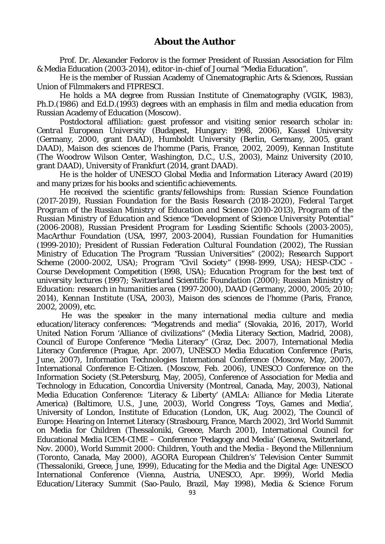Prof. Dr. Alexander Fedorov is the former President of Russian Association for Film & Media Education (2003-2014), editor-in-chief of Journal "Media Education".

He is the member of Russian Academy of Cinematographic Arts & Sciences, Russian Union of Filmmakers and FIPRESCI.

He holds a MA degree from Russian Institute of Cinematography (VGIK, 1983), Ph.D.(1986) and Ed.D.(1993) degrees with an emphasis in film and media education from Russian Academy of Education (Moscow).

Postdoctoral affiliation: guest professor and visiting senior research scholar in: *Central European University* (Budapest, Hungary: 1998, 2006), *Kassel University* (Germany, 2000, grant DAAD), *Humboldt University* (Berlin, Germany, 2005, grant DAAD), *Maison des sciences de l'homme* (Paris, France, 2002, 2009), *Kennan Institute* (The Woodrow Wilson Center, Washington, D.C., U.S., 2003), Mainz University (2010, grant DAAD), University of Frankfurt (2014, grant DAAD).

He is the holder of UNESCO Global Media and Information Literacy Award (2019) and many prizes for his books and scientific achievements.

He received the scientific grants/fellowships from: *Russian Science Foundation (2017-2019), Russian Foundation for the Basis Research* (2018-2020), *Federal Target Program of the Russian Ministry of Education and Science* (2010-2013), *Program of the Russian Ministry of Education and Science "Development of Science University Potential"*  (2006-2008), *Russian President Program for Leading Scientific Schools* (2003-2005), *MacArthur Foundation (USA,* 1997, 2003-2004*)*, *Russian Foundation for Humanities (*1999-2010*)*; *President of Russian Federation Cultural Foundation (*2002*), The Russian Ministry of Education The Program "Russian Universities"* (2002); *Research Support Scheme* (2000-2002, USA); *Program "Civil Society"* (1998-1999, USA); *HESP-CDC - Course Development Competition* (1998, USA); *Education Program for the best text of university lectures* (1997); *Switzerland Scientific Foundation* (2000); *Russian Ministry of Education: research in humanities area* (1997-2000), DAAD (Germany, 2000, 2005; 2010; 2014), *Kennan Institute* (USA, 2003), *Maison des sciences de l'homme* (Paris, France, 2002, 2009), etc.

He was the speaker in the many international media culture and media education/literacy conferences: "Megatrends and media" (Slovakia, 2016, 2017), World United Nation Forum 'Alliance of civilizations" (Media Literacy Section, Madrid, 2008), Council of Europe Conference "Media Literacy" (Graz, Dec. 2007), International Media Literacy Conference (Prague, Apr. 2007), UNESCO Media Education Conference (Paris, June, 2007), Information Technologies International Conference (Moscow, May, 2007), International Conference E-Citizen. (Moscow, Feb. 2006), UNESCO Conference on the Information Society (St.Petersburg, May, 2005), Conference of Association for Media and Technology in Education, Concordia University (Montreal, Canada, May, 2003), National Media Education Conference: 'Literacy & Liberty' (AMLA: Alliance for Media Literate America) (Baltimore, U.S., June, 2003), World Congress 'Toys, Games and Media', University of London, Institute of Education (London, UK, Aug. 2002), The Council of Europe: Hearing on Internet Literacy (Strasbourg, France, March 2002), 3rd World Summit on Media for Children (Thessaloniki, Greece, March 2001), International Council for Educational Media ICEM-CIME – Conference 'Pedagogy and Media' (Geneva, Switzerland, Nov. 2000), World Summit 2000: Children, Youth and the Media - Beyond the Millennium (Toronto, Canada, May 2000), AGORA European Children's' Television Center Summit (Thessaloniki, Greece, June, 1999), Educating for the Media and the Digital Age: UNESCO International Conference (Vienna, Austria, UNESCO, Apr. 1999), World Media Education/Literacy Summit (Sao-Paulo, Brazil, May 1998), Media & Science Forum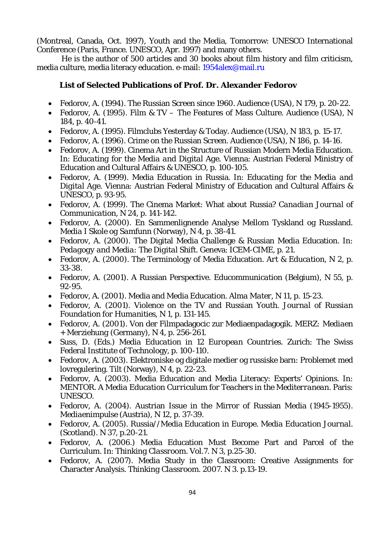(Montreal, Canada, Oct. 1997), Youth and the Media, Tomorrow: UNESCO International Conference (Paris, France. UNESCO, Apr. 1997) and many others.

He is the author of 500 articles and 30 books about film history and film criticism, media culture, media literacy education. e-mail: [1954alex@mail.ru](mailto:1954alex@mail.ru)

### **List of Selected Publications of Prof. Dr. Alexander Fedorov**

- Fedorov, A. (1994). The Russian Screen since 1960. *Audience* (USA), N 179, p. 20-22.
- Fedorov, A. (1995). Film & TV The Features of Mass Culture. *Audience* (USA), N 184, p. 40-41.
- Fedorov, A. (1995). Filmclubs Yesterday & Today. *Audience* (USA), N 183, p. 15-17.
- Fedorov, A. (1996). Crime on the Russian Screen. *Audience* (USA), N 186, p. 14-16.
- Fedorov, A. (1999). Cinema Art in the Structure of Russian Modern Media Education. In: *Educating for the Media and Digital Age.* Vienna: Austrian Federal Ministry of Education and Cultural Affairs & UNESCO, p. 100-105.
- Fedorov, A. (1999). Media Education in Russia. In: *Educating for the Media and Digital Age.* Vienna: Austrian Federal Ministry of Education and Cultural Affairs & UNESCO, p. 93-95.
- Fedorov, A. (1999). The Cinema Market: What about Russia? *Canadian Journal of Communication*, N 24, p. 141-142.
- Fedorov, A. (2000). En Sammenlignende Analyse Mellom Tyskland og Russland*. Media I Skole og Samfunn* (Norway), N 4, p. 38-41.
- Fedorov, A. (2000). The Digital Media Challenge & Russian Media Education. In: *Pedagogy and Media: The Digital Shift.* Geneva: ICEM-CIME, p. 21.
- Fedorov, A. (2000). The Terminology of Media Education. *Art & Education,* N 2, p. 33-38.
- Fedorov, A. (2001). A Russian Perspective. *Educommunication* (Belgium), N 55, p. 92-95.
- Fedorov, A. (2001). Media and Media Education. *Alma Mater*, N 11, p. 15-23.
- Fedorov, A. (2001). Violence on the TV and Russian Youth. *Journal of Russian Foundation for Humanities,* N 1, p. 131-145.
- Fedorov, A. (2001). Von der Filmpadagocic zur Mediaenpadagogik. *MERZ: Mediaen + Merziehung* (Germany), N 4, p. 256-261.
- Suss, D. (Eds.) *Media Education in 12 European Countries*. Zurich: The Swiss Federal Institute of Technology, p. 100-110.
- Fedorov, A. (2003). Elektroniske og digitale medier og russiske barn: Problemet med lovregulering. *Tilt* (Norway), N 4, p. 22-23.
- Fedorov, A. (2003). Media Education and Media Literacy: Experts' Opinions. In: *MENTOR. A Media Education Curriculum for Teachers in the Mediterranean.* Paris: UNESCO.
- Fedorov, A. (2004). Austrian Issue in the Mirror of Russian Media (1945-1955). *Mediaenimpulse* (Austria), N 12, p. 37-39.
- Fedorov, A. (2005). Russia//Media Education in Europe. *Media Education Journal.* (Scotland). N 37, p.20-21.
- Fedorov, A. (2006.) Media Education Must Become Part and Parcel of the Curriculum. In: *Thinking Classroom.* Vol.7. N 3, p.25-30.
- Fedorov, A. (2007). Media Study in the Classroom: Creative Assignments for Character Analysis. *Thinking Classroom.* 2007. N 3. p.13-19.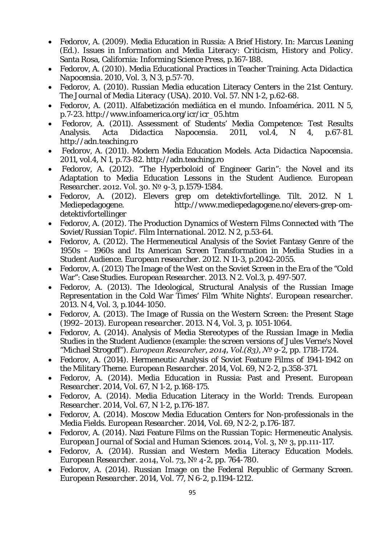- Fedorov, A. (2009). [Media Education in Russia: A Brief History.](http://informingscience.org/buy/%23Ch10Start%23Ch10Start) In: Marcus Leaning (Ed.). *Issues in Information and Media Literacy: Criticism, History and Policy.* Santa Rosa, California: Informing Science Press, p.167-188.
- Fedorov, A. (2010). Media Educational Practices in Teacher Training. *Acta Didactica Napocensia.* 2010, Vol. 3, N 3, p.57-70.
- Fedorov, A. (2010). Russian Media education Literacy Centers in the 21st Century. *The Journal of Media Literacy* (USA). 2010. Vol. 57. NN 1-2, p.62-68.
- Fedorov, A. (2011). Alfabetización mediática en el mundo. *Infoamérica.* 2011. N 5, p.7-23. [http://www.infoamerica.org/icr/icr\\_05.htm](http://www.infoamerica.org/icr/icr_05.htm)
- Fedorov, A. (2011). Assessment of Students' Media Competence: Test Results Analysis. *Acta Didactica Napocensia.* 2011, vol.4, N 4, p.67-81. [http://adn.teaching.ro](http://adn.teaching.ro/)
- Fedorov, A. (2011). Modern Media Education Models. *Acta Didactica Napocensia.* 2011, vol.4, N 1, p.73-82. [http://adn.teaching.ro](http://adn.teaching.ro/)
- Fedorov, A. (2012). "The Hyperboloid of Engineer Garin": the Novel and its Adaptation to Media Education Lessons in the Student Audience. *European Researcher.* 2012. Vol. 30. № 9-3, p.1579-1584.
- Fedorov, A. (2012). [Elevers grep om detektivfortellinge.](http://www.mediepedagogene.no/elevers-grep-om-detektivfortellinger) *Tilt.* 2012. N 1. [Mediepedagogene.](http://www.mediepedagogene.no/) [http://www.mediepedagogene.no/elevers-grep-om](http://www.mediepedagogene.no/elevers-grep-om-detektivfortellinger)[detektivfortellinger](http://www.mediepedagogene.no/elevers-grep-om-detektivfortellinger)
- Fedorov, A. (2012). The Production Dynamics of Western Films Connected with 'The Soviet/Russian Topic'. *Film International.* 2012. N 2, p.53-64.
- Fedorov, A. (2012). The Hermeneutical Analysis of the Soviet Fantasy Genre of the 1950s – 1960s and Its American Screen Transformation in Media Studies in a Student Audience. *European researcher.* 2012. N 11-3, p.2042-2055.
- Fedorov, A. (2013) The Image of the West on the Soviet Screen in the Era of the "Cold War": Case Studies. *European Researcher.* 2013. N 2. Vol.3, p. 497-507.
- Fedorov, A. (2013). The Ideological, Structural Analysis of the Russian Image Representation in the Cold War Times' Film 'White Nights'. *European researcher.* 2013. N 4, Vol. 3, p.1044-1050.
- Fedorov, A. (2013). The Image of Russia on the Western Screen: the Present Stage (1992–2013). *European researcher.* 2013. N 4, Vol. 3, p. 1051-1064.
- Fedorov, A. (2014). Analysis of Media Stereotypes of the Russian Image in Media Studies in the Student Audience (example: the screen versions of Jules Verne's Novel "Michael Strogoff"). *European Researcher, 2014, Vol.(83), № 9-2, pp. 1718-1724.*
- Fedorov, A. (2014). Hermeneutic Analysis of Soviet Feature Films of 1941-1942 on the Military Theme. *European Researcher.* 2014, Vol. 69, N 2-2, p.358-371.
- Fedorov, A. (2014). Media Education in Russia: Past and Present. *European Researcher.* 2014, Vol. 67, N 1-2, p.168-175.
- Fedorov, A. (2014). Media Education Literacy in the World: Trends. *European Researcher.* 2014, Vol. 67, N 1-2, p.176-187.
- Fedorov, A. (2014). Moscow Media Education Centers for Non-professionals in the Media Fields. *European Researcher.* 2014, Vol. 69, N 2-2, p.176-187.
- Fedorov, A. (2014). Nazi Feature Films on the Russian Topic: Hermeneutic Analysis. *European Journal of Social and Human Sciences.* 2014, Vol. 3, № 3, pp.111-117.
- Fedorov, A. (2014). Russian and Western Media Literacy Education Models. *European Researcher.* 2014, Vol. 73, № 4-2, pp. 764-780.
- Fedorov, A. (2014). Russian Image on the Federal Republic of Germany Screen. *European Researcher.* 2014, Vol. 77, N 6-2, p.1194-1212.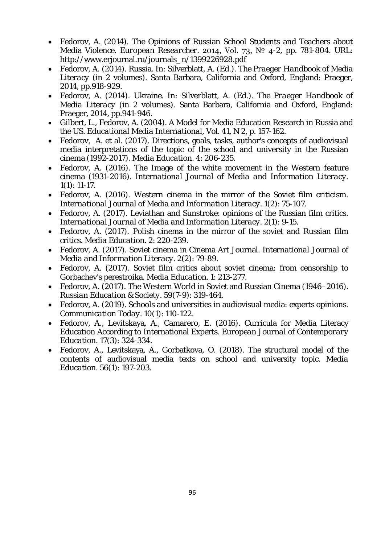- Fedorov, A. (2014). The Opinions of Russian School Students and Teachers about Media Violence. *European Researcher.* 2014, Vol. 73, № 4-2, pp. 781-804. URL: [http://www.erjournal.ru/journals\\_n/1399226928.pdf](http://www.erjournal.ru/journals_n/1399226928.pdf)
- Fedorov, A. (2014). Russia. In: Silverblatt, A. (Ed.). *The Praeger Handbook of Media Literacy* (in 2 volumes). Santa Barbara, California and Oxford, England: Praeger, 2014, pp.918-929.
- Fedorov, A. (2014). Ukraine. In: Silverblatt, A. (Ed.). *The Praeger Handbook of Media Literacy* (in 2 volumes). Santa Barbara, California and Oxford, England: Praeger, 2014, pp.941-946.
- Gilbert, L., Fedorov, A. (2004). A Model for Media Education Research in Russia and the US. *Educational Media International,* Vol. 41, N 2, p. 157-162.
- Fedorov, A. et al. (2017). Directions, goals, tasks, author's concepts of audiovisual media interpretations of the topic of the school and university in the Russian cinema (1992-2017). *Media Education*. 4: 206-235.
- Fedorov, A. (2016). The Image of the white movement in the Western feature cinema (1931-2016). *[International Journal of Media and Information Literacy.](https://www.elibrary.ru/contents.asp?id=43059875)* 1(1): 11-17.
- Fedorov, A. (2016). Western cinema in the mirror of the Soviet film criticism. *[International Journal of Media and Information Literacy.](https://www.elibrary.ru/contents.asp?id=43059875)* 1(2): 75-107.
- Fedorov, A. (2017). Leviathan and Sunstroke: opinions of the Russian film critics. *[International Journal of Media and Information Literacy](https://www.elibrary.ru/contents.asp?id=43059875)*. 2(1): 9-15.
- Fedorov, A. (2017). Polish cinema in the mirror of the soviet and Russian film critics. *Media Education*. 2: 220-239.
- Fedorov, A. (2017). Soviet cinema in Cinema Art Journal. *[International Journal of](https://www.elibrary.ru/contents.asp?id=43059875)  [Media and Information Literacy](https://www.elibrary.ru/contents.asp?id=43059875)*. 2(2): 79-89.
- Fedorov, A. (2017). Soviet film critics about soviet cinema: from censorship to Gorbachev's perestroika. *Media Education*. 1: 213-277.
- Fedorov, A. (2017). The Western World in Soviet and Russian Cinema (1946–2016). *Russian Education & Society.* 59(7-9): 319-464.
- Fedorov, A. (2019). Schools and universities in audiovisual media: experts opinions. *[Communication](https://www.elibrary.ru/contents.asp?id=38665943) Today.* 10(1): 110-122.
- Fedorov, A., Levitskaya, A., Camarero, E. (2016). Curricula for Media Literacy Education According to International Experts. *European Journal of Contemporary Education.* 17(3): 324-334.
- Fedorov, A., Levitskaya, A., Gorbatkova, O. (2018). The structural model of the contents of audiovisual media texts on school and university topic. *Media Education.* 56(1): 197-203.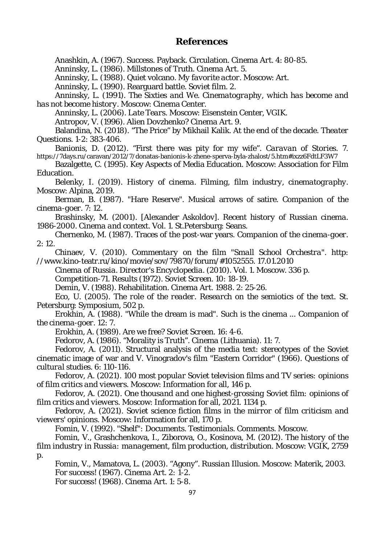### **References**

Anashkin, A. (1967). Success. Payback. Circulation. *Cinema Art*. 4: 80-85.

Anninsky, L. (1986). Millstones of Truth. *Cinema Art*. 5.

Anninsky, L. (1988). Quiet volcano. *My favorite actor.* Moscow: Art.

Anninsky, L. (1990). Rearguard battle. *Soviet film*. 2.

Anninsky, L. (1991). *The Sixties and We. Cinematography, which has become and has not become history*. Moscow: Cinema Center.

Anninsky, L. (2006). *Late Tears.* Moscow: Eisenstein Center, VGIK.

Antropov, V. (1996). Alien Dovzhenko? *Cinema Art*. 9.

Balandina, N. (2018). "The Price" by Mikhail Kalik. At the end of the decade. *Theater Questions.* 1-2: 383-406.

Banionis, D. (2012). "First there was pity for my wife". *Caravan of Stories*. 7. https://7days.ru/caravan/2012/7/donatas-banionis-k-zhene-sperva-byla-zhalost/5.htm#ixzz6FdtLF3W7

Bazalgette, C. (1995). Key Aspects of Media Education. Moscow: Association for Film Education.

Belenky, I. (2019). *History of cinema. Filming, film industry, cinematography*. Moscow: Alpina, 2019.

Berman, B. (1987). "Hare Reserve". Musical arrows of satire. *Companion of the cinema-goer.* 7: 12.

Brashinsky, M. (2001). [Alexander Askoldov]. *Recent history of Russian cinema. 1986-2000. Cinema and context*. Vol. 1. St.Petersburg: Seans.

Chernenko, M. (1987). Traces of the post-war years. *Companion of the cinema-goer*. 2: 12.

Chinaev, V. (2010). *Commentary on the film "Small School Orchestra".* http: //www.kino-teatr.ru/kino/movie/sov/79870/forum/#1052555. 17.01.2010

*Cinema of Russia. Director's Encyclopedia*. (2010). Vol. 1. Moscow. 336 p.

Competition-71. Results (1972). *Soviet Screen*. 10: 18-19.

Demin, V. (1988). Rehabilitation. *Cinema Art.* 1988. 2: 25-26.

Eco, U. (2005). *The role of the reader. Research on the semiotics of the text.* St. Petersburg: Symposium, 502 p.

Erokhin, A. (1988). "While the dream is mad". Such is the cinema ... *Companion of the cinema-goer*. 12: 7.

Erokhin, A. (1989). Are we free? *Soviet Screen*. 16: 4-6.

Fedorov, A. (1986). "Morality is Truth". *Cinema* (Lithuania). 11: 7.

Fedorov, A. (2011). Structural analysis of the media text: stereotypes of the Soviet cinematic image of war and V. Vinogradov's film "Eastern Corridor" (1966). *Questions of cultural studies*. 6: 110-116.

Fedorov, A. (2021). *100 most popular Soviet television films and TV series: opinions of film critics and viewers*. Moscow: Information for all, 146 p.

Fedorov, A. (2021). *One thousand and one highest-grossing Soviet film: opinions of film critics and viewers.* Moscow: Information for all, 2021. 1134 p.

Fedorov, A. (2021). *Soviet science fiction films in the mirror of film criticism and viewers' opinions*. Moscow: Information for all, 170 p.

Fomin, V. (1992). *"Shelf": Documents. Testimonials. Comments.* Moscow.

Fomin, V., Grashchenkova, I., Ziborova, O., Kosinova, M. (2012). *The history of the film industry in Russia: management, film production, distribution.* Moscow: VGIK, 2759

p.

Fomin, V., Mamatova, L. (2003). "Agony". *Russian Illusion.* Moscow: Materik, 2003. For success! (1967). *Cinema Art. 2: 1-2.*

For success! (1968). *Cinema Art*. 1: 5-8.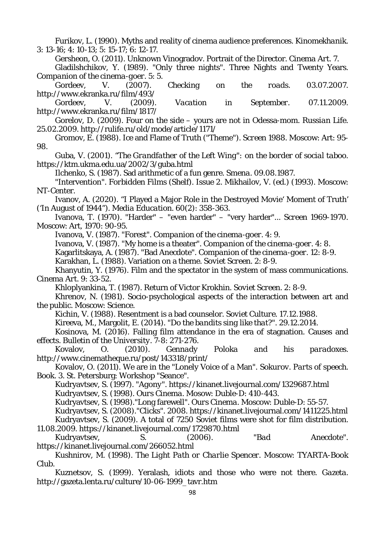Furikov, L. (1990). Myths and reality of cinema audience preferences. *Kinomekhanik.* 3: 13-16; 4: 10-13; 5: 15-17; 6: 12-17.

Gersheon, O. (2011). Unknown Vinogradov. Portrait of the Director. *Cinema Art*. 7.

Gladilshchikov, Y. (1989). "Only three nights". Three Nights and Twenty Years. *Companion of the cinema-goer*. 5: 5.

Gordeev, V. (2007). *Checking on the roads.* 03.07.2007. http://www.ekranka.ru/film/493/

Gordeev, V. (2009). *Vacation in September.* 07.11.2009. http://www.ekranka.ru/film/1817/

Gorelov, D. (2009). Four on the side – yours are not in Odessa-mom. *Russian Life.* 25.02.2009. http://rulife.ru/old/mode/article/1171/

Gromov, E. (1988). Ice and Flame of Truth ("Theme"). *Screen 1988.* Moscow: Art: 95- 98.

Guba, V. (2001). *"The Grandfather of the Left Wing": on the border of social taboo*. https://ktm.ukma.edu.ua/2002/3/guba.html

Ilchenko, S. (1987). Sad arithmetic of a fun genre. *Smena.* 09.08.1987.

"Intervention". *Forbidden Films (Shelf).* Issue 2. Mikhailov, V. (ed.) (1993). Moscow: NT-Center.

Ivanov, A. (2020). "I Played a Major Role in the Destroyed Movie' Moment of Truth' ('In August of 1944"). *Media Education.* 60(2): 358-363.

Ivanova, T. (1970). "Harder" – "even harder" – "very harder"... *Screen 1969-1970.* Moscow: Art, 1970: 90-95.

Ivanova, V. (1987). "Forest". C*ompanion of the cinema-goer*. 4: 9.

Ivanova, V. (1987). "My home is a theater". *Companion of the cinema-goer*. 4: 8.

Kagarlitskaya, A. (1987). "Bad Anecdote". *Companion of the cinema-goer*. 12: 8-9.

Karakhan, L. (1988). Variation on a theme. *Soviet Screen*. 2: 8-9.

Khanyutin, Y. (1976). Film and the spectator in the system of mass communications. *Cinema Art.* 9: 33-52.

Khloplyankina, T. (1987). Return of Victor Krokhin. *Soviet Screen*. 2: 8-9.

Khrenov, N. (1981). Socio-psychological aspects of the interaction between art and the public. Moscow: Science.

Kichin, V. (1988). Resentment is a bad counselor. *Soviet Culture*. 17.12.1988.

Kireeva, M., Margolit, E. (2014). *"Do the bandits sing like that?".* 29.12.2014.

Kosinova, M. (2016). Falling film attendance in the era of stagnation. Causes and effects. *Bulletin of the University*. 7-8: 271-276.

Kovalov, O. (2010). *Gennady Poloka and his paradoxes.* http://www.cinematheque.ru/post/143318/print/

Kovalov, O. (2011). We are in the "Lonely Voice of a Man". *Sokurov. Parts of speech.* Book. 3. St. Petersburg: Workshop "Seance".

Kudryavtsev, S. (1997). *"Agony".* https://kinanet.livejournal.com/1329687.html

Kudryavtsev, S. (1998). *Ours Cinema.* Mosow: Duble-D: 410-443.

Kudryavtsev, S. (1998)."Long farewell". *Ours Cinema.* Moscow: Duble-D: 55-57.

Kudryavtsev, S. (2008)."Clicks". 2008. https://kinanet.livejournal.com/1411225.html

Kudryavtsev, S. (2009). A total of 7250 Soviet films were shot for film distribution. 11.08.2009. https://kinanet.livejournal.com/1729870.html

Kudryavtsev, S. (2006). *"Bad Anecdote".* https://kinanet.livejournal.com/266052.html

Kushnirov, M. (1998). *The Light Path or Charlie Spencer.* Moscow: TYARTA-Book Club.

Kuznetsov, S. (1999). Yeralash, idiots and those who were not there. *Gazeta.* http://gazeta.lenta.ru/culture/10-06-1999\_tavr.htm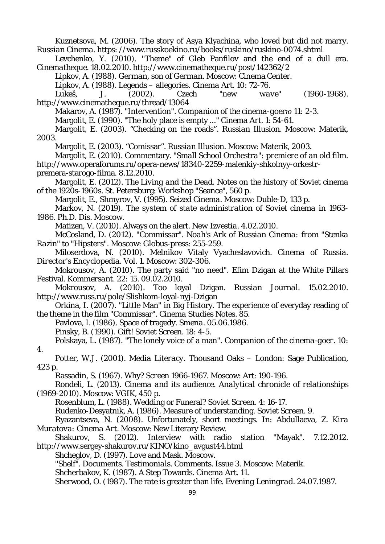Kuznetsova, M. (2006). The story of Asya Klyachina, who loved but did not marry. *Russian Cinema.* https: //www.russkoekino.ru/books/ruskino/ruskino-0074.shtml Levchenko, Y. (2010). "Theme" of Gleb Panfilov and the end of a dull era. *Cinematheque.* 18.02.2010. http://www.cinematheque.ru/post/142362/2 Lipkov, A. (1988). *German, son of German.* Moscow: Cinema Center. Lipkov, A. (1988). Legends – allegories. *Cinema Art*. 10: 72-76. Lukeš, J. (2002). *Czech "new wave" (1960-1968).* http://www.cinematheque.ru/thread/13064 Makarov, A. (1987). "Intervention". *Companion of the cinema-goerю 11:* 2-3. Margolit, E. (1990). "The holy place is empty ..." *Cinema Art*. 1: 54-61. Margolit, E. (2003). "Checking on the roads". *Russian Illusion.* Moscow: Materik, 2003. Margolit, E. (2003). "Comissar". *Russian Illusion*. Moscow: Materik, 2003. Margolit, E. (2010). Commentary. *"Small School Orchestra": premiere of an old film*. http://www.operaforums.ru/opera-news/18340-2259-malenkiy-shkolnyy-orkestrpremera-starogo-filma. 8.12.2010. Margolit, E. (2012). *The Living and the Dead. Notes on the history of Soviet cinema of the 1920s-1960s*. St. Petersburg: Workshop "Seance", 560 p. Margolit, E., Shmyrov, V. (1995). *Seized Cinema*. Moscow: Duble-D, 133 p. Markov, N. (2019). *The system of state administration of Soviet cinema in 1963- 1986.* Ph.D. Dis. Moscow. Matizen, V. (2010). Always on the alert. *New Izvestia*. 4.02.2010. McCosland, D. (2012). "Commissar". *Noah's Ark of Russian Cinema: from "Stenka Razin" to "Hipsters".* Moscow: Globus-press: 255-259. Miloserdova, N. (2010). Melnikov Vitaly Vyacheslavovich. *Cinema of Russia. Director's Encyclopedia.* Vol. 1. Moscow: 302-306. Mokrousov, A. (2010). The party said "no need". Efim Dzigan at the White Pillars Festival. *Kommersant.* 22: 15. 09.02.2010. Mokrousov, A. (2010). Too loyal Dzigan. *Russian Journal.* 15.02.2010. http://www.russ.ru/pole/Slishkom-loyal-nyj-Dzigan Orkina, I. (2007). "Little Man" in Big History. The experience of everyday reading of the theme in the film "Commissar". *Cinema Studies Notes*. 85. Pavlova, I. (1986). Space of tragedy. *Smena*. 05.06.1986. Pinsky, B. (1990). Gift! *Soviet Screen*. 18: 4-5. Polskaya, L. (1987). "The lonely voice of a man". *Companion of the cinema-goer*. 10: 4. Potter, W.J. (2001). *Media Literacy.* Thousand Oaks – London: Sage Publication, 423 p. Rassadin, S. (1967). Why? *Screen 1966-1967*. Moscow: Art: 190-196. Rondeli, L. (2013). *Cinema and its audience. Analytical chronicle of relationships (1969-2010).* Moscow: VGIK, 450 p. Rosenblum, L. (1988). Wedding or Funeral? *Soviet Screen*. 4: 16-17. Rudenko-Desyatnik, A. (1986). Measure of understanding. *Soviet Screen.* 9. Ryazantseva, N. (2008). Unfortunately, short meetings. In: Abdullaeva, Z. *Kira Muratova: Cinema Art*. Moscow: New Literary Review. Shakurov, S. (2012). Interview with radio station "Mayak". 7.12.2012. http://www.sergey-shakurov.ru/KINO/kino\_avgust44.html Shcheglov, D. (1997). Love and Mask. Moscow. *"Shelf". Documents. Testimonials. Comments*. Issue 3. Moscow: Materik. Shcherbakov, K. (1987). A Step Towards. *Cinema Art.* 11. Sherwood, O. (1987). The rate is greater than life. *Evening Leningrad.* 24.07.1987.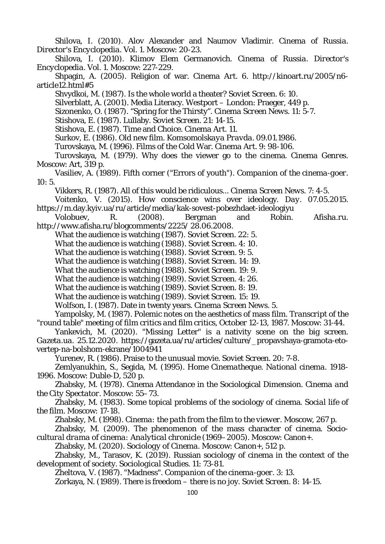Shilova, I. (2010). Alov Alexander and Naumov Vladimir. *Cinema of Russia. Director's Encyclopedia.* Vol. 1. Moscow: 20-23.

Shilova, I. (2010). Klimov Elem Germanovich. *Cinema of Russia. Director's Encyclopedia.* Vol. 1. Moscow: 227-229.

Shpagin, A. (2005). Religion of war. *Cinema Art.* 6. http://kinoart.ru/2005/n6 article12.html#5

Shvydkoi, M. (1987). Is the whole world a theater? *Soviet Screen*. 6: 10.

Silverblatt, A. (2001). Media Literacy. Westport – London: Praeger, 449 p.

Sizonenko, O. (1987). "Spring for the Thirsty". *Cinema Screen News*. 11: 5-7.

Stishova, E. (1987). Lullaby. *Soviet Screen.* 21: 14-15.

Stishova, E. (1987). Time and Choice. *Cinema Art.* 11.

Surkov, E. (1986). Old new film. *Komsomolskaya Pravda.* 09.01.1986.

Turovskaya, M. (1996). Films of the Cold War. *Cinema Art.* 9: 98-106.

Turovskaya, M. (1979). Why does the viewer go to the cinema. *Cinema Genres*. Moscow: Art, 319 p.

Vasiliev, A. (1989). Fifth corner ("Errors of youth"). *Companion of the cinema-goer.* 10: 5.

Vikkers, R. (1987). All of this would be ridiculous... *Cinema Screen News.* 7: 4-5.

Voitenko, V. (2015). How conscience wins over ideology. *Day.* 07.05.2015. https://m.day.kyiv.ua/ru/article/media/kak-sovest-pobezhdaet-ideologiyu

Volobuev, R. (2008). Bergman and Robin. *Afisha.ru.* http://www.afisha.ru/blogcomments/2225/ 28.06.2008.

What the audience is watching (1987). *Soviet Screen*. 22: 5.

What the audience is watching (1988). *Soviet Screen*. 4: 10.

What the audience is watching (1988). *Soviet Screen*. 9: 5.

What the audience is watching (1988). *Soviet Screen*. 14: 19.

What the audience is watching (1988). *Soviet Screen*. 19: 9.

What the audience is watching (1989). *Soviet Screen*. 4: 26.

What the audience is watching (1989). *Soviet Screen*. 8: 19.

What the audience is watching (1989). *Soviet Screen*. 15: 19.

Wolfson, I. (1987). Date in twenty years. *Cinema Screen News*. 5.

Yampolsky, M. (1987). Polemic notes on the aesthetics of mass film. *Transcript of the "round table" meeting of film critics and film critics, October 12-13, 1987.* Moscow: 31-44.

Yankevich, M. (2020). "Missing Letter" is a nativity scene on the big screen. *Gazeta.ua.* 25.12.2020. https://gazeta.ua/ru/articles/culture/\_propavshaya-gramota-etovertep-na-bolshom-ekrane/1004941

Yurenev, R. (1986). Praise to the unusual movie. *Soviet Screen*. 20: 7-8.

Zemlyanukhin, S., Segida, M. (1995). *Home Cinematheque. National cinema. 1918- 1996.* Moscow: Duble-D, 520 p.

Zhabsky, M. (1978). Cinema Attendance in the Sociological Dimension. *Cinema and the City Spectator*. Moscow: 55–73.

Zhabsky, M. (1983). Some topical problems of the sociology of cinema. *Social life of the film*. Moscow: 17-18.

Zhabsky, M. (1998). *Cinema: the path from the film to the viewer*. Moscow, 267 p.

Zhabsky, M. (2009). The phenomenon of the mass character of cinema. *Sociocultural drama of cinema: Analytical chronicle (1969–2005*). Moscow: Canon+.

Zhabsky, M. (2020). *Sociology of Cinema.* Moscow: Canon+, 512 p.

Zhabsky, M., Tarasov, K. (2019). Russian sociology of cinema in the context of the development of society. *Sociological Studies*. 11: 73-81.

Zheltova, V. (1987). "Madness". *Companion of the cinema-goer.* 3: 13.

Zorkaya, N. (1989). There is freedom – there is no joy. *Soviet Screen*. 8: 14-15.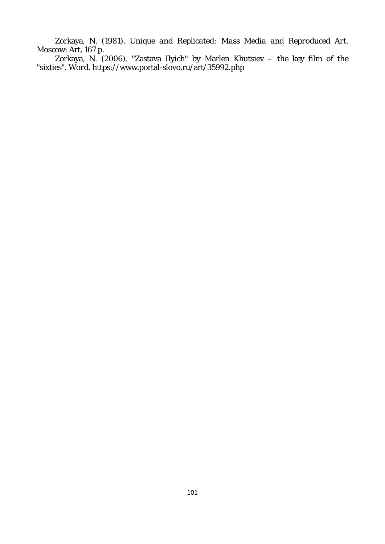Zorkaya, N. (1981). *Unique and Replicated: Mass Media and Reproduced Art.* Moscow: Art, 167 p.

Zorkaya, N. (2006). "Zastava Ilyich" by Marlen Khutsiev – the key film of the "sixties". *Word*. https://www.portal-slovo.ru/art/35992.php